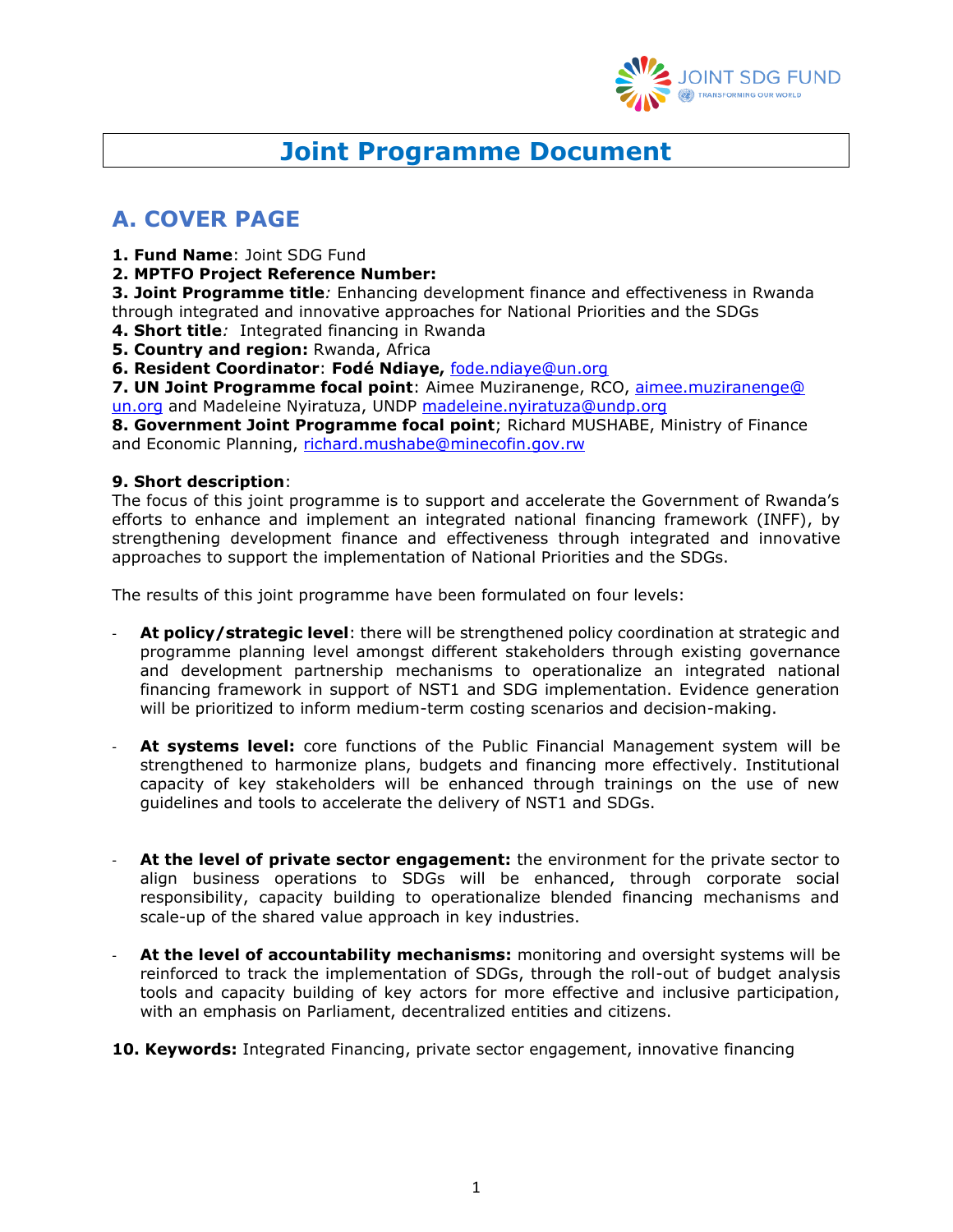

# **Joint Programme Document**

# <span id="page-0-0"></span>**A. COVER PAGE**

**1. Fund Name**: Joint SDG Fund

**2. MPTFO Project Reference Number:** 

**3. Joint Programme title***:* Enhancing development finance and effectiveness in Rwanda through integrated and innovative approaches for National Priorities and the SDGs

**4. Short title***:* Integrated financing in Rwanda

**5. Country and region:** Rwanda, Africa

**6. Resident Coordinator**: **Fodé Ndiaye,** [fode.ndiaye@un.org](mailto:fode.ndiaye@un.org)

**7. UN Joint Programme focal point**: Aimee Muziranenge, RCO, [aimee.muziranenge@](mailto:aimee.muziranenge@%20un.org)  [un.org](mailto:aimee.muziranenge@%20un.org) and Madeleine Nyiratuza, UNDP [madeleine.nyiratuza@undp.org](mailto:madeleine.nyiratuza@undp.org)

**8. Government Joint Programme focal point**; Richard MUSHABE, Ministry of Finance and Economic Planning, [richard.mushabe@minecofin.gov.rw](mailto:richard.mushabe@minecofin.gov.rw)

#### **9. Short description**:

The focus of this joint programme is to support and accelerate the Government of Rwanda's efforts to enhance and implement an integrated national financing framework (INFF), by strengthening development finance and effectiveness through integrated and innovative approaches to support the implementation of National Priorities and the SDGs.

The results of this joint programme have been formulated on four levels:

- At policy/strategic level: there will be strengthened policy coordination at strategic and programme planning level amongst different stakeholders through existing governance and development partnership mechanisms to operationalize an integrated national financing framework in support of NST1 and SDG implementation. Evidence generation will be prioritized to inform medium-term costing scenarios and decision-making.
- **At systems level:** core functions of the Public Financial Management system will be strengthened to harmonize plans, budgets and financing more effectively. Institutional capacity of key stakeholders will be enhanced through trainings on the use of new guidelines and tools to accelerate the delivery of NST1 and SDGs.
- At the level of private sector engagement: the environment for the private sector to align business operations to SDGs will be enhanced, through corporate social responsibility, capacity building to operationalize blended financing mechanisms and scale-up of the shared value approach in key industries.
- At the level of accountability mechanisms: monitoring and oversight systems will be reinforced to track the implementation of SDGs, through the roll-out of budget analysis tools and capacity building of key actors for more effective and inclusive participation, with an emphasis on Parliament, decentralized entities and citizens.

**10. Keywords:** Integrated Financing, private sector engagement, innovative financing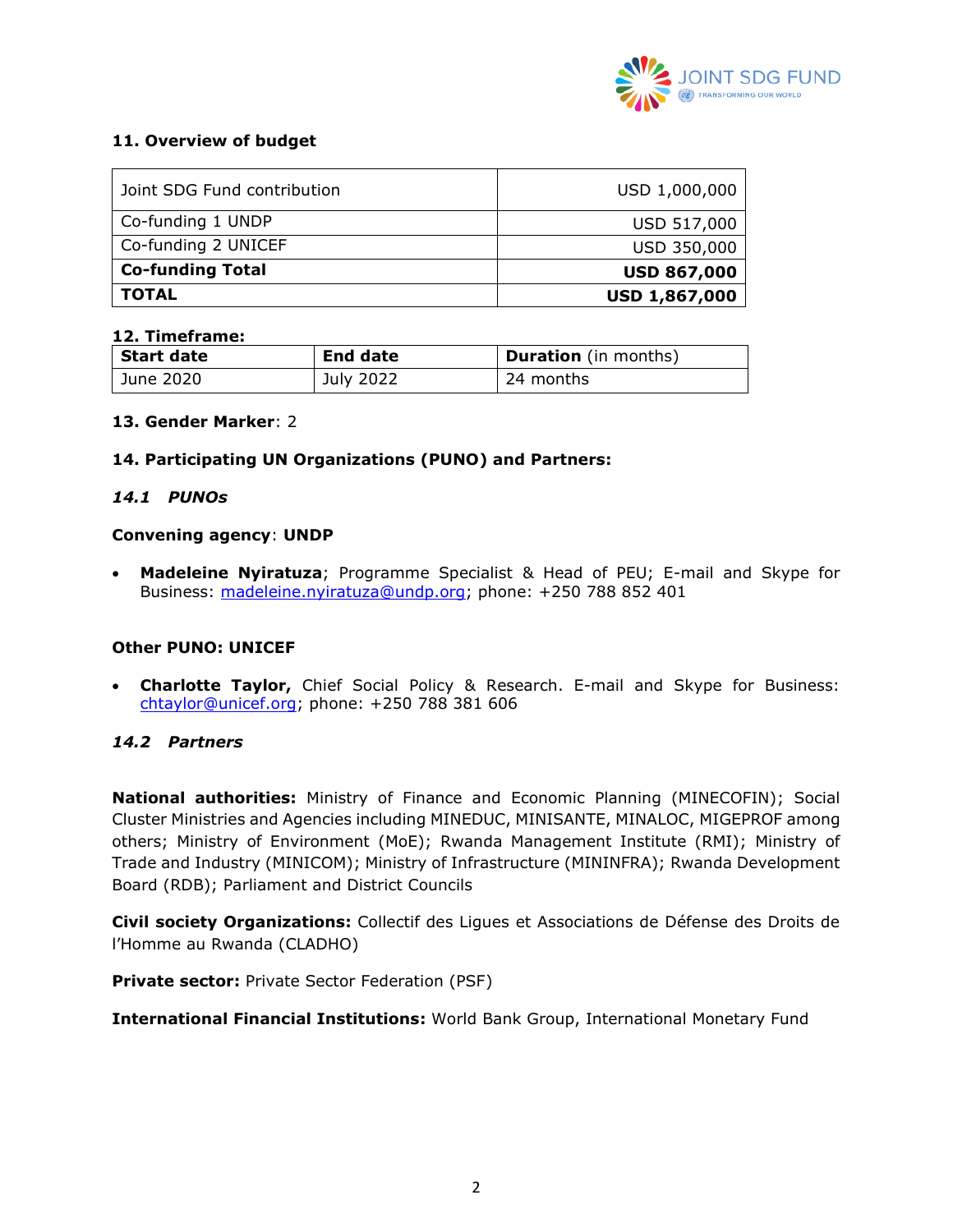

#### **11. Overview of budget**

| Joint SDG Fund contribution | USD 1,000,000        |
|-----------------------------|----------------------|
| Co-funding 1 UNDP           | USD 517,000          |
| Co-funding 2 UNICEF         | USD 350,000          |
| <b>Co-funding Total</b>     | <b>USD 867,000</b>   |
| <b>TOTAL</b>                | <b>USD 1,867,000</b> |

#### **12. Timeframe:**

| Start date | <b>End date</b> | <b>Duration</b> (in months) |
|------------|-----------------|-----------------------------|
| June 2020  | July 2022       | 24 months                   |

#### **13. Gender Marker**: 2

#### **14. Participating UN Organizations (PUNO) and Partners:**

#### *14.1 PUNOs*

#### **Convening agency**: **UNDP**

• **Madeleine Nyiratuza**; Programme Specialist & Head of PEU; E-mail and Skype for Business: madeleine.nyiratuza@undp.org; phone: +250 788 852 401

#### **Other PUNO: UNICEF**

• **Charlotte Taylor,** Chief Social Policy & Research. E-mail and Skype for Business: [chtaylor@unicef.org;](mailto:chtaylor@unicef.org) phone: +250 788 381 606

#### *14.2 Partners*

**National authorities:** Ministry of Finance and Economic Planning (MINECOFIN); Social Cluster Ministries and Agencies including MINEDUC, MINISANTE, MINALOC, MIGEPROF among others; Ministry of Environment (MoE); Rwanda Management Institute (RMI); Ministry of Trade and Industry (MINICOM); Ministry of Infrastructure (MININFRA); Rwanda Development Board (RDB); Parliament and District Councils

**Civil society Organizations:** Collectif des Ligues et Associations de Défense des Droits de l'Homme au Rwanda (CLADHO)

**Private sector:** Private Sector Federation (PSF)

**International Financial Institutions:** World Bank Group, International Monetary Fund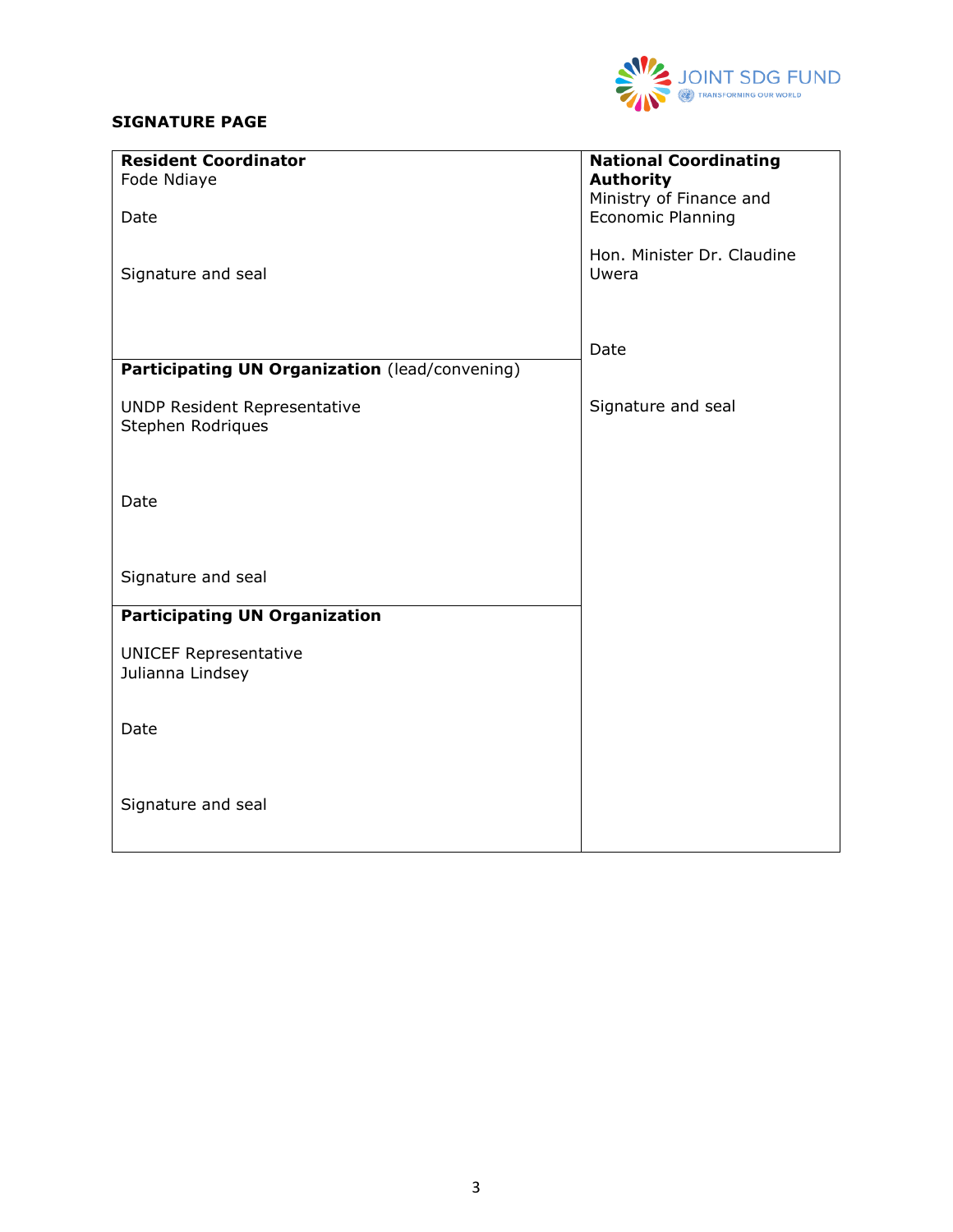

### **SIGNATURE PAGE**

| <b>Resident Coordinator</b>                    | <b>National Coordinating</b>                |
|------------------------------------------------|---------------------------------------------|
| Fode Ndiaye                                    | <b>Authority</b><br>Ministry of Finance and |
| Date                                           | Economic Planning                           |
|                                                |                                             |
|                                                | Hon. Minister Dr. Claudine                  |
| Signature and seal                             | Uwera                                       |
|                                                |                                             |
|                                                |                                             |
| Participating UN Organization (lead/convening) | Date                                        |
|                                                |                                             |
| <b>UNDP Resident Representative</b>            | Signature and seal                          |
| Stephen Rodriques                              |                                             |
|                                                |                                             |
|                                                |                                             |
| Date                                           |                                             |
|                                                |                                             |
|                                                |                                             |
| Signature and seal                             |                                             |
| <b>Participating UN Organization</b>           |                                             |
|                                                |                                             |
| <b>UNICEF Representative</b>                   |                                             |
| Julianna Lindsey                               |                                             |
|                                                |                                             |
| Date                                           |                                             |
|                                                |                                             |
|                                                |                                             |
| Signature and seal                             |                                             |
|                                                |                                             |
|                                                |                                             |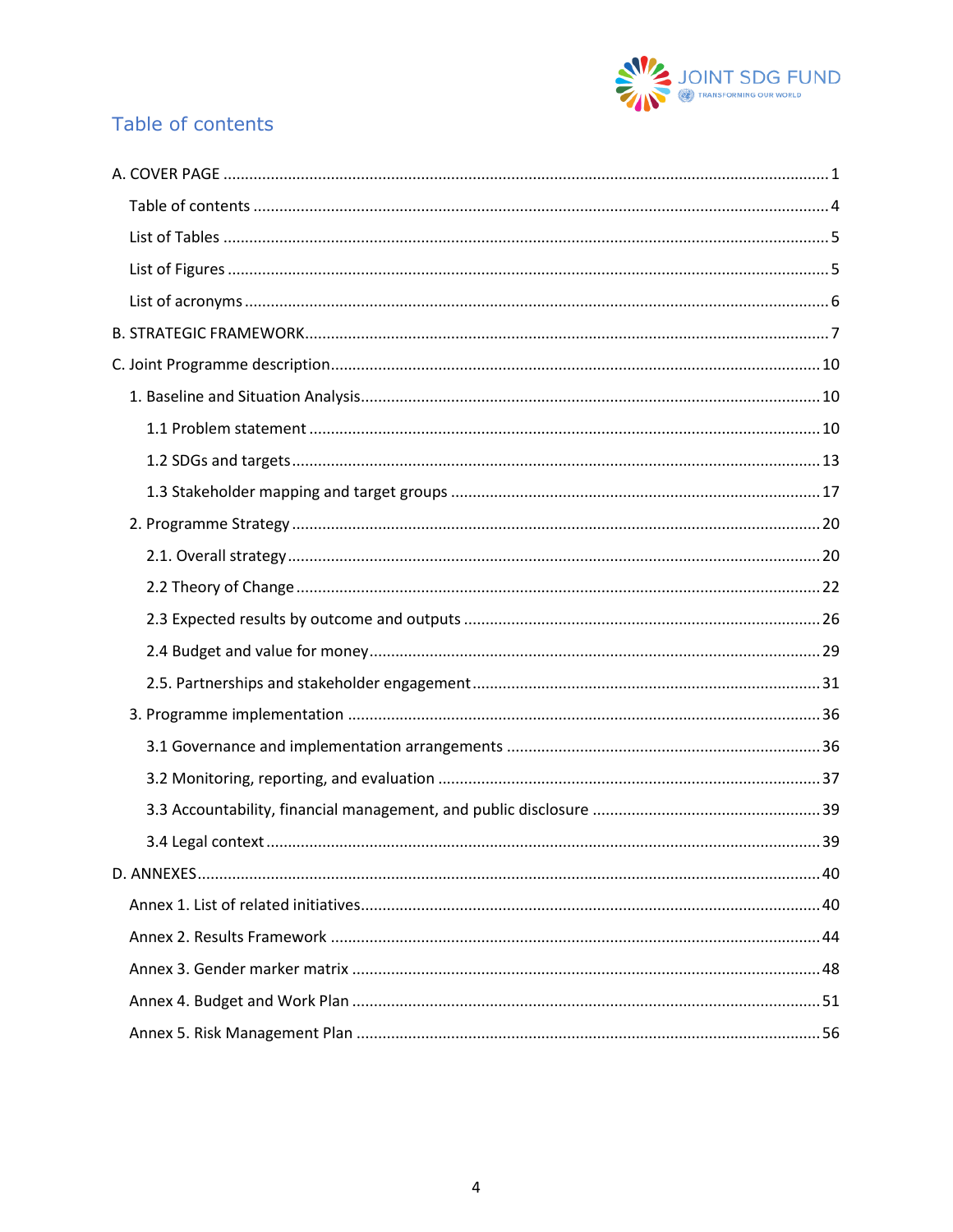

# <span id="page-3-0"></span>Table of contents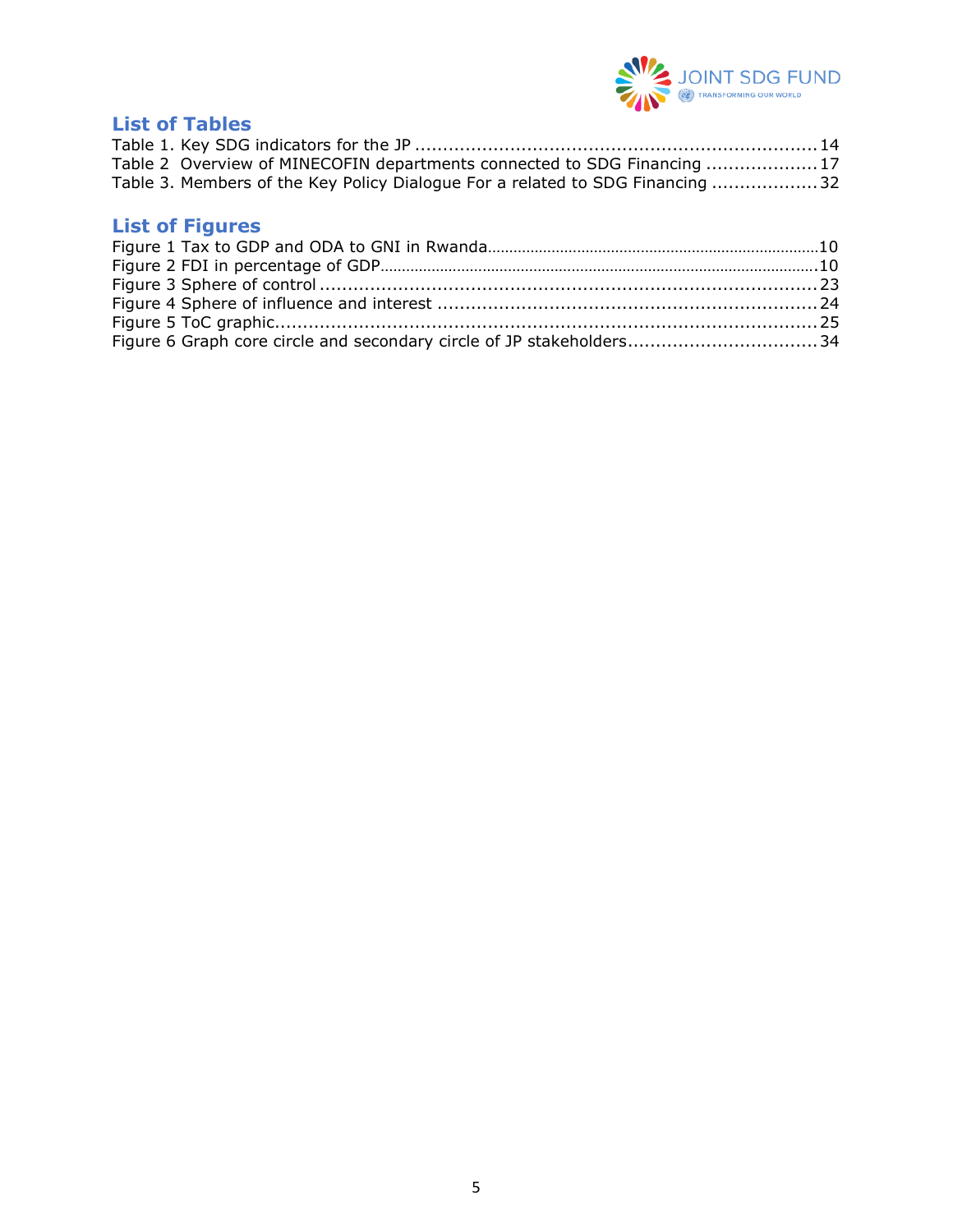

# <span id="page-4-0"></span>**List of Tables**

| Table 2 Overview of MINECOFIN departments connected to SDG Financing 17       |  |
|-------------------------------------------------------------------------------|--|
| Table 3. Members of the Key Policy Dialogue For a related to SDG Financing 32 |  |

# <span id="page-4-1"></span>**List of Figures**

| Figure 6 Graph core circle and secondary circle of JP stakeholders34 |  |
|----------------------------------------------------------------------|--|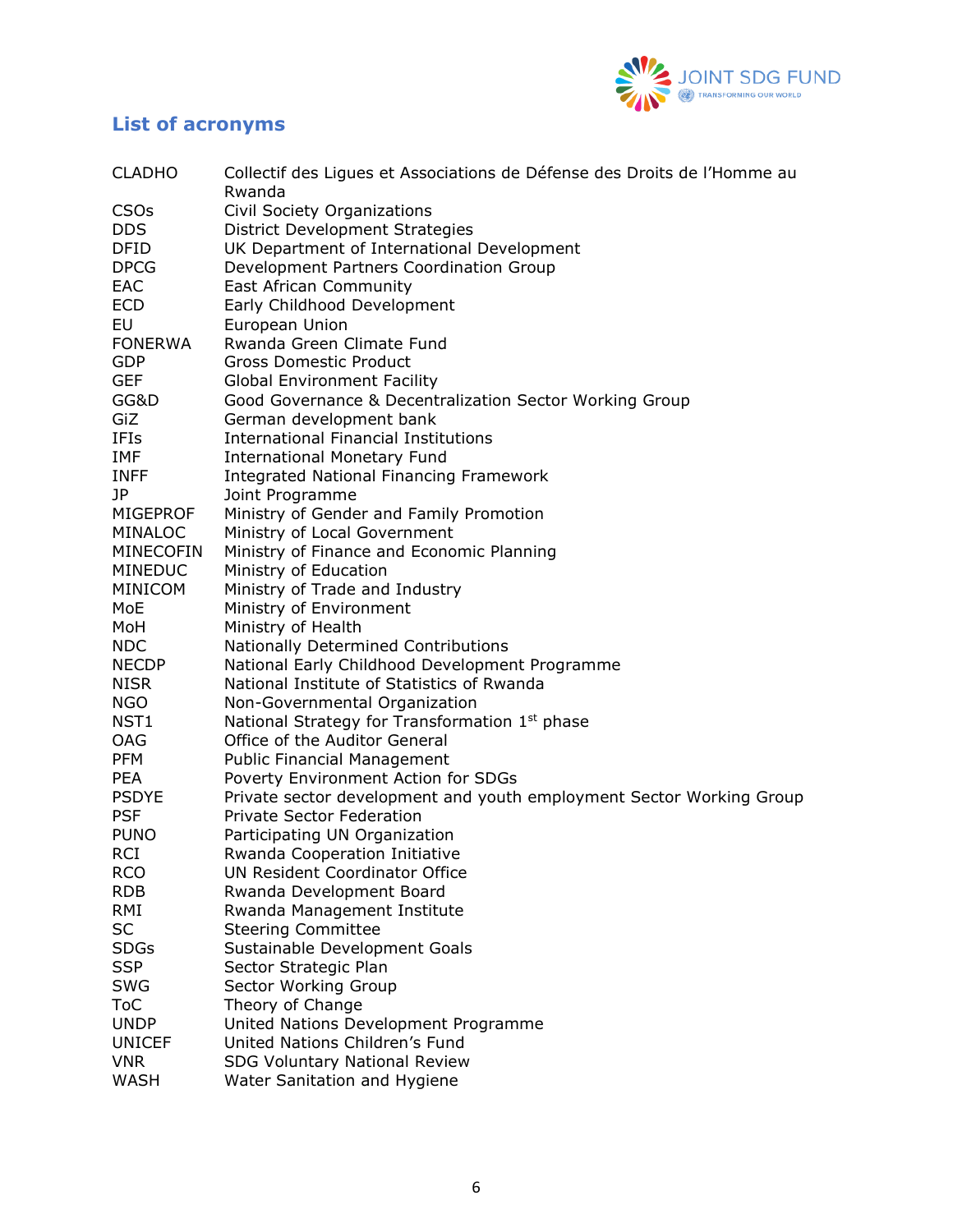

# <span id="page-5-0"></span>**List of acronyms**

| <b>CLADHO</b>                | Collectif des Ligues et Associations de Défense des Droits de l'Homme au<br>Rwanda |
|------------------------------|------------------------------------------------------------------------------------|
| <b>CSOs</b>                  | Civil Society Organizations                                                        |
| DDS.                         | District Development Strategies                                                    |
| DFID                         | UK Department of International Development                                         |
| <b>DPCG</b>                  | Development Partners Coordination Group                                            |
| EAC                          | <b>East African Community</b>                                                      |
| <b>ECD</b>                   | Early Childhood Development                                                        |
| EU                           | European Union                                                                     |
| <b>FONERWA</b>               | Rwanda Green Climate Fund                                                          |
| <b>GDP</b>                   | <b>Gross Domestic Product</b>                                                      |
| <b>GEF</b>                   | <b>Global Environment Facility</b>                                                 |
| GG&D                         | Good Governance & Decentralization Sector Working Group                            |
| GiZ                          | German development bank                                                            |
| IFIs                         | <b>International Financial Institutions</b>                                        |
| IMF                          | <b>International Monetary Fund</b>                                                 |
| <b>INFF</b>                  | <b>Integrated National Financing Framework</b>                                     |
| JP                           | Joint Programme                                                                    |
| <b>MIGEPROF</b>              | Ministry of Gender and Family Promotion                                            |
| <b>MINALOC</b>               | Ministry of Local Government                                                       |
| <b>MINECOFIN</b>             | Ministry of Finance and Economic Planning                                          |
| <b>MINEDUC</b>               | Ministry of Education                                                              |
| MINICOM                      | Ministry of Trade and Industry                                                     |
| MoE                          | Ministry of Environment                                                            |
| MoH                          | Ministry of Health                                                                 |
| <b>NDC</b>                   | Nationally Determined Contributions                                                |
| <b>NECDP</b>                 | National Early Childhood Development Programme                                     |
| <b>NISR</b>                  | National Institute of Statistics of Rwanda                                         |
| NGO                          | Non-Governmental Organization                                                      |
| NST1                         | National Strategy for Transformation 1 <sup>st</sup> phase                         |
| OAG                          | Office of the Auditor General                                                      |
| <b>PFM</b>                   | <b>Public Financial Management</b>                                                 |
| <b>PEA</b>                   | Poverty Environment Action for SDGs                                                |
| <b>PSDYE</b>                 | Private sector development and youth employment Sector Working Group               |
| <b>PSF</b>                   | <b>Private Sector Federation</b>                                                   |
| <b>PUNO</b>                  | Participating UN Organization                                                      |
| <b>RCI</b>                   | Rwanda Cooperation Initiative                                                      |
| <b>RCO</b>                   | <b>UN Resident Coordinator Office</b>                                              |
| <b>RDB</b>                   | Rwanda Development Board                                                           |
| RMI                          | Rwanda Management Institute                                                        |
| SC                           | <b>Steering Committee</b>                                                          |
| <b>SDGs</b>                  | Sustainable Development Goals                                                      |
| <b>SSP</b>                   | Sector Strategic Plan                                                              |
| SWG                          | Sector Working Group                                                               |
| ToC                          | Theory of Change                                                                   |
| <b>UNDP</b><br><b>UNICEF</b> | United Nations Development Programme<br>United Nations Children's Fund             |
| <b>VNR</b>                   | <b>SDG Voluntary National Review</b>                                               |
| WASH                         | Water Sanitation and Hygiene                                                       |
|                              |                                                                                    |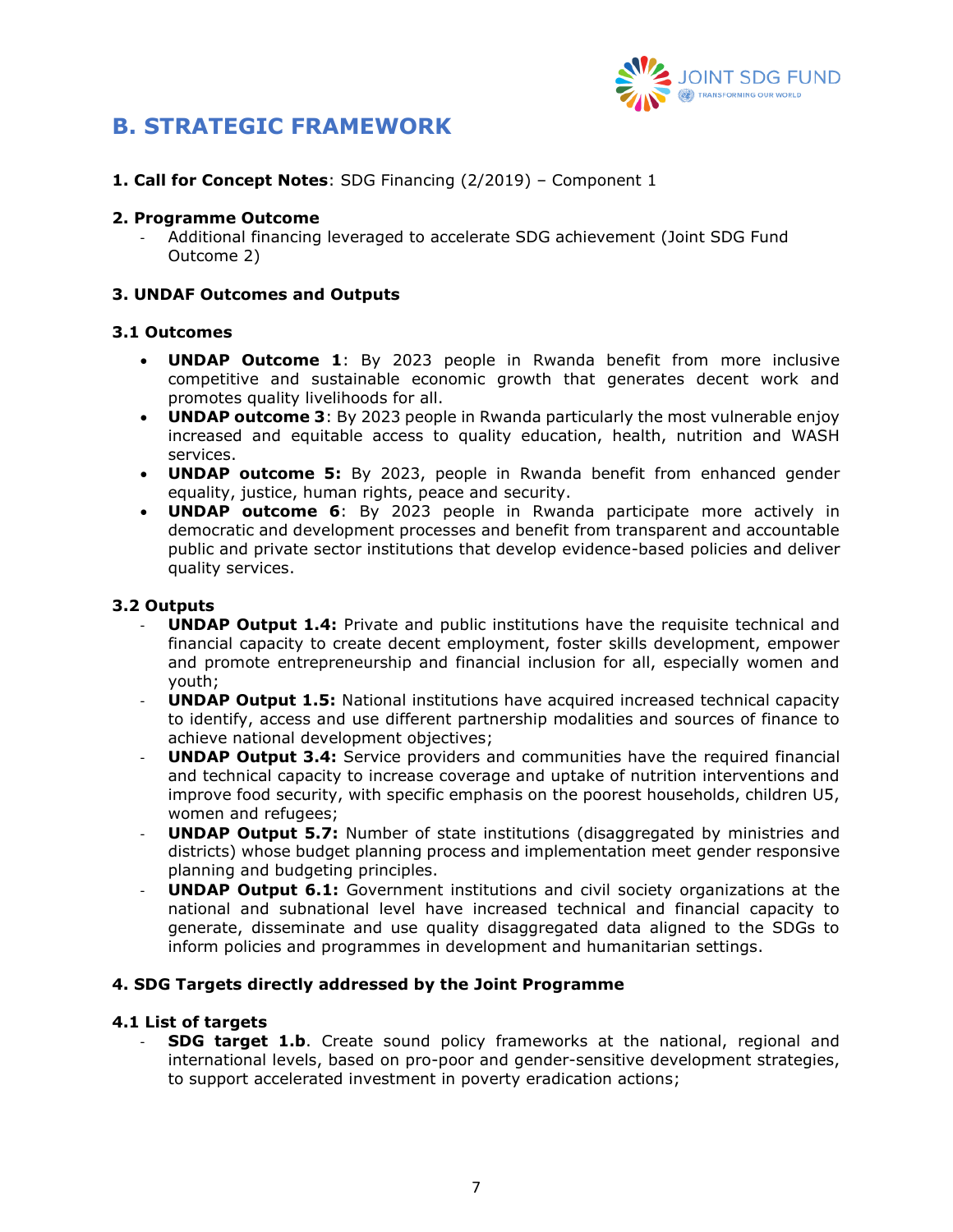

# <span id="page-6-0"></span>**B. STRATEGIC FRAMEWORK**

**1. Call for Concept Notes**: SDG Financing (2/2019) – Component 1

#### **2. Programme Outcome**

- Additional financing leveraged to accelerate SDG achievement (Joint SDG Fund Outcome 2)

#### **3. UNDAF Outcomes and Outputs**

#### **3.1 Outcomes**

- **UNDAP Outcome 1**: By 2023 people in Rwanda benefit from more inclusive competitive and sustainable economic growth that generates decent work and promotes quality livelihoods for all.
- **UNDAP outcome 3**: By 2023 people in Rwanda particularly the most vulnerable enjoy increased and equitable access to quality education, health, nutrition and WASH services.
- **UNDAP outcome 5:** By 2023, people in Rwanda benefit from enhanced gender equality, justice, human rights, peace and security.
- **UNDAP outcome 6**: By 2023 people in Rwanda participate more actively in democratic and development processes and benefit from transparent and accountable public and private sector institutions that develop evidence-based policies and deliver quality services.

#### **3.2 Outputs**

- **UNDAP Output 1.4:** Private and public institutions have the requisite technical and financial capacity to create decent employment, foster skills development, empower and promote entrepreneurship and financial inclusion for all, especially women and youth;
- **UNDAP Output 1.5:** National institutions have acquired increased technical capacity to identify, access and use different partnership modalities and sources of finance to achieve national development objectives;
- **UNDAP Output 3.4:** Service providers and communities have the required financial and technical capacity to increase coverage and uptake of nutrition interventions and improve food security, with specific emphasis on the poorest households, children U5, women and refugees;
- **UNDAP Output 5.7:** Number of state institutions (disaggregated by ministries and districts) whose budget planning process and implementation meet gender responsive planning and budgeting principles.
- **UNDAP Output 6.1:** Government institutions and civil society organizations at the national and subnational level have increased technical and financial capacity to generate, disseminate and use quality disaggregated data aligned to the SDGs to inform policies and programmes in development and humanitarian settings.

### **4. SDG Targets directly addressed by the Joint Programme**

#### **4.1 List of targets**

**SDG target 1.b.** Create sound policy frameworks at the national, regional and international levels, based on pro-poor and gender-sensitive development strategies, to support accelerated investment in poverty eradication actions;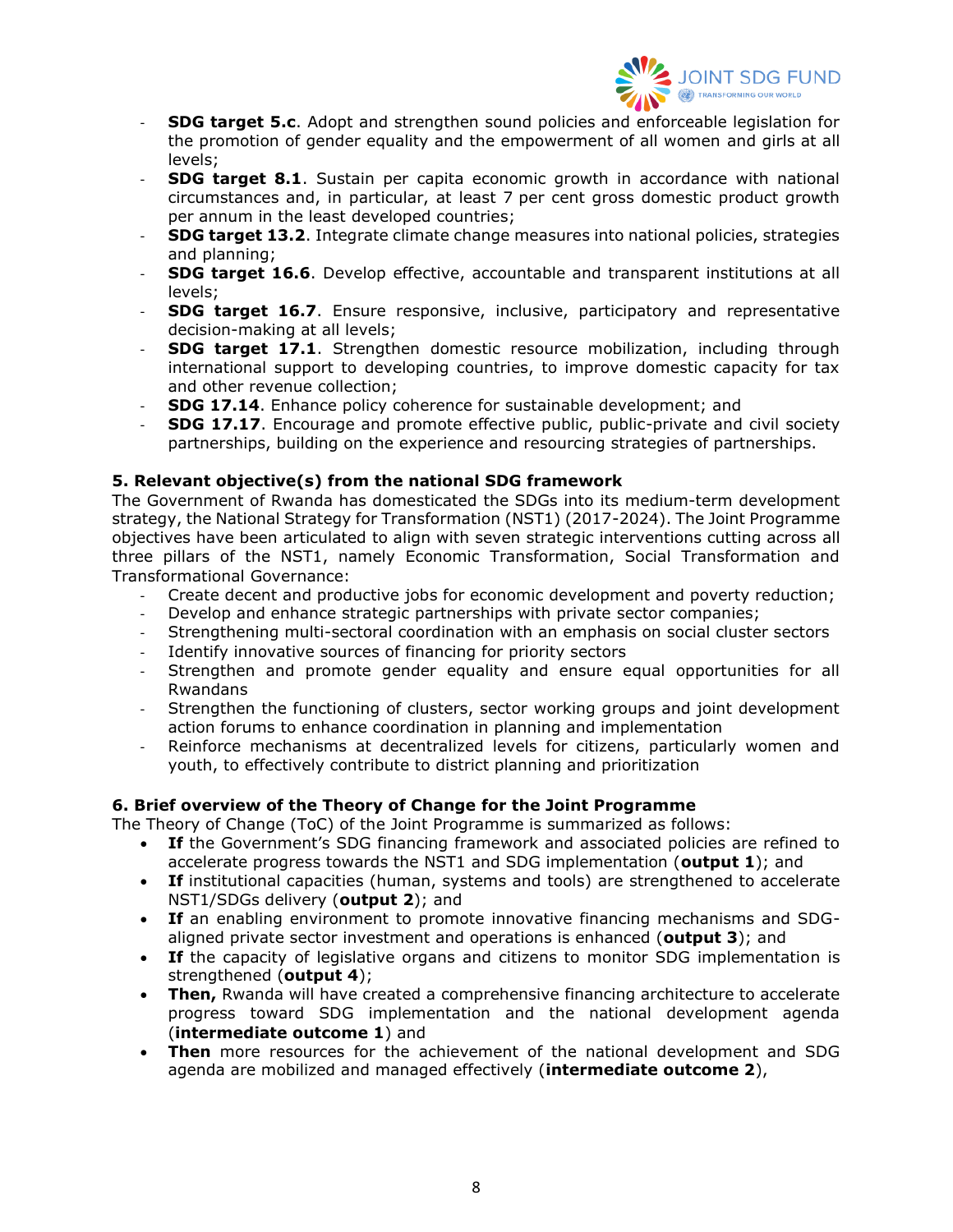

- **SDG target 5.c.** Adopt and strengthen sound policies and enforceable legislation for the promotion of gender equality and the empowerment of all women and girls at all levels;
- **SDG target 8.1**. Sustain per capita economic growth in accordance with national circumstances and, in particular, at least 7 per cent gross domestic product growth per annum in the least developed countries;
- **SDG target 13.2.** Integrate climate change measures into national policies, strategies and planning;
- **SDG target 16.6**. Develop effective, accountable and transparent institutions at all levels;
- **SDG target 16.7**. Ensure responsive, inclusive, participatory and representative decision-making at all levels;
- **SDG target 17.1**. Strengthen domestic resource mobilization, including through international support to developing countries, to improve domestic capacity for tax and other revenue collection;
- **SDG 17.14.** Enhance policy coherence for sustainable development; and
- **SDG 17.17**. Encourage and promote effective public, public-private and civil society partnerships, building on the experience and resourcing strategies of partnerships.

### **5. Relevant objective(s) from the national SDG framework**

The Government of Rwanda has domesticated the SDGs into its medium-term development strategy, the National Strategy for Transformation (NST1) (2017-2024). The Joint Programme objectives have been articulated to align with seven strategic interventions cutting across all three pillars of the NST1, namely Economic Transformation, Social Transformation and Transformational Governance:

- Create decent and productive jobs for economic development and poverty reduction;
- Develop and enhance strategic partnerships with private sector companies;
- Strengthening multi-sectoral coordination with an emphasis on social cluster sectors
- Identify innovative sources of financing for priority sectors
- Strengthen and promote gender equality and ensure equal opportunities for all Rwandans
- Strengthen the functioning of clusters, sector working groups and joint development action forums to enhance coordination in planning and implementation
- Reinforce mechanisms at decentralized levels for citizens, particularly women and youth, to effectively contribute to district planning and prioritization

### **6. Brief overview of the Theory of Change for the Joint Programme**

The Theory of Change (ToC) of the Joint Programme is summarized as follows:

- **If** the Government's SDG financing framework and associated policies are refined to accelerate progress towards the NST1 and SDG implementation (**output 1**); and
- **If** institutional capacities (human, systems and tools) are strengthened to accelerate NST1/SDGs delivery (**output 2**); and
- **If** an enabling environment to promote innovative financing mechanisms and SDGaligned private sector investment and operations is enhanced (**output 3**); and
- **If** the capacity of legislative organs and citizens to monitor SDG implementation is strengthened (**output 4**);
- **Then,** Rwanda will have created a comprehensive financing architecture to accelerate progress toward SDG implementation and the national development agenda (**intermediate outcome 1**) and
- **Then** more resources for the achievement of the national development and SDG agenda are mobilized and managed effectively (**intermediate outcome 2**),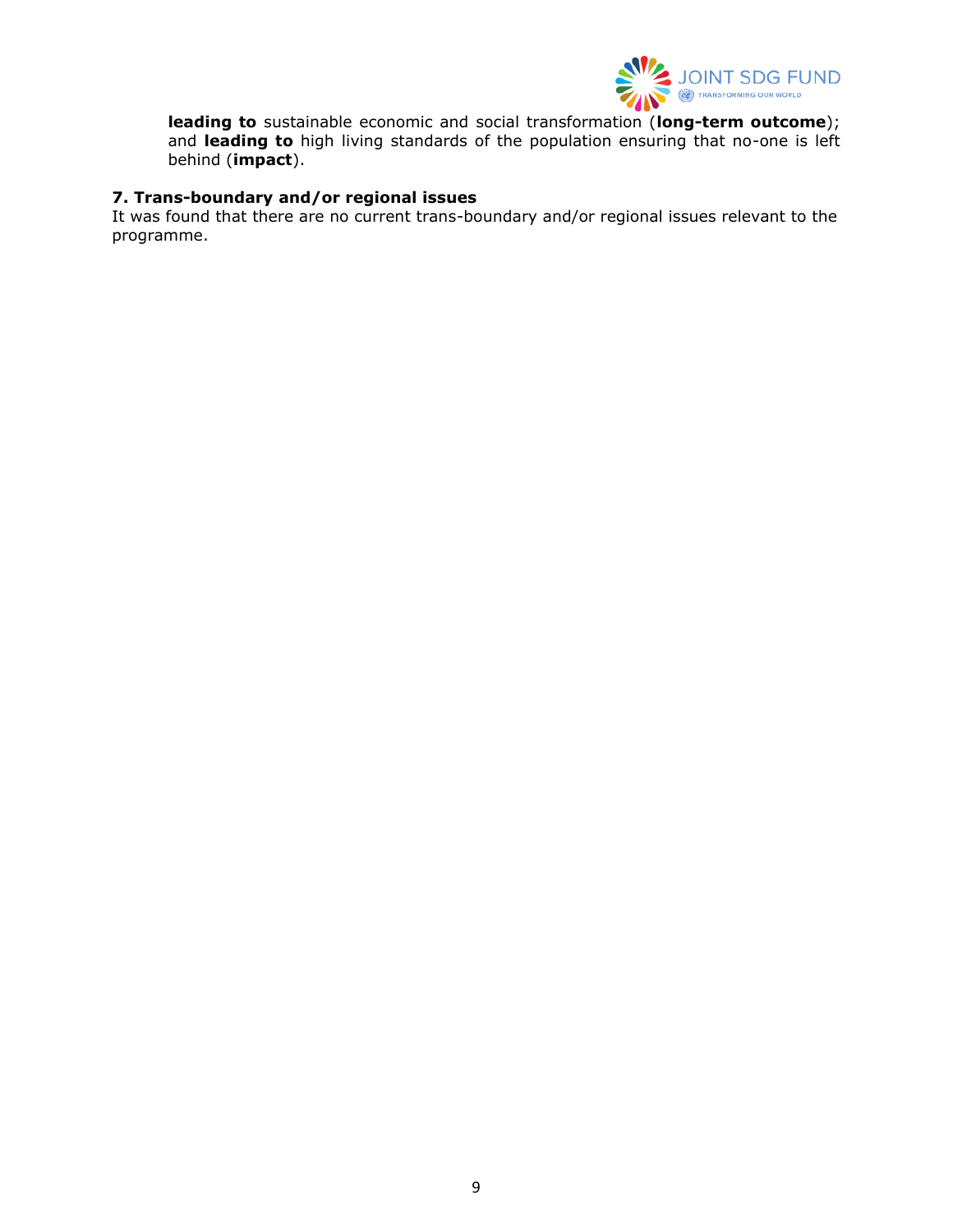

**leading to** sustainable economic and social transformation (**long-term outcome**); and **leading to** high living standards of the population ensuring that no-one is left behind (**impact**).

### **7. Trans-boundary and/or regional issues**

It was found that there are no current trans-boundary and/or regional issues relevant to the programme.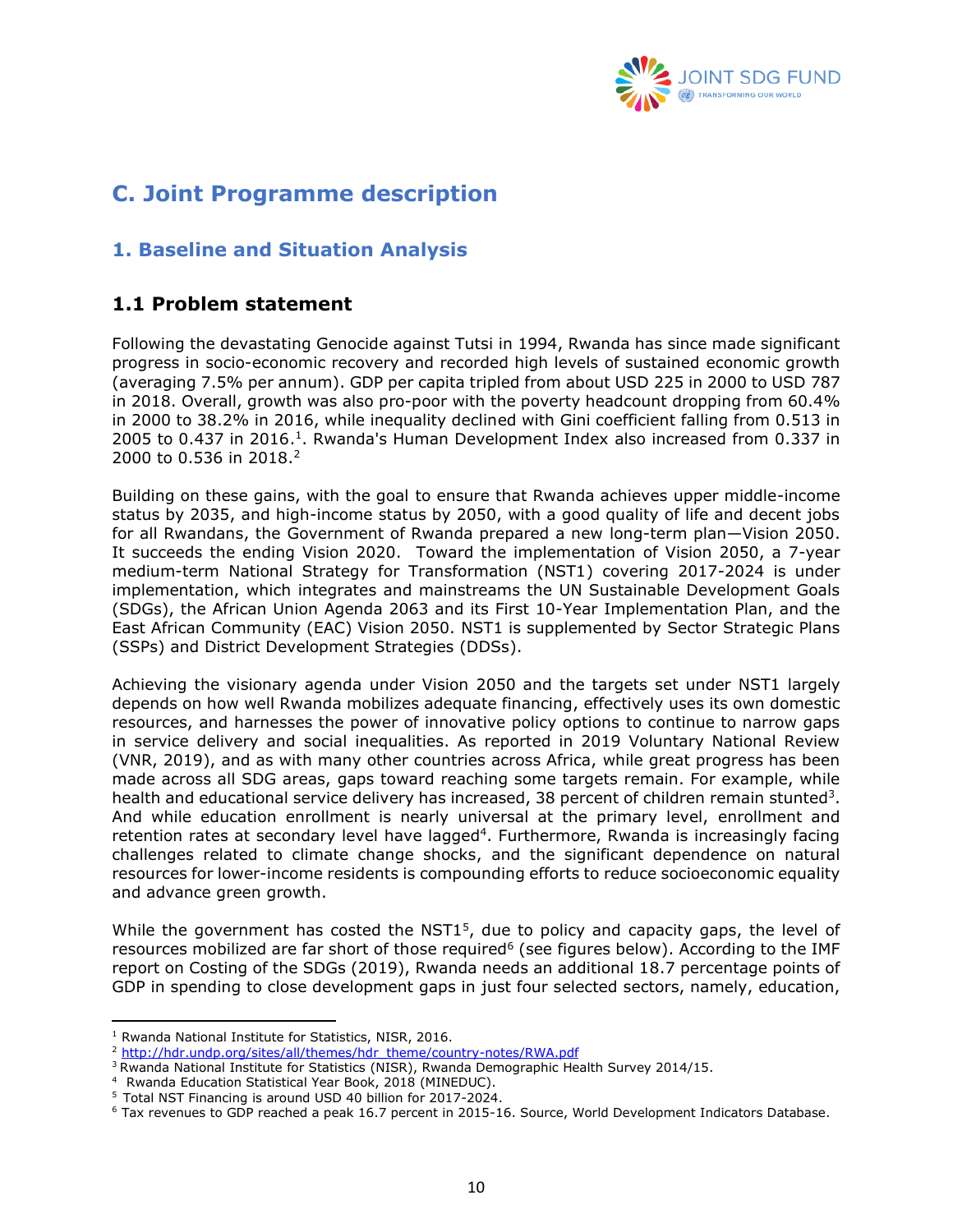

# <span id="page-9-0"></span>**C. Joint Programme description**

# <span id="page-9-1"></span>**1. Baseline and Situation Analysis**

## <span id="page-9-2"></span>**1.1 Problem statement**

Following the devastating Genocide against Tutsi in 1994, Rwanda has since made significant progress in socio-economic recovery and recorded high levels of sustained economic growth (averaging 7.5% per annum). GDP per capita tripled from about USD 225 in 2000 to USD 787 in 2018. Overall, growth was also pro-poor with the poverty headcount dropping from 60.4% in 2000 to 38.2% in 2016, while inequality declined with Gini coefficient falling from 0.513 in 2005 to 0.437 in 2016.<sup>1</sup>. Rwanda's Human Development Index also increased from 0.337 in 2000 to 0.536 in 2018. 2

Building on these gains, with the goal to ensure that Rwanda achieves upper middle-income status by 2035, and high-income status by 2050, with a good quality of life and decent jobs for all Rwandans, the Government of Rwanda prepared a new long-term plan—Vision 2050. It succeeds the ending Vision 2020. Toward the implementation of Vision 2050, a 7-year medium-term National Strategy for Transformation (NST1) covering 2017-2024 is under implementation, which integrates and mainstreams the UN Sustainable Development Goals (SDGs), the African Union Agenda 2063 and its First 10-Year Implementation Plan, and the East African Community (EAC) Vision 2050. NST1 is supplemented by Sector Strategic Plans (SSPs) and District Development Strategies (DDSs).

Achieving the visionary agenda under Vision 2050 and the targets set under NST1 largely depends on how well Rwanda mobilizes adequate financing, effectively uses its own domestic resources, and harnesses the power of innovative policy options to continue to narrow gaps in service delivery and social inequalities. As reported in 2019 Voluntary National Review (VNR, 2019), and as with many other countries across Africa, while great progress has been made across all SDG areas, gaps toward reaching some targets remain. For example, while health and educational service delivery has increased, 38 percent of children remain stunted<sup>3</sup>. And while education enrollment is nearly universal at the primary level, enrollment and retention rates at secondary level have lagged<sup>4</sup>. Furthermore, Rwanda is increasingly facing challenges related to climate change shocks, and the significant dependence on natural resources for lower-income residents is compounding efforts to reduce socioeconomic equality and advance green growth.

While the government has costed the NST1<sup>5</sup>, due to policy and capacity gaps, the level of resources mobilized are far short of those required<sup>6</sup> (see figures below). According to the IMF report on Costing of the SDGs (2019), Rwanda needs an additional 18.7 percentage points of GDP in spending to close development gaps in just four selected sectors, namely, education,

<sup>&</sup>lt;sup>1</sup> Rwanda National Institute for Statistics, NISR, 2016.

<sup>&</sup>lt;sup>2</sup> [http://hdr.undp.org/sites/all/themes/hdr\\_theme/country-notes/RWA.pdf](http://hdr.undp.org/sites/all/themes/hdr_theme/country-notes/RWA.pdf)

<sup>&</sup>lt;sup>3</sup> Rwanda National Institute for Statistics (NISR), Rwanda Demographic Health Survey 2014/15.

<sup>4</sup> Rwanda Education Statistical Year Book, 2018 (MINEDUC).

<sup>5</sup> Total NST Financing is around USD 40 billion for 2017-2024.

<sup>6</sup> Tax revenues to GDP reached a peak 16.7 percent in 2015-16. Source, World Development Indicators Database.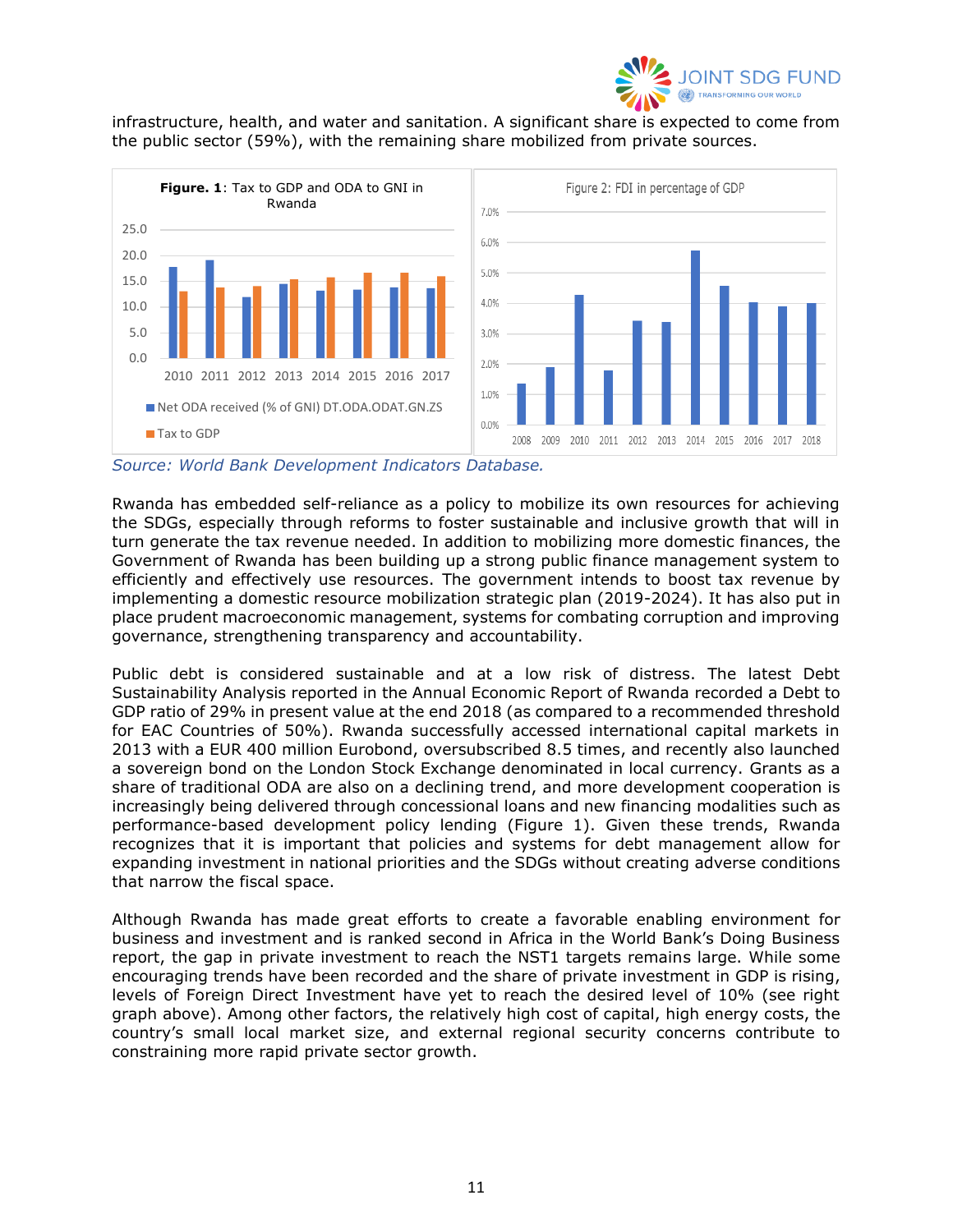

infrastructure, health, and water and sanitation. A significant share is expected to come from the public sector (59%), with the remaining share mobilized from private sources.



*Source: World Bank Development Indicators Database.*

Rwanda has embedded self-reliance as a policy to mobilize its own resources for achieving the SDGs, especially through reforms to foster sustainable and inclusive growth that will in turn generate the tax revenue needed. In addition to mobilizing more domestic finances, the Government of Rwanda has been building up a strong public finance management system to efficiently and effectively use resources. The government intends to boost tax revenue by implementing a domestic resource mobilization strategic plan (2019-2024). It has also put in place prudent macroeconomic management, systems for combating corruption and improving governance, strengthening transparency and accountability.

Public debt is considered sustainable and at a low risk of distress. The latest Debt Sustainability Analysis reported in the Annual Economic Report of Rwanda recorded a Debt to GDP ratio of 29% in present value at the end 2018 (as compared to a recommended threshold for EAC Countries of 50%). Rwanda successfully accessed international capital markets in 2013 with a EUR 400 million Eurobond, oversubscribed 8.5 times, and recently also launched a sovereign bond on the London Stock Exchange denominated in local currency. Grants as a share of traditional ODA are also on a declining trend, and more development cooperation is increasingly being delivered through concessional loans and new financing modalities such as performance-based development policy lending (Figure 1). Given these trends, Rwanda recognizes that it is important that policies and systems for debt management allow for expanding investment in national priorities and the SDGs without creating adverse conditions that narrow the fiscal space.

Although Rwanda has made great efforts to create a favorable enabling environment for business and investment and is ranked second in Africa in the World Bank's Doing Business report, the gap in private investment to reach the NST1 targets remains large. While some encouraging trends have been recorded and the share of private investment in GDP is rising, levels of Foreign Direct Investment have yet to reach the desired level of 10% (see right graph above). Among other factors, the relatively high cost of capital, high energy costs, the country's small local market size, and external regional security concerns contribute to constraining more rapid private sector growth.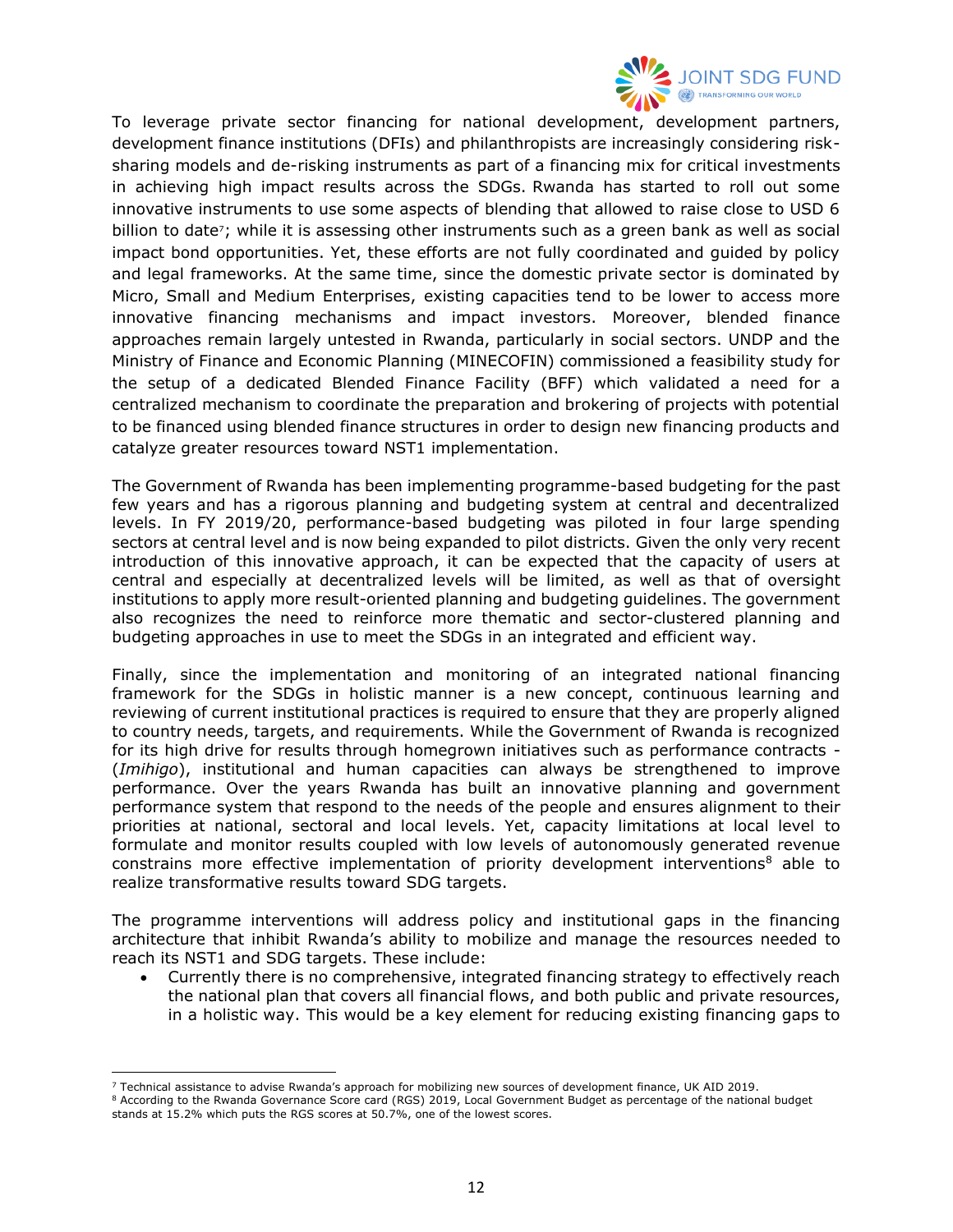

To leverage private sector financing for national development, development partners, development finance institutions (DFIs) and philanthropists are increasingly considering risksharing models and de-risking instruments as part of a financing mix for critical investments in achieving high impact results across the SDGs. Rwanda has started to roll out some innovative instruments to use some aspects of blending that allowed to raise close to USD 6 billion to date<sup>7</sup>; while it is assessing other instruments such as a green bank as well as social impact bond opportunities. Yet, these efforts are not fully coordinated and guided by policy and legal frameworks. At the same time, since the domestic private sector is dominated by Micro, Small and Medium Enterprises, existing capacities tend to be lower to access more innovative financing mechanisms and impact investors. Moreover, blended finance approaches remain largely untested in Rwanda, particularly in social sectors. UNDP and the Ministry of Finance and Economic Planning (MINECOFIN) commissioned a feasibility study for the setup of a dedicated Blended Finance Facility (BFF) which validated a need for a centralized mechanism to coordinate the preparation and brokering of projects with potential to be financed using blended finance structures in order to design new financing products and catalyze greater resources toward NST1 implementation.

The Government of Rwanda has been implementing programme-based budgeting for the past few years and has a rigorous planning and budgeting system at central and decentralized levels. In FY 2019/20, performance-based budgeting was piloted in four large spending sectors at central level and is now being expanded to pilot districts. Given the only very recent introduction of this innovative approach, it can be expected that the capacity of users at central and especially at decentralized levels will be limited, as well as that of oversight institutions to apply more result-oriented planning and budgeting guidelines. The government also recognizes the need to reinforce more thematic and sector-clustered planning and budgeting approaches in use to meet the SDGs in an integrated and efficient way.

Finally, since the implementation and monitoring of an integrated national financing framework for the SDGs in holistic manner is a new concept, continuous learning and reviewing of current institutional practices is required to ensure that they are properly aligned to country needs, targets, and requirements. While the Government of Rwanda is recognized for its high drive for results through homegrown initiatives such as performance contracts - (*Imihigo*), institutional and human capacities can always be strengthened to improve performance. Over the years Rwanda has built an innovative planning and government performance system that respond to the needs of the people and ensures alignment to their priorities at national, sectoral and local levels. Yet, capacity limitations at local level to formulate and monitor results coupled with low levels of autonomously generated revenue constrains more effective implementation of priority development interventions<sup>8</sup> able to realize transformative results toward SDG targets.

The programme interventions will address policy and institutional gaps in the financing architecture that inhibit Rwanda's ability to mobilize and manage the resources needed to reach its NST1 and SDG targets. These include:

• Currently there is no comprehensive, integrated financing strategy to effectively reach the national plan that covers all financial flows, and both public and private resources, in a holistic way. This would be a key element for reducing existing financing gaps to

 $7$  Technical assistance to advise Rwanda's approach for mobilizing new sources of development finance, UK AID 2019.

<sup>8</sup> According to the Rwanda Governance Score card (RGS) 2019, Local Government Budget as percentage of the national budget stands at 15.2% which puts the RGS scores at 50.7%, one of the lowest scores.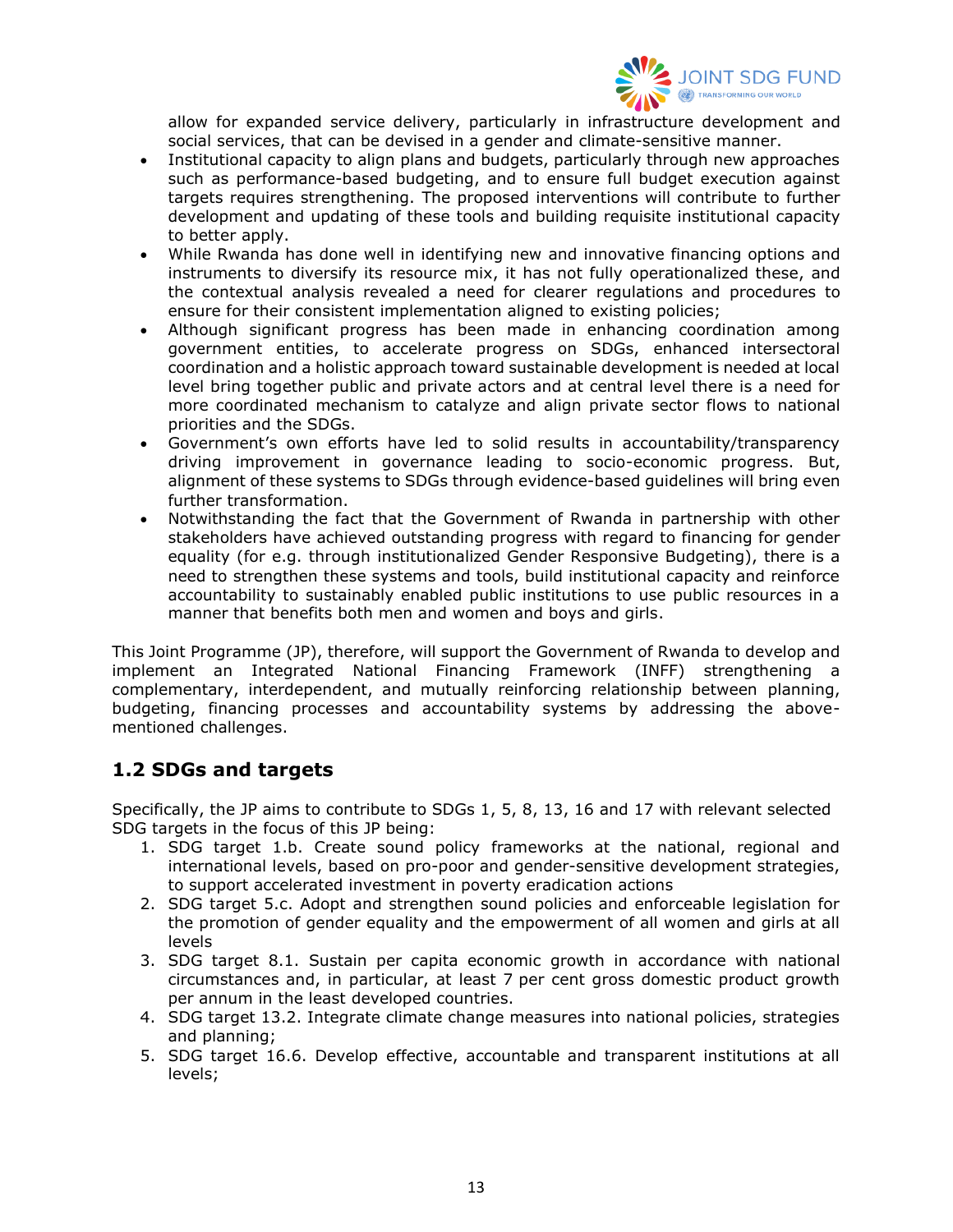

allow for expanded service delivery, particularly in infrastructure development and social services, that can be devised in a gender and climate-sensitive manner.

- Institutional capacity to align plans and budgets, particularly through new approaches such as performance-based budgeting, and to ensure full budget execution against targets requires strengthening. The proposed interventions will contribute to further development and updating of these tools and building requisite institutional capacity to better apply.
- While Rwanda has done well in identifying new and innovative financing options and instruments to diversify its resource mix, it has not fully operationalized these, and the contextual analysis revealed a need for clearer regulations and procedures to ensure for their consistent implementation aligned to existing policies;
- Although significant progress has been made in enhancing coordination among government entities, to accelerate progress on SDGs, enhanced intersectoral coordination and a holistic approach toward sustainable development is needed at local level bring together public and private actors and at central level there is a need for more coordinated mechanism to catalyze and align private sector flows to national priorities and the SDGs.
- Government's own efforts have led to solid results in accountability/transparency driving improvement in governance leading to socio-economic progress. But, alignment of these systems to SDGs through evidence-based guidelines will bring even further transformation.
- Notwithstanding the fact that the Government of Rwanda in partnership with other stakeholders have achieved outstanding progress with regard to financing for gender equality (for e.g. through institutionalized Gender Responsive Budgeting), there is a need to strengthen these systems and tools, build institutional capacity and reinforce accountability to sustainably enabled public institutions to use public resources in a manner that benefits both men and women and boys and girls.

This Joint Programme (JP), therefore, will support the Government of Rwanda to develop and implement an Integrated National Financing Framework (INFF) strengthening a complementary, interdependent, and mutually reinforcing relationship between planning, budgeting, financing processes and accountability systems by addressing the abovementioned challenges.

## <span id="page-12-0"></span>**1.2 SDGs and targets**

Specifically, the JP aims to contribute to SDGs 1, 5, 8, 13, 16 and 17 with relevant selected SDG targets in the focus of this JP being:

- 1. SDG target 1.b. Create sound policy frameworks at the national, regional and international levels, based on pro-poor and gender-sensitive development strategies, to support accelerated investment in poverty eradication actions
- 2. SDG target 5.c. Adopt and strengthen sound policies and enforceable legislation for the promotion of gender equality and the empowerment of all women and girls at all levels
- 3. SDG target 8.1. Sustain per capita economic growth in accordance with national circumstances and, in particular, at least 7 per cent gross domestic product growth per annum in the least developed countries.
- 4. SDG target 13.2. Integrate climate change measures into national policies, strategies and planning;
- 5. SDG target 16.6. Develop effective, accountable and transparent institutions at all levels;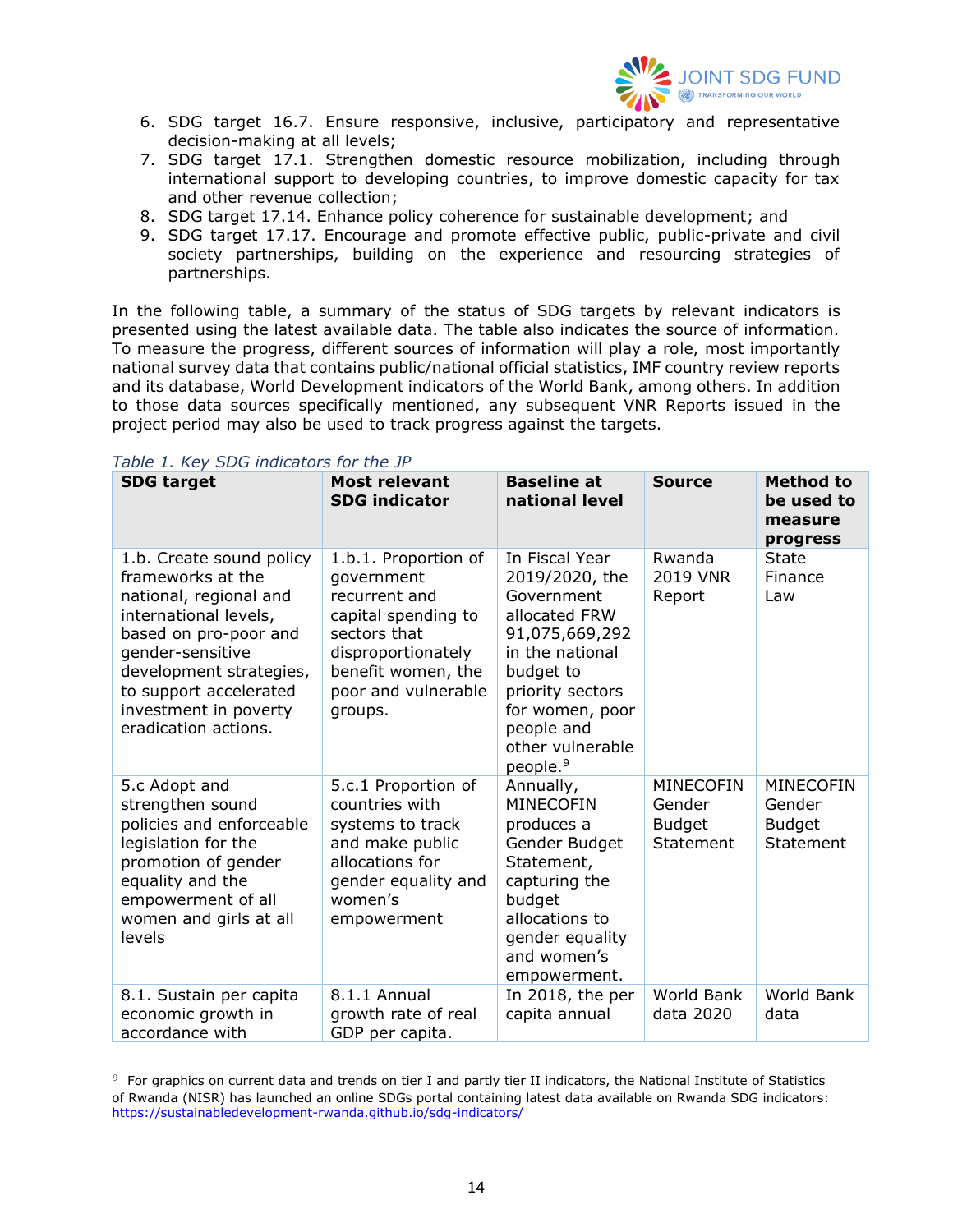

- 6. SDG target 16.7. Ensure responsive, inclusive, participatory and representative decision-making at all levels;
- 7. SDG target 17.1. Strengthen domestic resource mobilization, including through international support to developing countries, to improve domestic capacity for tax and other revenue collection;
- 8. SDG target 17.14. Enhance policy coherence for sustainable development; and
- 9. SDG target 17.17. Encourage and promote effective public, public-private and civil society partnerships, building on the experience and resourcing strategies of partnerships.

In the following table, a summary of the status of SDG targets by relevant indicators is presented using the latest available data. The table also indicates the source of information. To measure the progress, different sources of information will play a role, most importantly national survey data that contains public/national official statistics, IMF country review reports and its database, World Development indicators of the World Bank, among others. In addition to those data sources specifically mentioned, any subsequent VNR Reports issued in the project period may also be used to track progress against the targets.

| <b>SDG target</b>                                                                                                                                                                                                                                   | <b>Most relevant</b><br><b>SDG indicator</b>                                                                                                                             | <b>Baseline at</b><br>national level                                                                                                                                                                               | <b>Source</b>                                            | <b>Method to</b><br>be used to<br>measure<br>progress    |
|-----------------------------------------------------------------------------------------------------------------------------------------------------------------------------------------------------------------------------------------------------|--------------------------------------------------------------------------------------------------------------------------------------------------------------------------|--------------------------------------------------------------------------------------------------------------------------------------------------------------------------------------------------------------------|----------------------------------------------------------|----------------------------------------------------------|
| 1.b. Create sound policy<br>frameworks at the<br>national, regional and<br>international levels,<br>based on pro-poor and<br>gender-sensitive<br>development strategies,<br>to support accelerated<br>investment in poverty<br>eradication actions. | 1.b.1. Proportion of<br>government<br>recurrent and<br>capital spending to<br>sectors that<br>disproportionately<br>benefit women, the<br>poor and vulnerable<br>groups. | In Fiscal Year<br>2019/2020, the<br>Government<br>allocated FRW<br>91,075,669,292<br>in the national<br>budget to<br>priority sectors<br>for women, poor<br>people and<br>other vulnerable<br>people. <sup>9</sup> | Rwanda<br><b>2019 VNR</b><br>Report                      | <b>State</b><br>Finance<br>Law                           |
| 5.c Adopt and<br>strengthen sound<br>policies and enforceable<br>legislation for the<br>promotion of gender<br>equality and the<br>empowerment of all<br>women and girls at all<br>levels                                                           | 5.c.1 Proportion of<br>countries with<br>systems to track<br>and make public<br>allocations for<br>gender equality and<br>women's<br>empowerment                         | Annually,<br><b>MINECOFIN</b><br>produces a<br>Gender Budget<br>Statement,<br>capturing the<br>budget<br>allocations to<br>gender equality<br>and women's<br>empowerment.                                          | <b>MINECOFIN</b><br>Gender<br><b>Budget</b><br>Statement | <b>MINECOFIN</b><br>Gender<br><b>Budget</b><br>Statement |
| 8.1. Sustain per capita<br>economic growth in<br>accordance with                                                                                                                                                                                    | 8.1.1 Annual<br>growth rate of real<br>GDP per capita.                                                                                                                   | In 2018, the per<br>capita annual                                                                                                                                                                                  | World Bank<br>data 2020                                  | World Bank<br>data                                       |

#### <span id="page-13-0"></span>*Table 1. Key SDG indicators for the JP*

<sup>9</sup> For graphics on current data and trends on tier I and partly tier II indicators, the National Institute of Statistics of Rwanda (NISR) has launched an online SDGs portal containing latest data available on Rwanda SDG indicators: <https://sustainabledevelopment-rwanda.github.io/sdg-indicators/>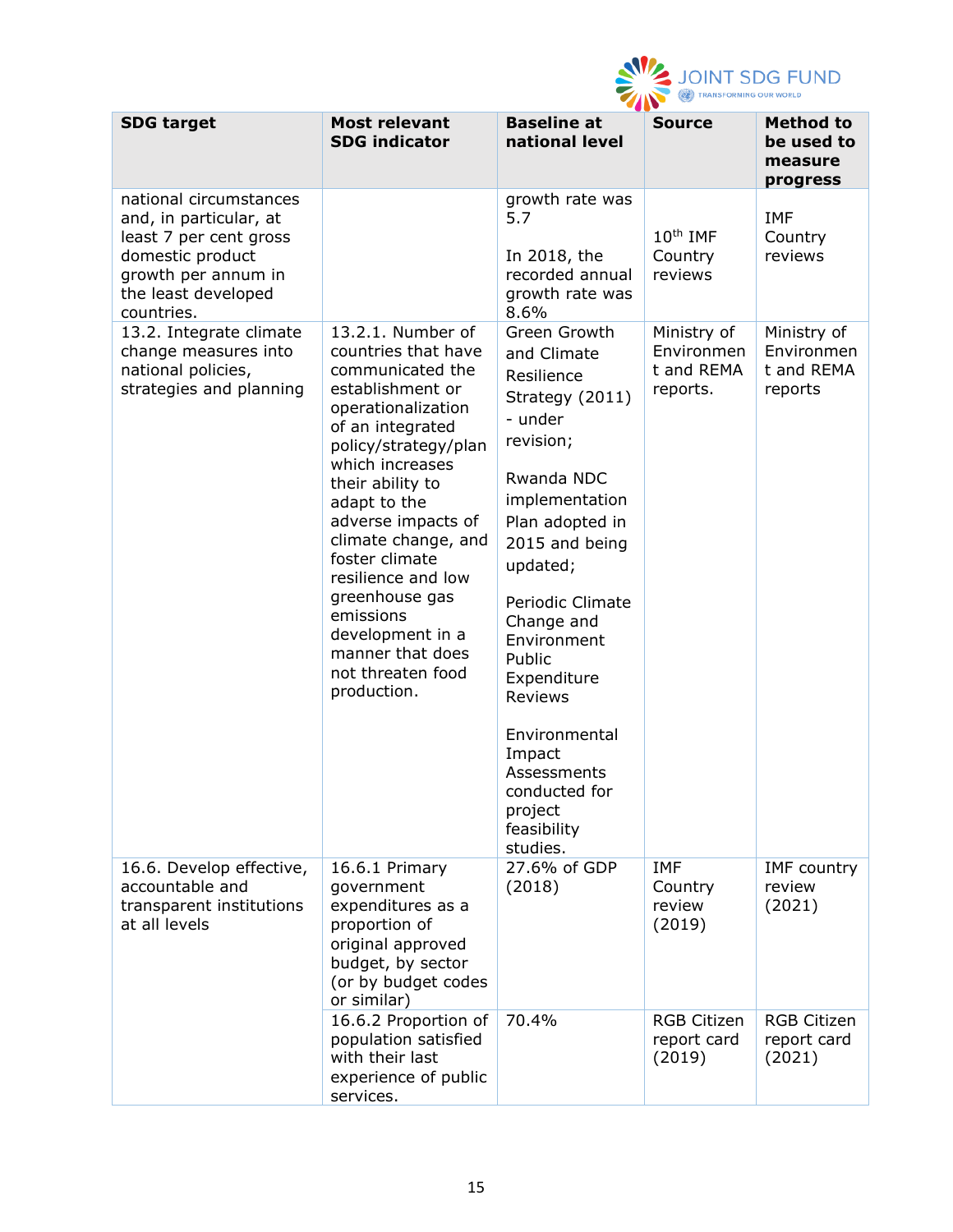

| <b>SDG target</b>                                                                                                                                          | <b>Most relevant</b><br><b>SDG indicator</b>                                                                                                                                                                                                                                                                                                                                                              | ----<br><b>Baseline at</b><br>national level                                                                                                                                                                                                                                                                                                                       | <b>Source</b>                                       | <b>Method to</b><br>be used to<br>measure<br>progress |
|------------------------------------------------------------------------------------------------------------------------------------------------------------|-----------------------------------------------------------------------------------------------------------------------------------------------------------------------------------------------------------------------------------------------------------------------------------------------------------------------------------------------------------------------------------------------------------|--------------------------------------------------------------------------------------------------------------------------------------------------------------------------------------------------------------------------------------------------------------------------------------------------------------------------------------------------------------------|-----------------------------------------------------|-------------------------------------------------------|
| national circumstances<br>and, in particular, at<br>least 7 per cent gross<br>domestic product<br>growth per annum in<br>the least developed<br>countries. |                                                                                                                                                                                                                                                                                                                                                                                                           | growth rate was<br>5.7<br>In 2018, the<br>recorded annual<br>growth rate was<br>8.6%                                                                                                                                                                                                                                                                               | $10th$ IMF<br>Country<br>reviews                    | <b>IMF</b><br>Country<br>reviews                      |
| 13.2. Integrate climate<br>change measures into<br>national policies,<br>strategies and planning                                                           | 13.2.1. Number of<br>countries that have<br>communicated the<br>establishment or<br>operationalization<br>of an integrated<br>policy/strategy/plan<br>which increases<br>their ability to<br>adapt to the<br>adverse impacts of<br>climate change, and<br>foster climate<br>resilience and low<br>greenhouse gas<br>emissions<br>development in a<br>manner that does<br>not threaten food<br>production. | Green Growth<br>and Climate<br>Resilience<br>Strategy (2011)<br>- under<br>revision;<br>Rwanda NDC<br>implementation<br>Plan adopted in<br>2015 and being<br>updated;<br>Periodic Climate<br>Change and<br>Environment<br>Public<br>Expenditure<br><b>Reviews</b><br>Environmental<br>Impact<br>Assessments<br>conducted for<br>project<br>feasibility<br>studies. | Ministry of<br>Environmen<br>t and REMA<br>reports. | Ministry of<br>Environmen<br>t and REMA<br>reports    |
| 16.6. Develop effective,<br>accountable and<br>transparent institutions<br>at all levels                                                                   | 16.6.1 Primary<br>government<br>expenditures as a<br>proportion of<br>original approved<br>budget, by sector<br>(or by budget codes<br>or similar)                                                                                                                                                                                                                                                        | 27.6% of GDP<br>(2018)                                                                                                                                                                                                                                                                                                                                             | <b>IMF</b><br>Country<br>review<br>(2019)           | <b>IMF</b> country<br>review<br>(2021)                |
|                                                                                                                                                            | 16.6.2 Proportion of<br>population satisfied<br>with their last<br>experience of public<br>services.                                                                                                                                                                                                                                                                                                      | 70.4%                                                                                                                                                                                                                                                                                                                                                              | <b>RGB Citizen</b><br>report card<br>(2019)         | <b>RGB Citizen</b><br>report card<br>(2021)           |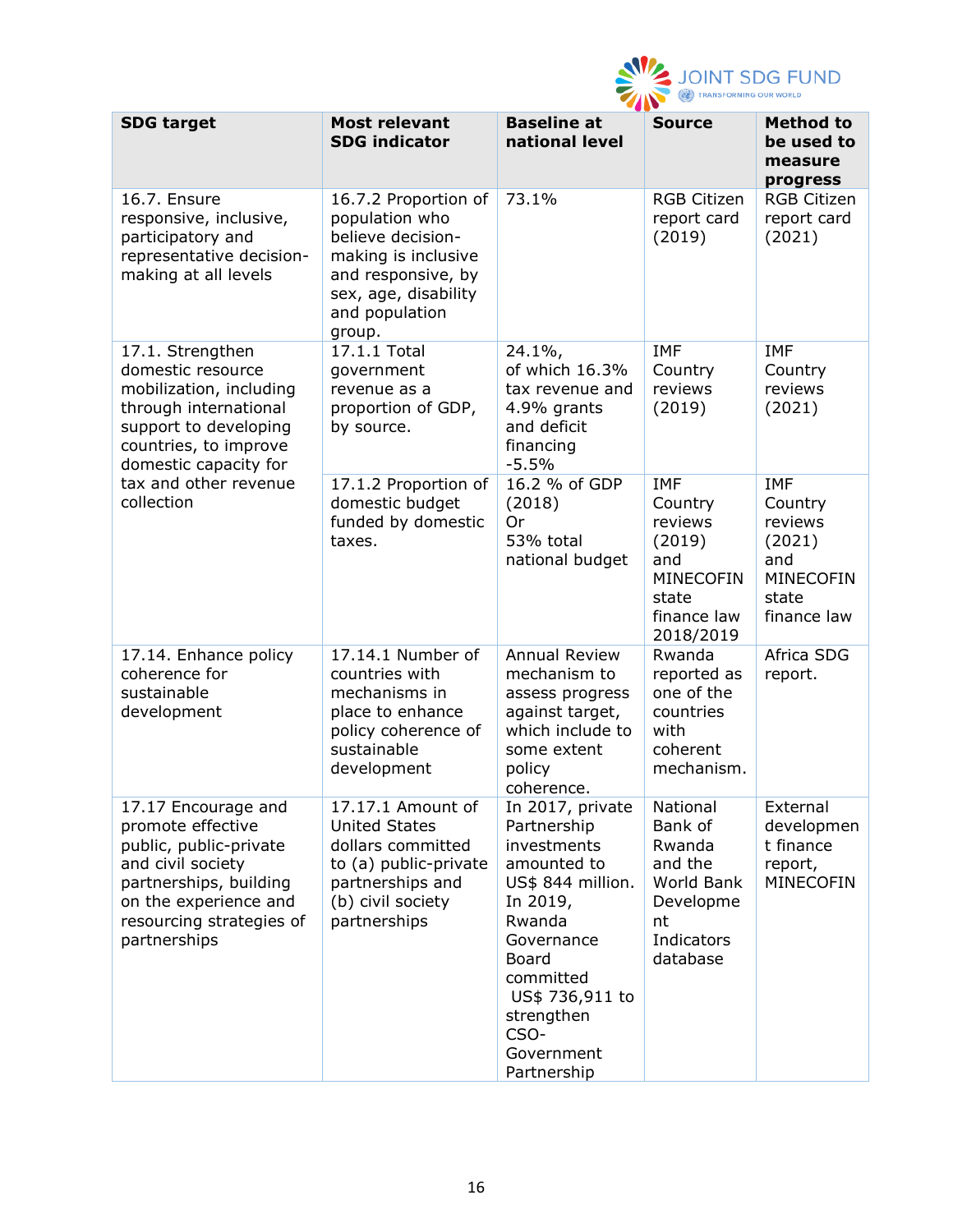

|                                                                                                                                                                                        |                                                                                                                                                              | -410                                                                                                                                                                                                               |                                                                                                            |                                                                                               |
|----------------------------------------------------------------------------------------------------------------------------------------------------------------------------------------|--------------------------------------------------------------------------------------------------------------------------------------------------------------|--------------------------------------------------------------------------------------------------------------------------------------------------------------------------------------------------------------------|------------------------------------------------------------------------------------------------------------|-----------------------------------------------------------------------------------------------|
| <b>SDG target</b>                                                                                                                                                                      | <b>Most relevant</b><br><b>SDG indicator</b>                                                                                                                 | <b>Baseline at</b><br>national level                                                                                                                                                                               | <b>Source</b>                                                                                              | <b>Method to</b><br>be used to<br>measure<br>progress                                         |
| 16.7. Ensure<br>responsive, inclusive,<br>participatory and<br>representative decision-<br>making at all levels                                                                        | 16.7.2 Proportion of<br>population who<br>believe decision-<br>making is inclusive<br>and responsive, by<br>sex, age, disability<br>and population<br>group. | 73.1%                                                                                                                                                                                                              | <b>RGB Citizen</b><br>report card<br>(2019)                                                                | <b>RGB Citizen</b><br>report card<br>(2021)                                                   |
| 17.1. Strengthen<br>domestic resource<br>mobilization, including<br>through international<br>support to developing<br>countries, to improve<br>domestic capacity for                   | 17.1.1 Total<br>government<br>revenue as a<br>proportion of GDP,<br>by source.                                                                               | $24.1\%$<br>of which 16.3%<br>tax revenue and<br>4.9% grants<br>and deficit<br>financing<br>$-5.5%$                                                                                                                | <b>IMF</b><br>Country<br>reviews<br>(2019)                                                                 | <b>IMF</b><br>Country<br>reviews<br>(2021)                                                    |
| tax and other revenue<br>collection                                                                                                                                                    | 17.1.2 Proportion of<br>domestic budget<br>funded by domestic<br>taxes.                                                                                      | 16.2 % of GDP<br>(2018)<br>Or<br>53% total<br>national budget                                                                                                                                                      | <b>IMF</b><br>Country<br>reviews<br>(2019)<br>and<br><b>MINECOFIN</b><br>state<br>finance law<br>2018/2019 | <b>IMF</b><br>Country<br>reviews<br>(2021)<br>and<br><b>MINECOFIN</b><br>state<br>finance law |
| 17.14. Enhance policy<br>coherence for<br>sustainable<br>development                                                                                                                   | 17.14.1 Number of<br>countries with<br>mechanisms in<br>place to enhance<br>policy coherence of<br>sustainable<br>development                                | <b>Annual Review</b><br>mechanism to<br>assess progress<br>against target,<br>which include to<br>some extent<br>policy<br>coherence.                                                                              | Rwanda<br>reported as<br>one of the<br>countries<br>with<br>coherent<br>mechanism.                         | Africa SDG<br>report.                                                                         |
| 17.17 Encourage and<br>promote effective<br>public, public-private<br>and civil society<br>partnerships, building<br>on the experience and<br>resourcing strategies of<br>partnerships | 17.17.1 Amount of<br><b>United States</b><br>dollars committed<br>to (a) public-private<br>partnerships and<br>(b) civil society<br>partnerships             | In 2017, private<br>Partnership<br>investments<br>amounted to<br>US\$ 844 million.<br>In 2019,<br>Rwanda<br>Governance<br>Board<br>committed<br>US\$ 736,911 to<br>strengthen<br>CSO-<br>Government<br>Partnership | National<br>Bank of<br>Rwanda<br>and the<br>World Bank<br>Developme<br>nt<br>Indicators<br>database        | External<br>developmen<br>t finance<br>report,<br><b>MINECOFIN</b>                            |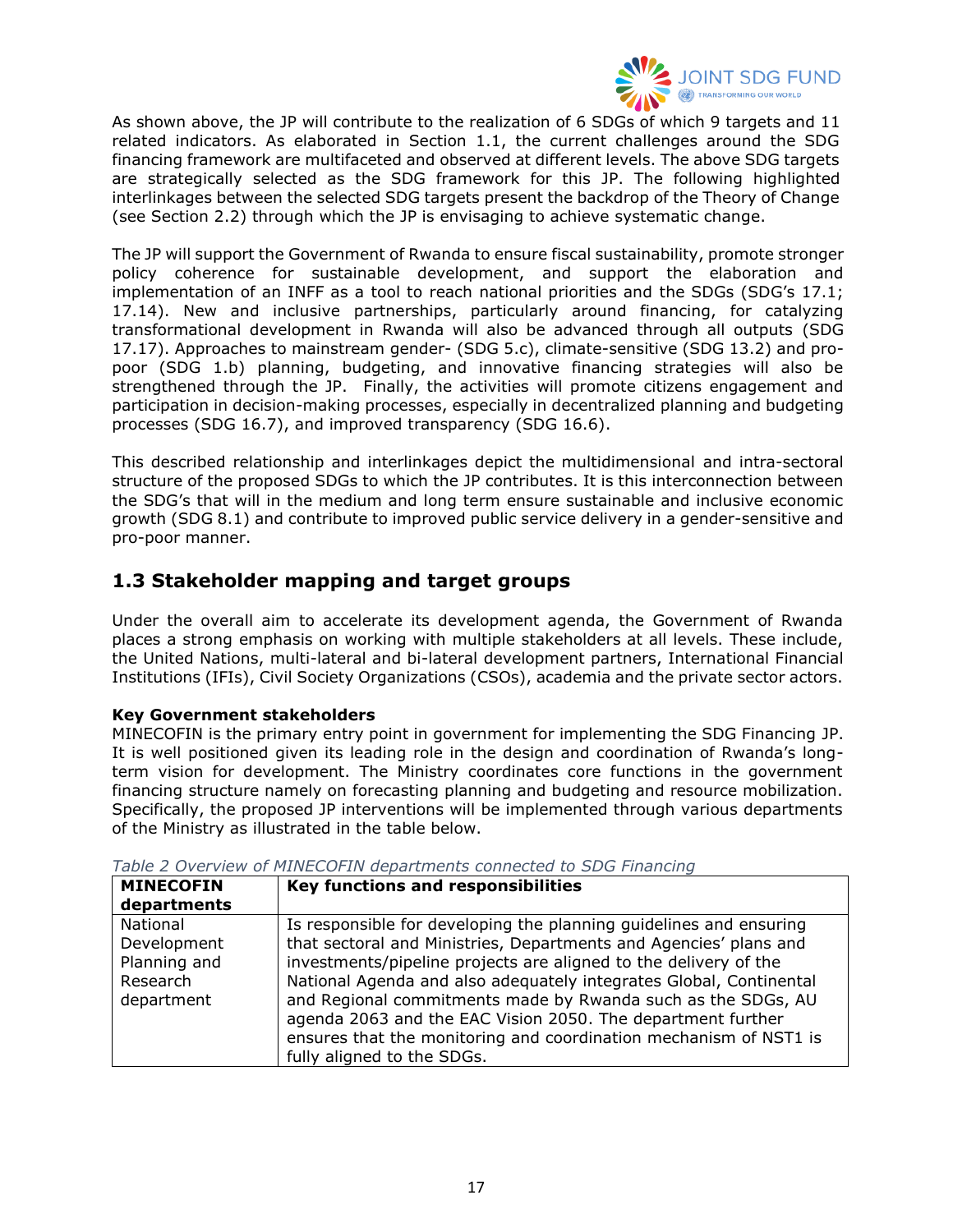

As shown above, the JP will contribute to the realization of 6 SDGs of which 9 targets and 11 related indicators. As elaborated in Section 1.1, the current challenges around the SDG financing framework are multifaceted and observed at different levels. The above SDG targets are strategically selected as the SDG framework for this JP. The following highlighted interlinkages between the selected SDG targets present the backdrop of the Theory of Change (see Section 2.2) through which the JP is envisaging to achieve systematic change.

The JP will support the Government of Rwanda to ensure fiscal sustainability, promote stronger policy coherence for sustainable development, and support the elaboration and implementation of an INFF as a tool to reach national priorities and the SDGs (SDG's 17.1; 17.14). New and inclusive partnerships, particularly around financing, for catalyzing transformational development in Rwanda will also be advanced through all outputs (SDG 17.17). Approaches to mainstream gender- (SDG 5.c), climate-sensitive (SDG 13.2) and propoor (SDG 1.b) planning, budgeting, and innovative financing strategies will also be strengthened through the JP. Finally, the activities will promote citizens engagement and participation in decision-making processes, especially in decentralized planning and budgeting processes (SDG 16.7), and improved transparency (SDG 16.6).

This described relationship and interlinkages depict the multidimensional and intra-sectoral structure of the proposed SDGs to which the JP contributes. It is this interconnection between the SDG's that will in the medium and long term ensure sustainable and inclusive economic growth (SDG 8.1) and contribute to improved public service delivery in a gender-sensitive and pro-poor manner.

# <span id="page-16-0"></span>**1.3 Stakeholder mapping and target groups**

Under the overall aim to accelerate its development agenda, the Government of Rwanda places a strong emphasis on working with multiple stakeholders at all levels. These include, the United Nations, multi-lateral and bi-lateral development partners, International Financial Institutions (IFIs), Civil Society Organizations (CSOs), academia and the private sector actors.

### **Key Government stakeholders**

MINECOFIN is the primary entry point in government for implementing the SDG Financing JP. It is well positioned given its leading role in the design and coordination of Rwanda's longterm vision for development. The Ministry coordinates core functions in the government financing structure namely on forecasting planning and budgeting and resource mobilization. Specifically, the proposed JP interventions will be implemented through various departments of the Ministry as illustrated in the table below.

| <b>MINECOFIN</b><br>departments                                   | Key functions and responsibilities                                                                                                                                                                                                                                                                                                                                                                                                                                                                                  |
|-------------------------------------------------------------------|---------------------------------------------------------------------------------------------------------------------------------------------------------------------------------------------------------------------------------------------------------------------------------------------------------------------------------------------------------------------------------------------------------------------------------------------------------------------------------------------------------------------|
| National<br>Development<br>Planning and<br>Research<br>department | Is responsible for developing the planning guidelines and ensuring<br>that sectoral and Ministries, Departments and Agencies' plans and<br>investments/pipeline projects are aligned to the delivery of the<br>National Agenda and also adequately integrates Global, Continental<br>and Regional commitments made by Rwanda such as the SDGs, AU<br>agenda 2063 and the EAC Vision 2050. The department further<br>ensures that the monitoring and coordination mechanism of NST1 is<br>fully aligned to the SDGs. |

<span id="page-16-1"></span>*Table 2 Overview of MINECOFIN departments connected to SDG Financing*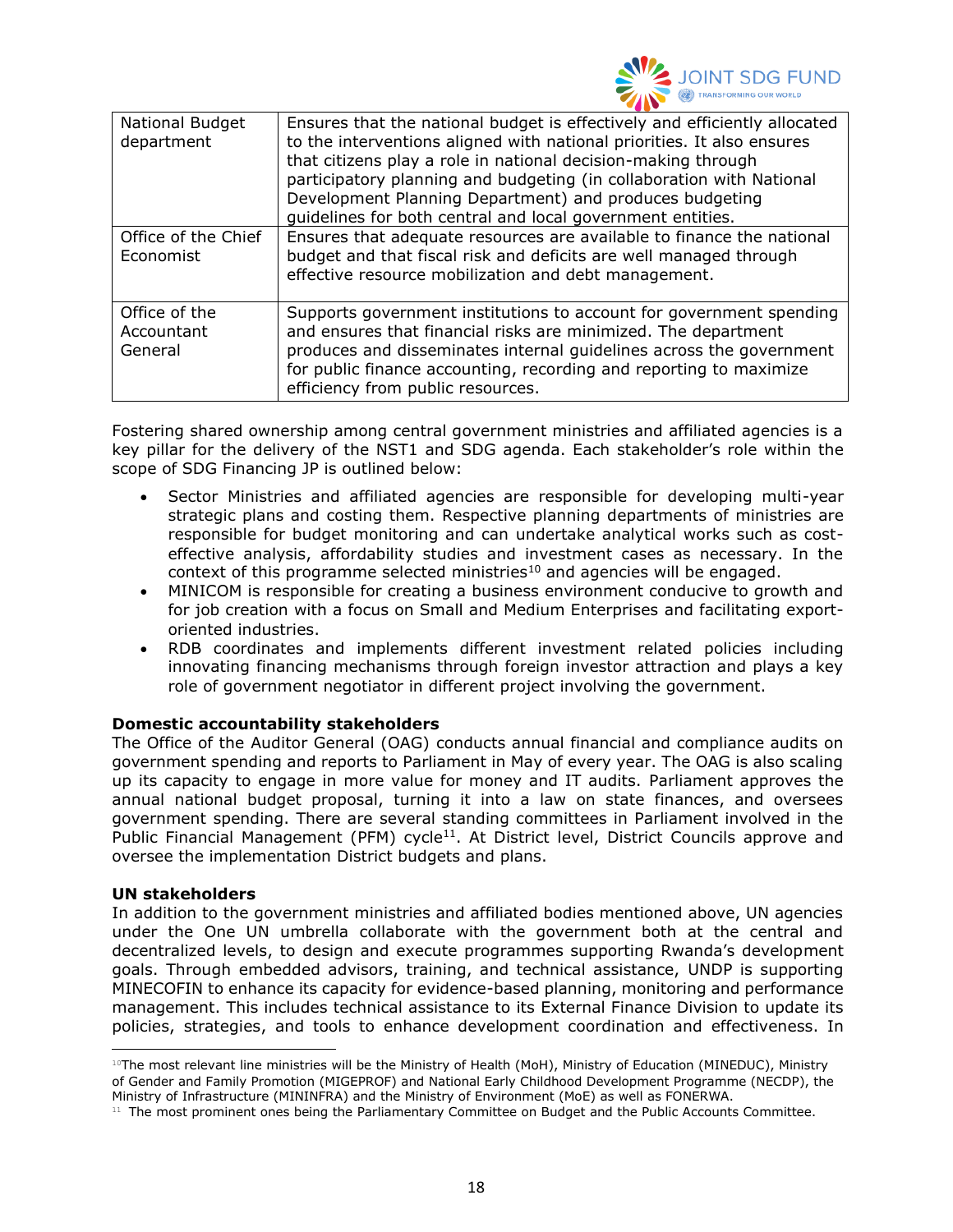

| National Budget<br>department          | Ensures that the national budget is effectively and efficiently allocated<br>to the interventions aligned with national priorities. It also ensures<br>that citizens play a role in national decision-making through<br>participatory planning and budgeting (in collaboration with National<br>Development Planning Department) and produces budgeting<br>guidelines for both central and local government entities. |
|----------------------------------------|-----------------------------------------------------------------------------------------------------------------------------------------------------------------------------------------------------------------------------------------------------------------------------------------------------------------------------------------------------------------------------------------------------------------------|
| Office of the Chief<br>Economist       | Ensures that adequate resources are available to finance the national<br>budget and that fiscal risk and deficits are well managed through<br>effective resource mobilization and debt management.                                                                                                                                                                                                                    |
| Office of the<br>Accountant<br>General | Supports government institutions to account for government spending<br>and ensures that financial risks are minimized. The department<br>produces and disseminates internal guidelines across the government<br>for public finance accounting, recording and reporting to maximize<br>efficiency from public resources.                                                                                               |

Fostering shared ownership among central government ministries and affiliated agencies is a key pillar for the delivery of the NST1 and SDG agenda. Each stakeholder's role within the scope of SDG Financing JP is outlined below:

- Sector Ministries and affiliated agencies are responsible for developing multi-year strategic plans and costing them. Respective planning departments of ministries are responsible for budget monitoring and can undertake analytical works such as costeffective analysis, affordability studies and investment cases as necessary. In the context of this programme selected ministries $10$  and agencies will be engaged.
- MINICOM is responsible for creating a business environment conducive to growth and for job creation with a focus on Small and Medium Enterprises and facilitating exportoriented industries.
- RDB coordinates and implements different investment related policies including innovating financing mechanisms through foreign investor attraction and plays a key role of government negotiator in different project involving the government.

#### **Domestic accountability stakeholders**

The Office of the Auditor General (OAG) conducts annual financial and compliance audits on government spending and reports to Parliament in May of every year. The OAG is also scaling up its capacity to engage in more value for money and IT audits. Parliament approves the annual national budget proposal, turning it into a law on state finances, and oversees government spending. There are several standing committees in Parliament involved in the Public Financial Management (PFM) cycle<sup>11</sup>. At District level, District Councils approve and oversee the implementation District budgets and plans.

#### **UN stakeholders**

In addition to the government ministries and affiliated bodies mentioned above, UN agencies under the One UN umbrella collaborate with the government both at the central and decentralized levels, to design and execute programmes supporting Rwanda's development goals. Through embedded advisors, training, and technical assistance, UNDP is supporting MINECOFIN to enhance its capacity for evidence-based planning, monitoring and performance management. This includes technical assistance to its External Finance Division to update its policies, strategies, and tools to enhance development coordination and effectiveness. In

<sup>10</sup>The most relevant line ministries will be the Ministry of Health (MoH), Ministry of Education (MINEDUC), Ministry of Gender and Family Promotion (MIGEPROF) and National Early Childhood Development Programme (NECDP), the Ministry of Infrastructure (MININFRA) and the Ministry of Environment (MoE) as well as FONERWA.

<sup>&</sup>lt;sup>11</sup> The most prominent ones being the Parliamentary Committee on Budget and the Public Accounts Committee.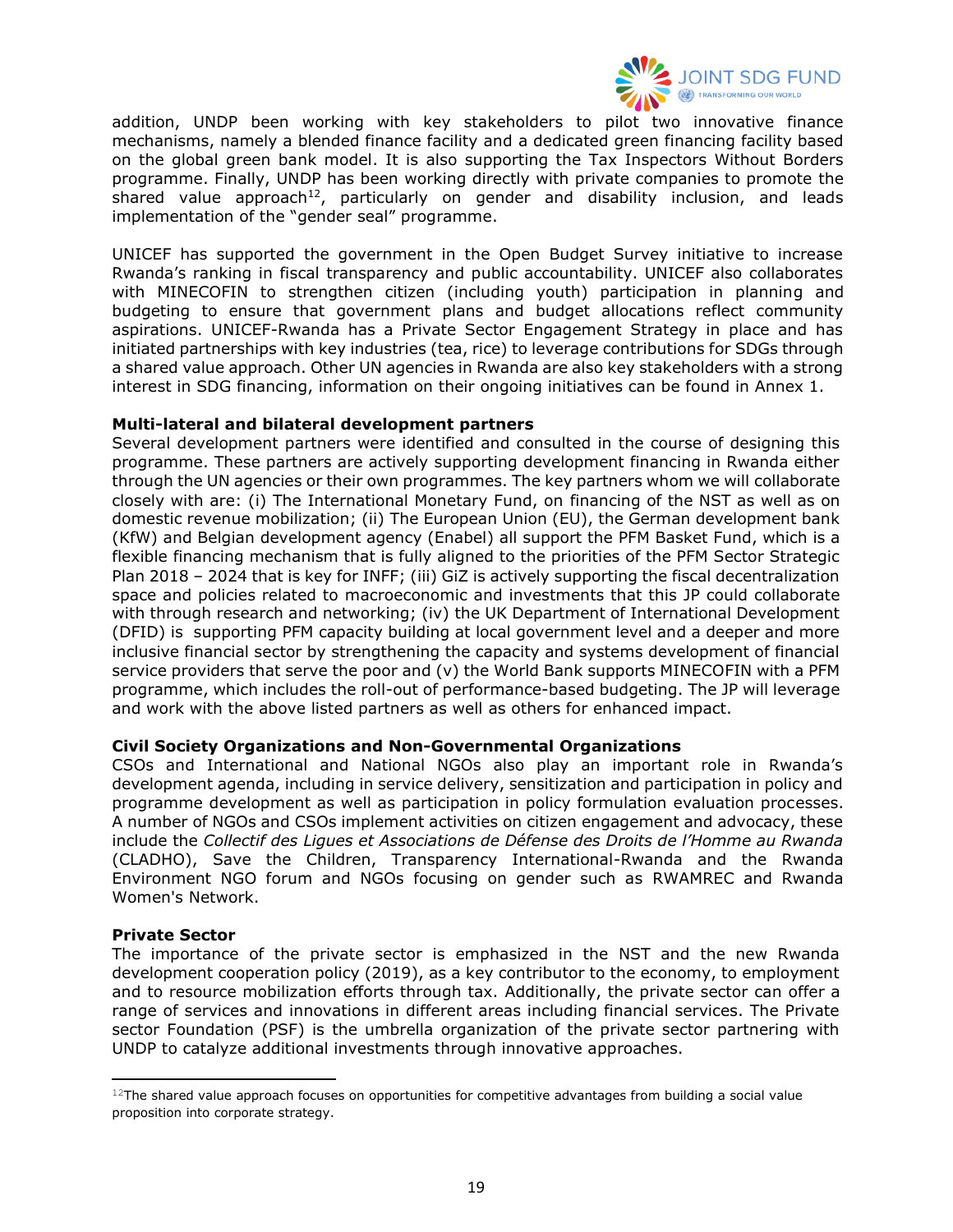

addition, UNDP been working with key stakeholders to pilot two innovative finance mechanisms, namely a blended finance facility and a dedicated green financing facility based on the global green bank model. It is also supporting the Tax Inspectors Without Borders programme. Finally, UNDP has been working directly with private companies to promote the shared value approach<sup>12</sup>, particularly on gender and disability inclusion, and leads implementation of the "gender seal" programme.

UNICEF has supported the government in the Open Budget Survey initiative to increase Rwanda's ranking in fiscal transparency and public accountability. UNICEF also collaborates with MINECOFIN to strengthen citizen (including youth) participation in planning and budgeting to ensure that government plans and budget allocations reflect community aspirations. UNICEF-Rwanda has a Private Sector Engagement Strategy in place and has initiated partnerships with key industries (tea, rice) to leverage contributions for SDGs through a shared value approach. Other UN agencies in Rwanda are also key stakeholders with a strong interest in SDG financing, information on their ongoing initiatives can be found in Annex 1.

#### **Multi-lateral and bilateral development partners**

Several development partners were identified and consulted in the course of designing this programme. These partners are actively supporting development financing in Rwanda either through the UN agencies or their own programmes. The key partners whom we will collaborate closely with are: (i) The International Monetary Fund, on financing of the NST as well as on domestic revenue mobilization; (ii) The European Union (EU), the German development bank (KfW) and Belgian development agency (Enabel) all support the PFM Basket Fund, which is a flexible financing mechanism that is fully aligned to the priorities of the PFM Sector Strategic Plan 2018 – 2024 that is key for INFF; (iii) GiZ is actively supporting the fiscal decentralization space and policies related to macroeconomic and investments that this JP could collaborate with through research and networking; (iv) the UK Department of International Development (DFID) is supporting PFM capacity building at local government level and a deeper and more inclusive financial sector by strengthening the capacity and systems development of financial service providers that serve the poor and (v) the World Bank supports MINECOFIN with a PFM programme, which includes the roll-out of performance-based budgeting. The JP will leverage and work with the above listed partners as well as others for enhanced impact.

#### **Civil Society Organizations and Non-Governmental Organizations**

CSOs and International and National NGOs also play an important role in Rwanda's development agenda, including in service delivery, sensitization and participation in policy and programme development as well as participation in policy formulation evaluation processes. A number of NGOs and CSOs implement activities on citizen engagement and advocacy, these include the *Collectif des Ligues et Associations de Défense des Droits de l'Homme au Rwanda*  (CLADHO), Save the Children, Transparency International-Rwanda and the Rwanda Environment NGO forum and NGOs focusing on gender such as RWAMREC and Rwanda Women's Network.

#### **Private Sector**

The importance of the private sector is emphasized in the NST and the new Rwanda development cooperation policy (2019), as a key contributor to the economy, to employment and to resource mobilization efforts through tax. Additionally, the private sector can offer a range of services and innovations in different areas including financial services. The Private sector Foundation (PSF) is the umbrella organization of the private sector partnering with UNDP to catalyze additional investments through innovative approaches.

 $12$ The shared value approach focuses on opportunities for competitive advantages from building a social value proposition into corporate strategy.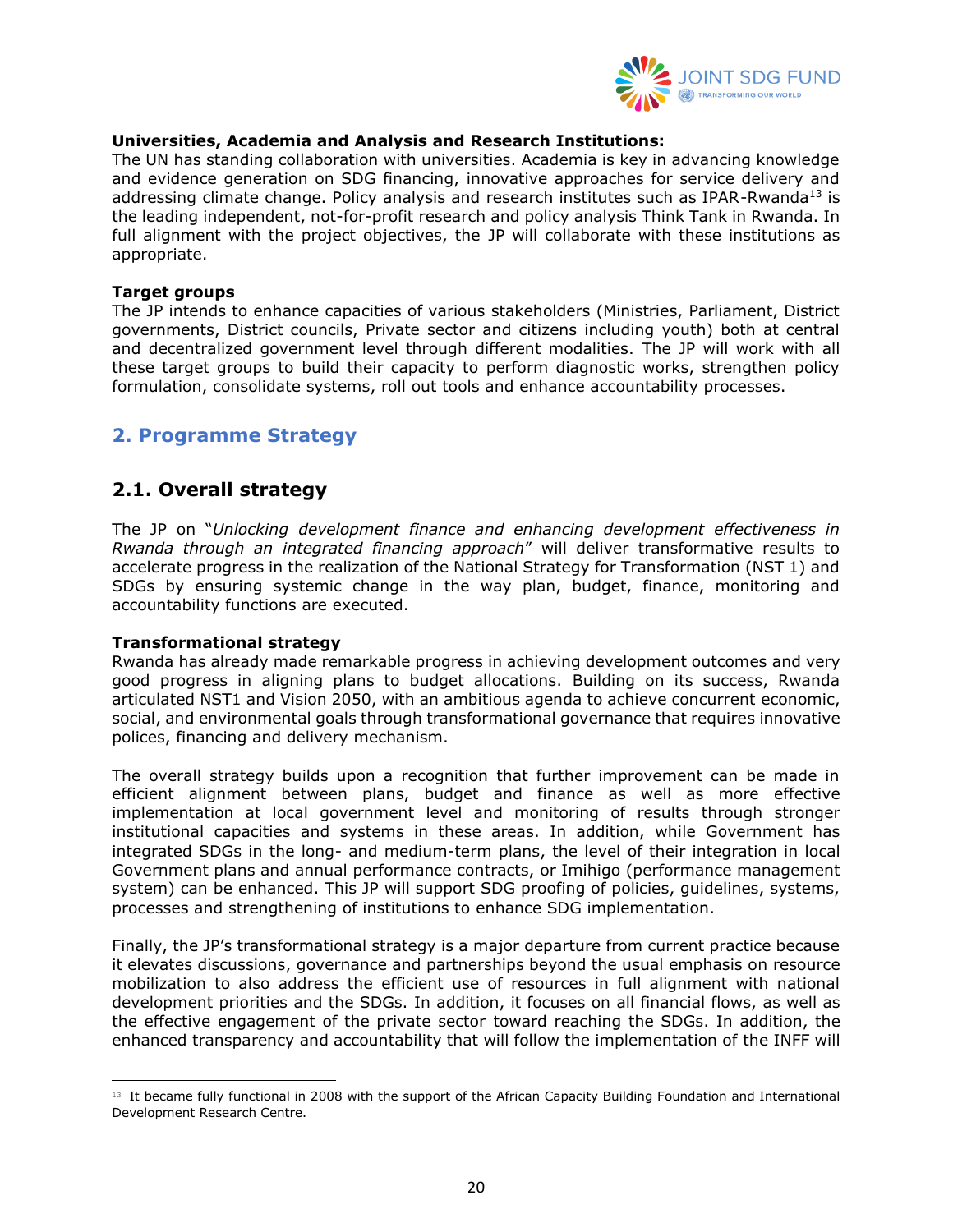

#### **Universities, Academia and Analysis and Research Institutions:**

The UN has standing collaboration with universities. Academia is key in advancing knowledge and evidence generation on SDG financing, innovative approaches for service delivery and addressing climate change. Policy analysis and research institutes such as IPAR-Rwanda<sup>13</sup> is the leading independent, not-for-profit research and policy analysis Think Tank in Rwanda. In full alignment with the project objectives, the JP will collaborate with these institutions as appropriate.

#### **Target groups**

The JP intends to enhance capacities of various stakeholders (Ministries, Parliament, District governments, District councils, Private sector and citizens including youth) both at central and decentralized government level through different modalities. The JP will work with all these target groups to build their capacity to perform diagnostic works, strengthen policy formulation, consolidate systems, roll out tools and enhance accountability processes.

### <span id="page-19-0"></span>**2. Programme Strategy**

## <span id="page-19-1"></span>**2.1. Overall strategy**

The JP on "*Unlocking development finance and enhancing development effectiveness in Rwanda through an integrated financing approach*" will deliver transformative results to accelerate progress in the realization of the National Strategy for Transformation (NST 1) and SDGs by ensuring systemic change in the way plan, budget, finance, monitoring and accountability functions are executed.

#### **Transformational strategy**

Rwanda has already made remarkable progress in achieving development outcomes and very good progress in aligning plans to budget allocations. Building on its success, Rwanda articulated NST1 and Vision 2050, with an ambitious agenda to achieve concurrent economic, social, and environmental goals through transformational governance that requires innovative polices, financing and delivery mechanism.

The overall strategy builds upon a recognition that further improvement can be made in efficient alignment between plans, budget and finance as well as more effective implementation at local government level and monitoring of results through stronger institutional capacities and systems in these areas. In addition, while Government has integrated SDGs in the long- and medium-term plans, the level of their integration in local Government plans and annual performance contracts, or Imihigo (performance management system) can be enhanced. This JP will support SDG proofing of policies, guidelines, systems, processes and strengthening of institutions to enhance SDG implementation.

Finally, the JP's transformational strategy is a major departure from current practice because it elevates discussions, governance and partnerships beyond the usual emphasis on resource mobilization to also address the efficient use of resources in full alignment with national development priorities and the SDGs. In addition, it focuses on all financial flows, as well as the effective engagement of the private sector toward reaching the SDGs. In addition, the enhanced transparency and accountability that will follow the implementation of the INFF will

<sup>&</sup>lt;sup>13</sup> It became fully functional in 2008 with the support of the African Capacity Building Foundation and International Development Research Centre.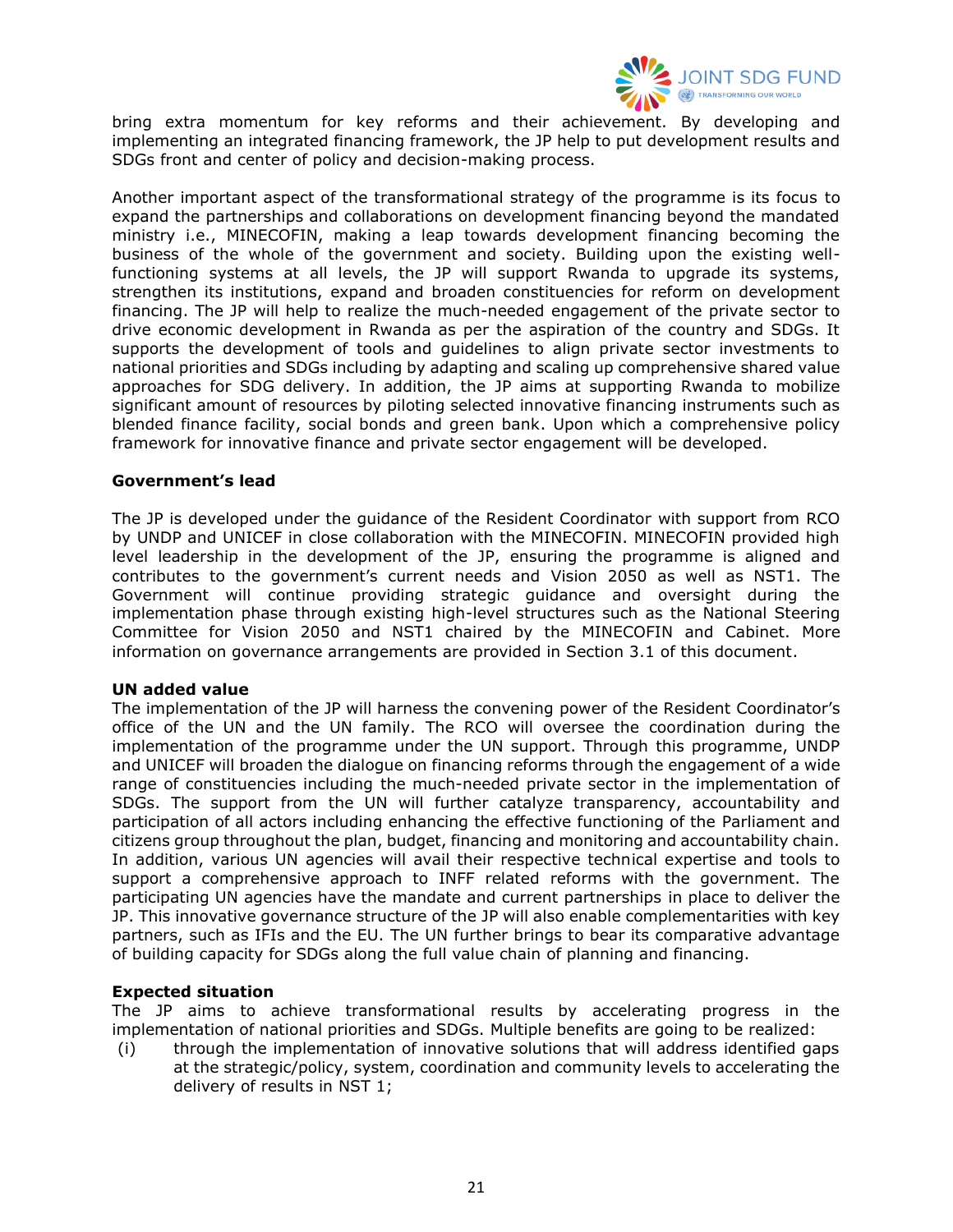

bring extra momentum for key reforms and their achievement. By developing and implementing an integrated financing framework, the JP help to put development results and SDGs front and center of policy and decision-making process.

Another important aspect of the transformational strategy of the programme is its focus to expand the partnerships and collaborations on development financing beyond the mandated ministry i.e., MINECOFIN, making a leap towards development financing becoming the business of the whole of the government and society. Building upon the existing wellfunctioning systems at all levels, the JP will support Rwanda to upgrade its systems, strengthen its institutions, expand and broaden constituencies for reform on development financing. The JP will help to realize the much-needed engagement of the private sector to drive economic development in Rwanda as per the aspiration of the country and SDGs. It supports the development of tools and guidelines to align private sector investments to national priorities and SDGs including by adapting and scaling up comprehensive shared value approaches for SDG delivery. In addition, the JP aims at supporting Rwanda to mobilize significant amount of resources by piloting selected innovative financing instruments such as blended finance facility, social bonds and green bank. Upon which a comprehensive policy framework for innovative finance and private sector engagement will be developed.

#### **Government's lead**

The JP is developed under the guidance of the Resident Coordinator with support from RCO by UNDP and UNICEF in close collaboration with the MINECOFIN. MINECOFIN provided high level leadership in the development of the JP, ensuring the programme is aligned and contributes to the government's current needs and Vision 2050 as well as NST1. The Government will continue providing strategic guidance and oversight during the implementation phase through existing high-level structures such as the National Steering Committee for Vision 2050 and NST1 chaired by the MINECOFIN and Cabinet. More information on governance arrangements are provided in Section 3.1 of this document.

#### **UN added value**

The implementation of the JP will harness the convening power of the Resident Coordinator's office of the UN and the UN family. The RCO will oversee the coordination during the implementation of the programme under the UN support. Through this programme, UNDP and UNICEF will broaden the dialogue on financing reforms through the engagement of a wide range of constituencies including the much-needed private sector in the implementation of SDGs. The support from the UN will further catalyze transparency, accountability and participation of all actors including enhancing the effective functioning of the Parliament and citizens group throughout the plan, budget, financing and monitoring and accountability chain. In addition, various UN agencies will avail their respective technical expertise and tools to support a comprehensive approach to INFF related reforms with the government. The participating UN agencies have the mandate and current partnerships in place to deliver the JP. This innovative governance structure of the JP will also enable complementarities with key partners, such as IFIs and the EU. The UN further brings to bear its comparative advantage of building capacity for SDGs along the full value chain of planning and financing.

#### **Expected situation**

The JP aims to achieve transformational results by accelerating progress in the implementation of national priorities and SDGs. Multiple benefits are going to be realized:

(i) through the implementation of innovative solutions that will address identified gaps at the strategic/policy, system, coordination and community levels to accelerating the delivery of results in NST 1;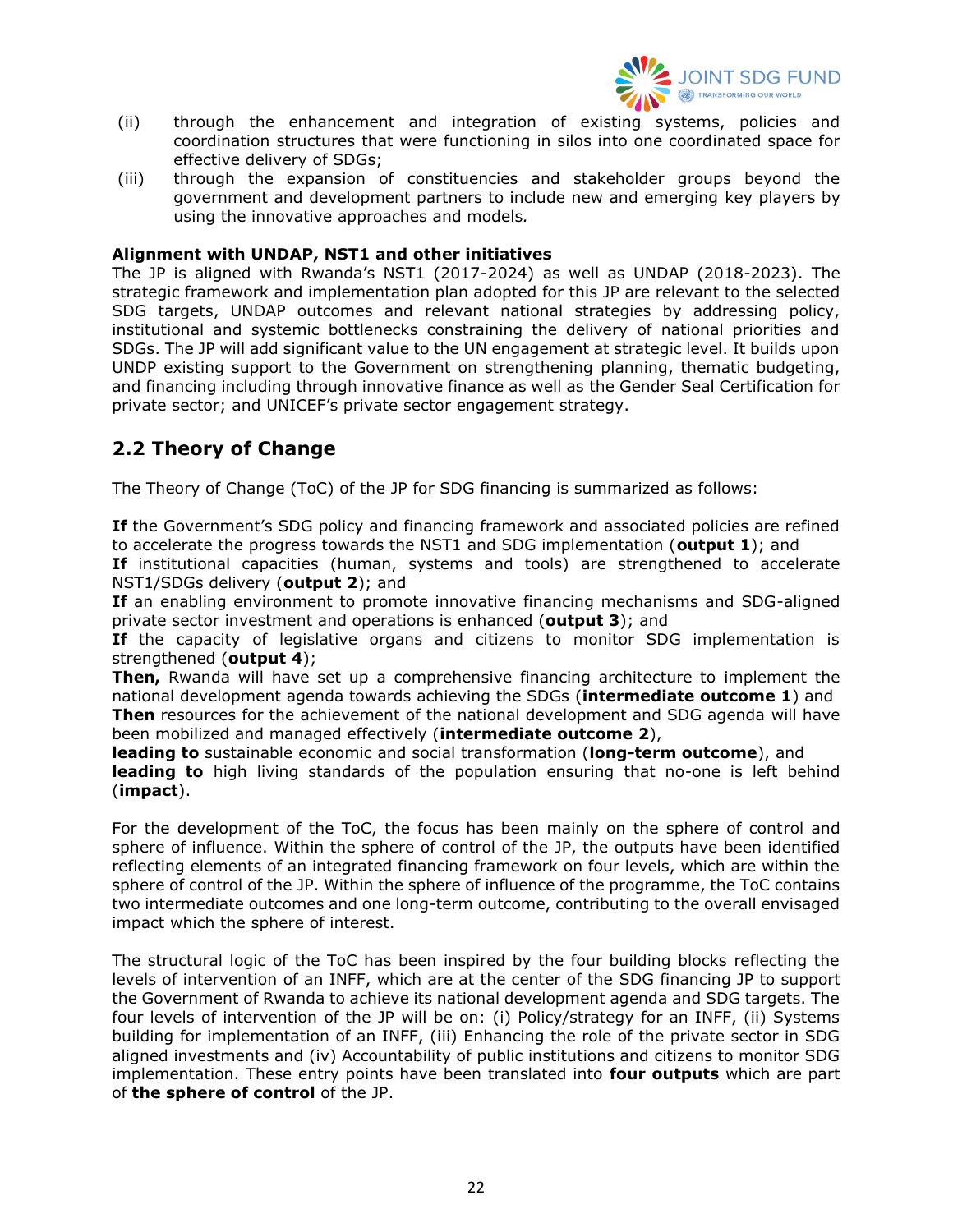

- (ii) through the enhancement and integration of existing systems, policies and coordination structures that were functioning in silos into one coordinated space for effective delivery of SDGs;
- (iii) through the expansion of constituencies and stakeholder groups beyond the government and development partners to include new and emerging key players by using the innovative approaches and models*.*

#### **Alignment with UNDAP, NST1 and other initiatives**

The JP is aligned with Rwanda's NST1 (2017-2024) as well as UNDAP (2018-2023). The strategic framework and implementation plan adopted for this JP are relevant to the selected SDG targets, UNDAP outcomes and relevant national strategies by addressing policy, institutional and systemic bottlenecks constraining the delivery of national priorities and SDGs. The JP will add significant value to the UN engagement at strategic level. It builds upon UNDP existing support to the Government on strengthening planning, thematic budgeting, and financing including through innovative finance as well as the Gender Seal Certification for private sector; and UNICEF's private sector engagement strategy.

## <span id="page-21-0"></span>**2.2 Theory of Change**

The Theory of Change (ToC) of the JP for SDG financing is summarized as follows:

**If** the Government's SDG policy and financing framework and associated policies are refined to accelerate the progress towards the NST1 and SDG implementation (**output 1**); and

If institutional capacities (human, systems and tools) are strengthened to accelerate NST1/SDGs delivery (**output 2**); and

If an enabling environment to promote innovative financing mechanisms and SDG-aligned private sector investment and operations is enhanced (**output 3**); and

**If** the capacity of legislative organs and citizens to monitor SDG implementation is strengthened (**output 4**);

**Then,** Rwanda will have set up a comprehensive financing architecture to implement the national development agenda towards achieving the SDGs (**intermediate outcome 1**) and **Then** resources for the achievement of the national development and SDG agenda will have been mobilized and managed effectively (**intermediate outcome 2**),

**leading to** sustainable economic and social transformation (**long-term outcome**), and **leading to** high living standards of the population ensuring that no-one is left behind (**impact**).

For the development of the ToC, the focus has been mainly on the sphere of control and sphere of influence. Within the sphere of control of the JP, the outputs have been identified reflecting elements of an integrated financing framework on four levels, which are within the sphere of control of the JP. Within the sphere of influence of the programme, the ToC contains two intermediate outcomes and one long-term outcome, contributing to the overall envisaged impact which the sphere of interest.

The structural logic of the ToC has been inspired by the four building blocks reflecting the levels of intervention of an INFF, which are at the center of the SDG financing JP to support the Government of Rwanda to achieve its national development agenda and SDG targets. The four levels of intervention of the JP will be on: (i) Policy/strategy for an INFF, (ii) Systems building for implementation of an INFF, (iii) Enhancing the role of the private sector in SDG aligned investments and (iv) Accountability of public institutions and citizens to monitor SDG implementation. These entry points have been translated into **four outputs** which are part of **the sphere of control** of the JP.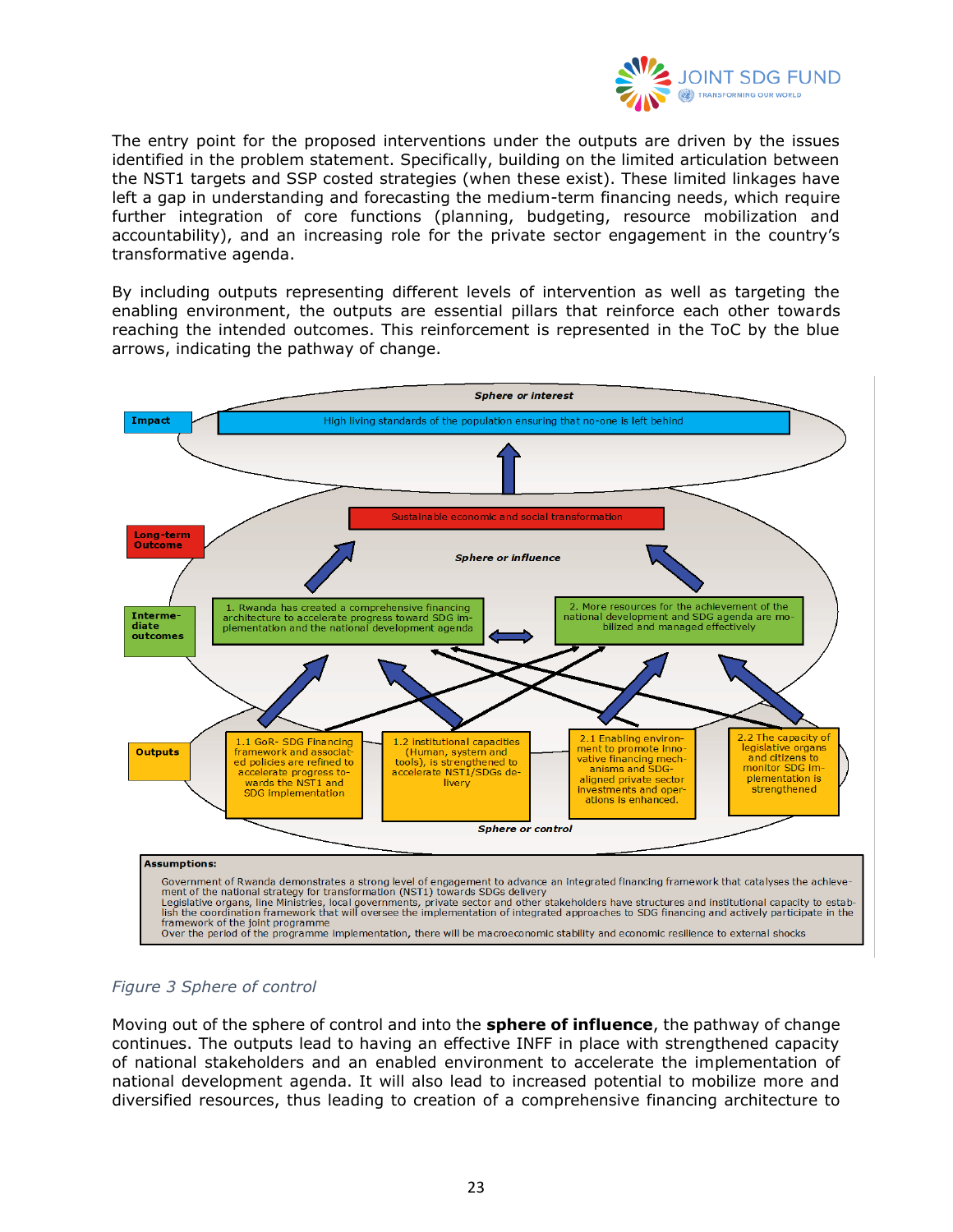

The entry point for the proposed interventions under the outputs are driven by the issues identified in the problem statement. Specifically, building on the limited articulation between the NST1 targets and SSP costed strategies (when these exist). These limited linkages have left a gap in understanding and forecasting the medium-term financing needs, which require further integration of core functions (planning, budgeting, resource mobilization and accountability), and an increasing role for the private sector engagement in the country's transformative agenda.

By including outputs representing different levels of intervention as well as targeting the enabling environment, the outputs are essential pillars that reinforce each other towards reaching the intended outcomes. This reinforcement is represented in the ToC by the blue arrows, indicating the pathway of change.



#### <span id="page-22-0"></span>*Figure 3 Sphere of control*

Moving out of the sphere of control and into the **sphere of influence**, the pathway of change continues. The outputs lead to having an effective INFF in place with strengthened capacity of national stakeholders and an enabled environment to accelerate the implementation of national development agenda. It will also lead to increased potential to mobilize more and diversified resources, thus leading to creation of a comprehensive financing architecture to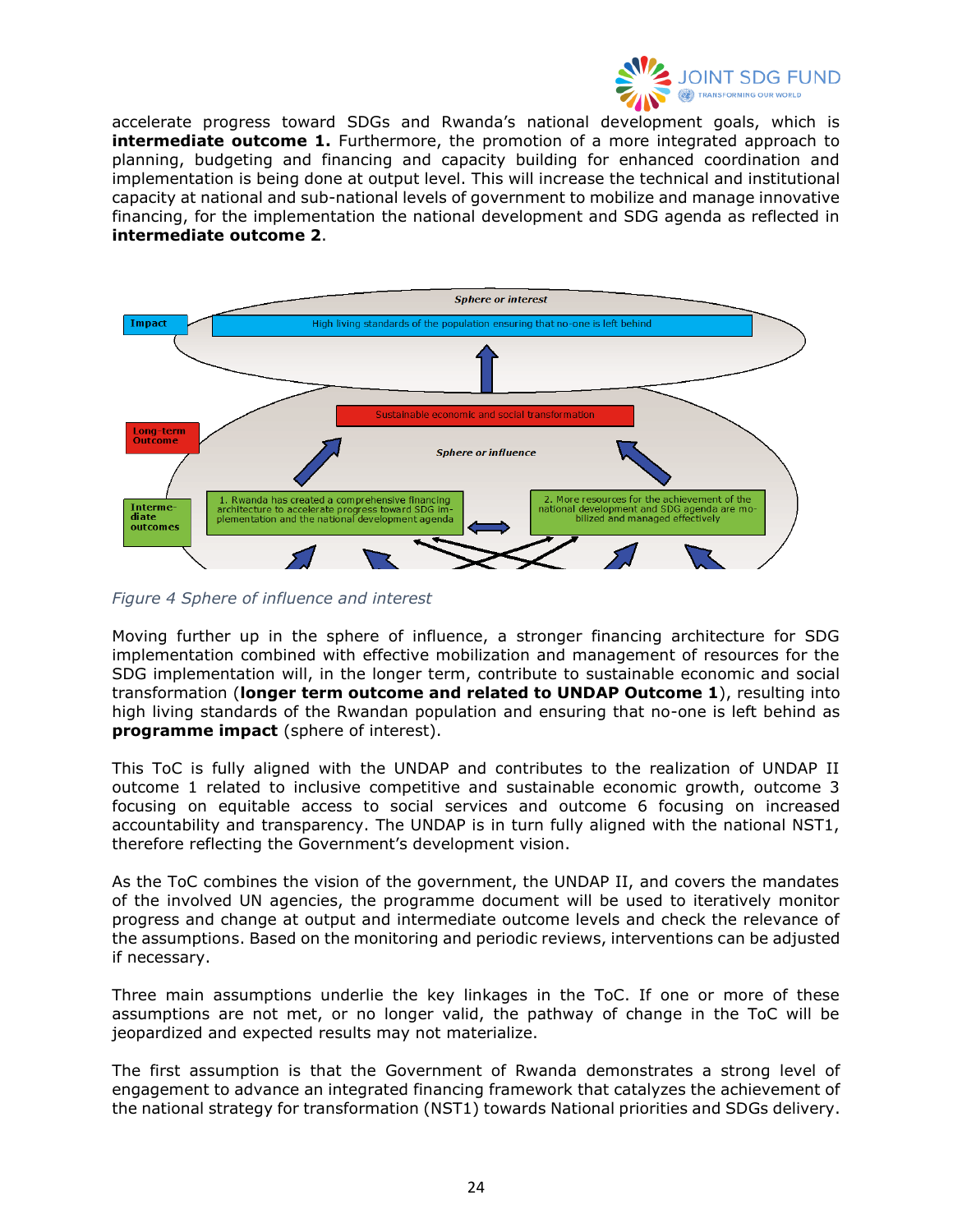

accelerate progress toward SDGs and Rwanda's national development goals, which is **intermediate outcome 1.** Furthermore, the promotion of a more integrated approach to planning, budgeting and financing and capacity building for enhanced coordination and implementation is being done at output level. This will increase the technical and institutional capacity at national and sub-national levels of government to mobilize and manage innovative financing, for the implementation the national development and SDG agenda as reflected in **intermediate outcome 2**.



<span id="page-23-0"></span>*Figure 4 Sphere of influence and interest*

Moving further up in the sphere of influence, a stronger financing architecture for SDG implementation combined with effective mobilization and management of resources for the SDG implementation will, in the longer term, contribute to sustainable economic and social transformation (**longer term outcome and related to UNDAP Outcome 1**), resulting into high living standards of the Rwandan population and ensuring that no-one is left behind as **programme impact** (sphere of interest).

This ToC is fully aligned with the UNDAP and contributes to the realization of UNDAP II outcome 1 related to inclusive competitive and sustainable economic growth, outcome 3 focusing on equitable access to social services and outcome 6 focusing on increased accountability and transparency. The UNDAP is in turn fully aligned with the national NST1, therefore reflecting the Government's development vision.

As the ToC combines the vision of the government, the UNDAP II, and covers the mandates of the involved UN agencies, the programme document will be used to iteratively monitor progress and change at output and intermediate outcome levels and check the relevance of the assumptions. Based on the monitoring and periodic reviews, interventions can be adjusted if necessary.

Three main assumptions underlie the key linkages in the ToC. If one or more of these assumptions are not met, or no longer valid, the pathway of change in the ToC will be jeopardized and expected results may not materialize.

The first assumption is that the Government of Rwanda demonstrates a strong level of engagement to advance an integrated financing framework that catalyzes the achievement of the national strategy for transformation (NST1) towards National priorities and SDGs delivery.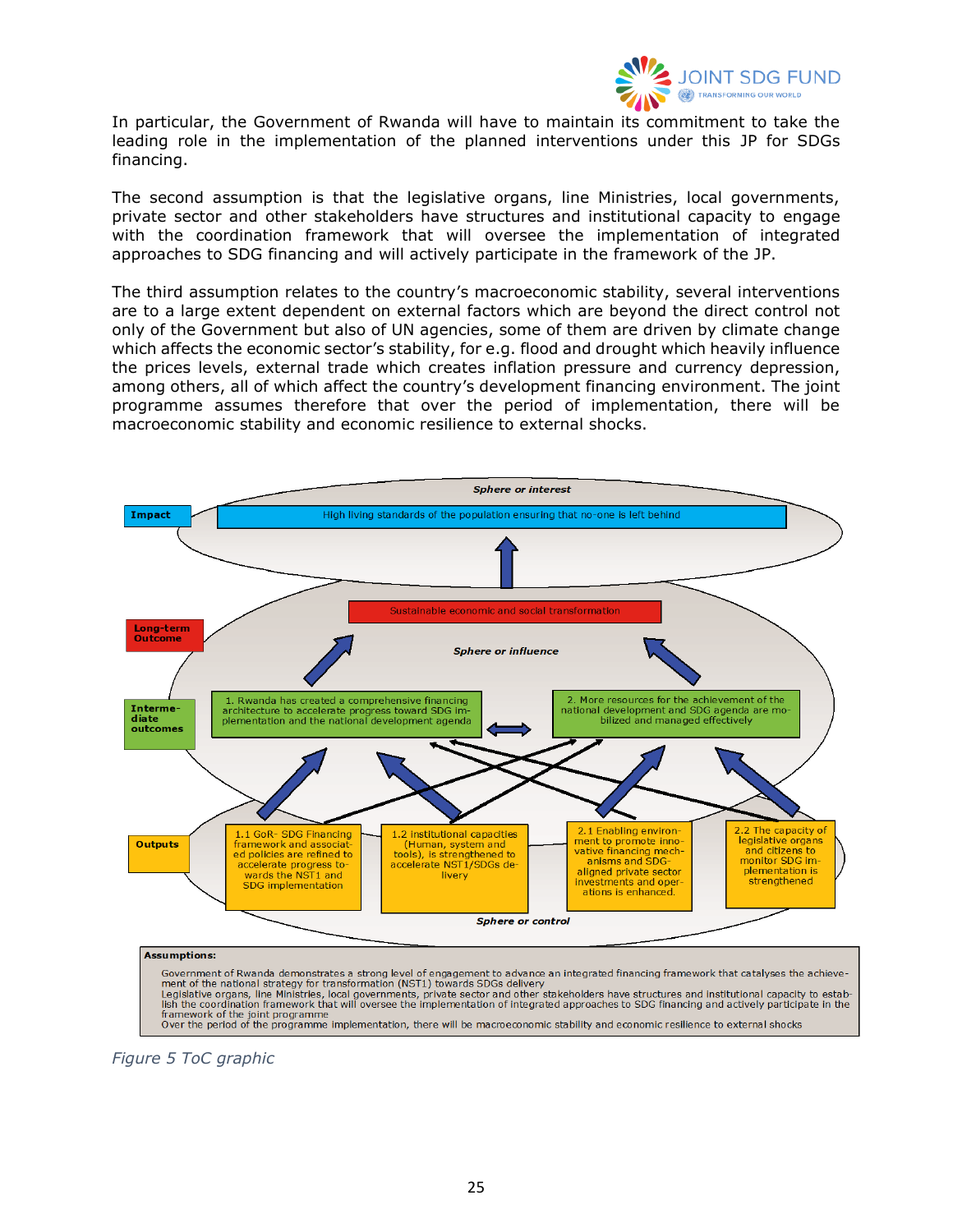

In particular, the Government of Rwanda will have to maintain its commitment to take the leading role in the implementation of the planned interventions under this JP for SDGs financing.

The second assumption is that the legislative organs, line Ministries, local governments, private sector and other stakeholders have structures and institutional capacity to engage with the coordination framework that will oversee the implementation of integrated approaches to SDG financing and will actively participate in the framework of the JP.

The third assumption relates to the country's macroeconomic stability, several interventions are to a large extent dependent on external factors which are beyond the direct control not only of the Government but also of UN agencies, some of them are driven by climate change which affects the economic sector's stability, for e.g. flood and drought which heavily influence the prices levels, external trade which creates inflation pressure and currency depression, among others, all of which affect the country's development financing environment. The joint programme assumes therefore that over the period of implementation, there will be macroeconomic stability and economic resilience to external shocks.



Framework of the joint programme<br>Tramework of the joint programme<br>Over the period of the programme implementation, there will be macroeconomic stability and economic resilience to external shocks

<span id="page-24-0"></span>*Figure 5 ToC graphic*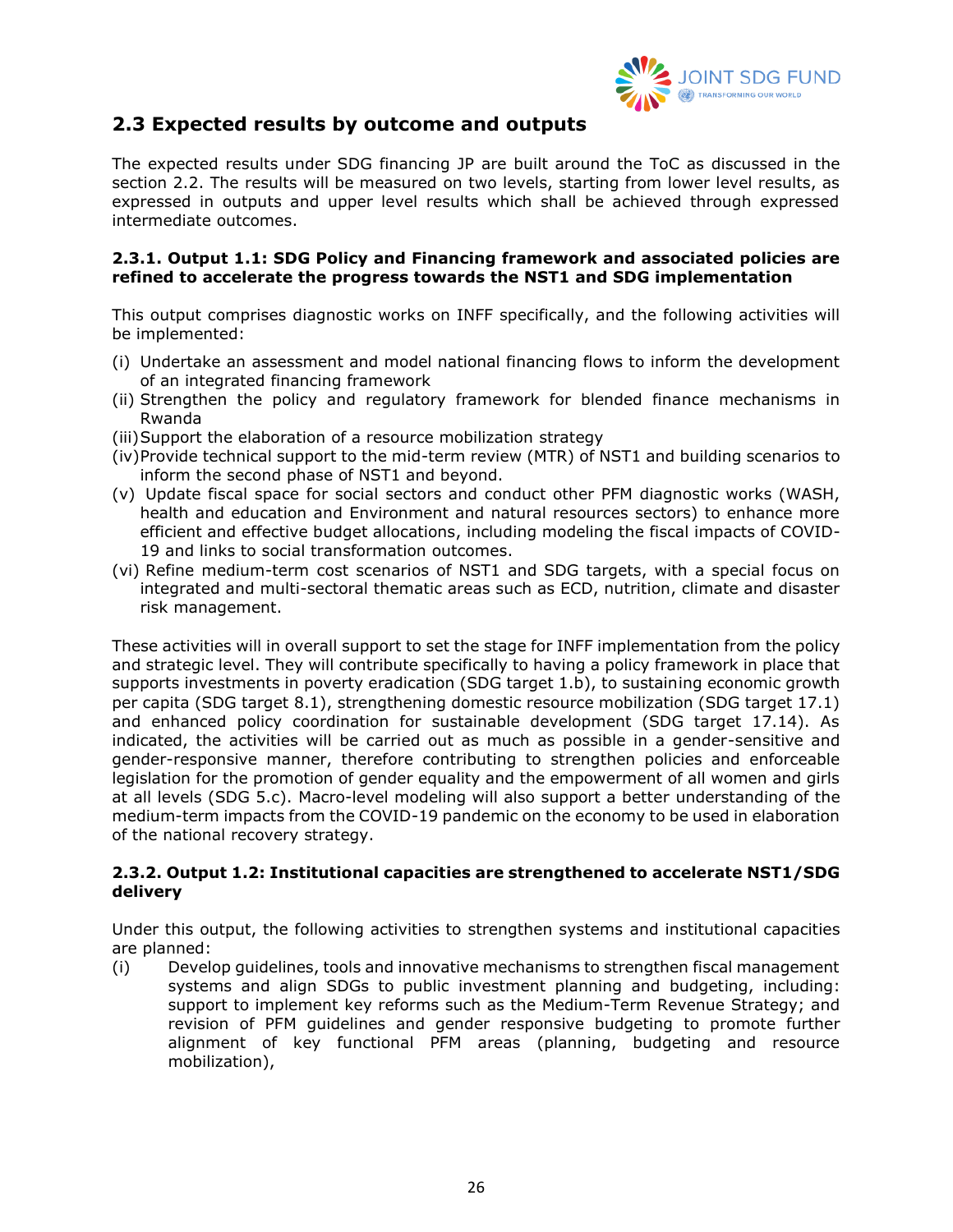

## <span id="page-25-0"></span>**2.3 Expected results by outcome and outputs**

The expected results under SDG financing JP are built around the ToC as discussed in the section 2.2. The results will be measured on two levels, starting from lower level results, as expressed in outputs and upper level results which shall be achieved through expressed intermediate outcomes.

#### **2.3.1. Output 1.1: SDG Policy and Financing framework and associated policies are refined to accelerate the progress towards the NST1 and SDG implementation**

This output comprises diagnostic works on INFF specifically, and the following activities will be implemented:

- (i) Undertake an assessment and model national financing flows to inform the development of an integrated financing framework
- (ii) Strengthen the policy and regulatory framework for blended finance mechanisms in Rwanda
- (iii)Support the elaboration of a resource mobilization strategy
- (iv)Provide technical support to the mid-term review (MTR) of NST1 and building scenarios to inform the second phase of NST1 and beyond.
- (v) Update fiscal space for social sectors and conduct other PFM diagnostic works (WASH, health and education and Environment and natural resources sectors) to enhance more efficient and effective budget allocations, including modeling the fiscal impacts of COVID-19 and links to social transformation outcomes.
- (vi) Refine medium-term cost scenarios of NST1 and SDG targets, with a special focus on integrated and multi-sectoral thematic areas such as ECD, nutrition, climate and disaster risk management.

These activities will in overall support to set the stage for INFF implementation from the policy and strategic level. They will contribute specifically to having a policy framework in place that supports investments in poverty eradication (SDG target 1.b), to sustaining economic growth per capita (SDG target 8.1), strengthening domestic resource mobilization (SDG target 17.1) and enhanced policy coordination for sustainable development (SDG target 17.14). As indicated, the activities will be carried out as much as possible in a gender-sensitive and gender-responsive manner, therefore contributing to strengthen policies and enforceable legislation for the promotion of gender equality and the empowerment of all women and girls at all levels (SDG 5.c). Macro-level modeling will also support a better understanding of the medium-term impacts from the COVID-19 pandemic on the economy to be used in elaboration of the national recovery strategy.

#### **2.3.2. Output 1.2: Institutional capacities are strengthened to accelerate NST1/SDG delivery**

Under this output, the following activities to strengthen systems and institutional capacities are planned:

(i) Develop guidelines, tools and innovative mechanisms to strengthen fiscal management systems and align SDGs to public investment planning and budgeting, including: support to implement key reforms such as the Medium-Term Revenue Strategy; and revision of PFM guidelines and gender responsive budgeting to promote further alignment of key functional PFM areas (planning, budgeting and resource mobilization),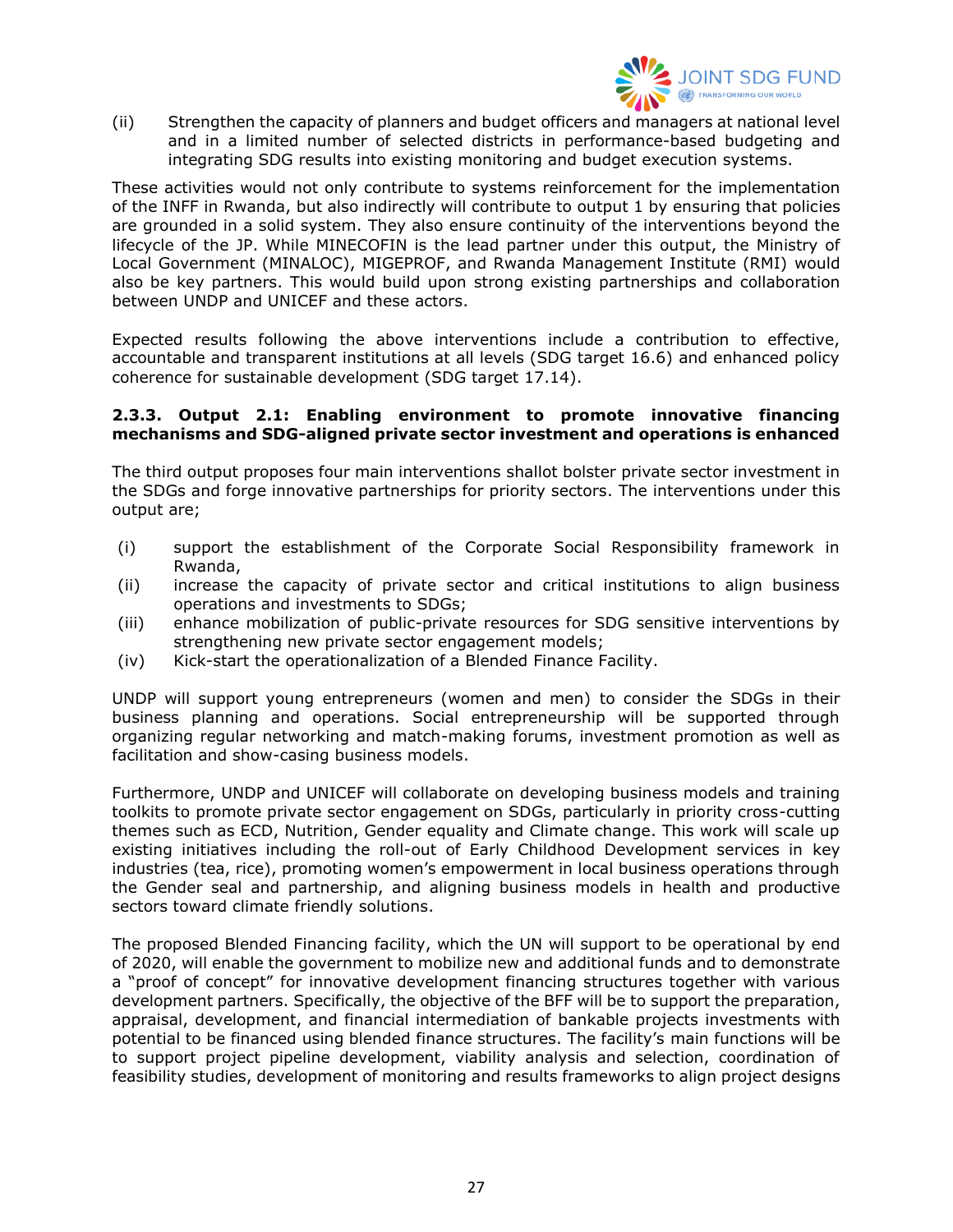

(ii) Strengthen the capacity of planners and budget officers and managers at national level and in a limited number of selected districts in performance-based budgeting and integrating SDG results into existing monitoring and budget execution systems.

These activities would not only contribute to systems reinforcement for the implementation of the INFF in Rwanda, but also indirectly will contribute to output 1 by ensuring that policies are grounded in a solid system. They also ensure continuity of the interventions beyond the lifecycle of the JP. While MINECOFIN is the lead partner under this output, the Ministry of Local Government (MINALOC), MIGEPROF, and Rwanda Management Institute (RMI) would also be key partners. This would build upon strong existing partnerships and collaboration between UNDP and UNICEF and these actors.

Expected results following the above interventions include a contribution to effective, accountable and transparent institutions at all levels (SDG target 16.6) and enhanced policy coherence for sustainable development (SDG target 17.14).

#### **2.3.3. Output 2.1: Enabling environment to promote innovative financing mechanisms and SDG-aligned private sector investment and operations is enhanced**

The third output proposes four main interventions shallot bolster private sector investment in the SDGs and forge innovative partnerships for priority sectors. The interventions under this output are;

- (i) support the establishment of the Corporate Social Responsibility framework in Rwanda,
- (ii) increase the capacity of private sector and critical institutions to align business operations and investments to SDGs;
- (iii) enhance mobilization of public-private resources for SDG sensitive interventions by strengthening new private sector engagement models;
- (iv) Kick-start the operationalization of a Blended Finance Facility.

UNDP will support young entrepreneurs (women and men) to consider the SDGs in their business planning and operations. Social entrepreneurship will be supported through organizing regular networking and match-making forums, investment promotion as well as facilitation and show-casing business models.

Furthermore, UNDP and UNICEF will collaborate on developing business models and training toolkits to promote private sector engagement on SDGs, particularly in priority cross-cutting themes such as ECD, Nutrition, Gender equality and Climate change. This work will scale up existing initiatives including the roll-out of Early Childhood Development services in key industries (tea, rice), promoting women's empowerment in local business operations through the Gender seal and partnership, and aligning business models in health and productive sectors toward climate friendly solutions.

The proposed Blended Financing facility, which the UN will support to be operational by end of 2020, will enable the government to mobilize new and additional funds and to demonstrate a "proof of concept" for innovative development financing structures together with various development partners. Specifically, the objective of the BFF will be to support the preparation, appraisal, development, and financial intermediation of bankable projects investments with potential to be financed using blended finance structures. The facility's main functions will be to support project pipeline development, viability analysis and selection, coordination of feasibility studies, development of monitoring and results frameworks to align project designs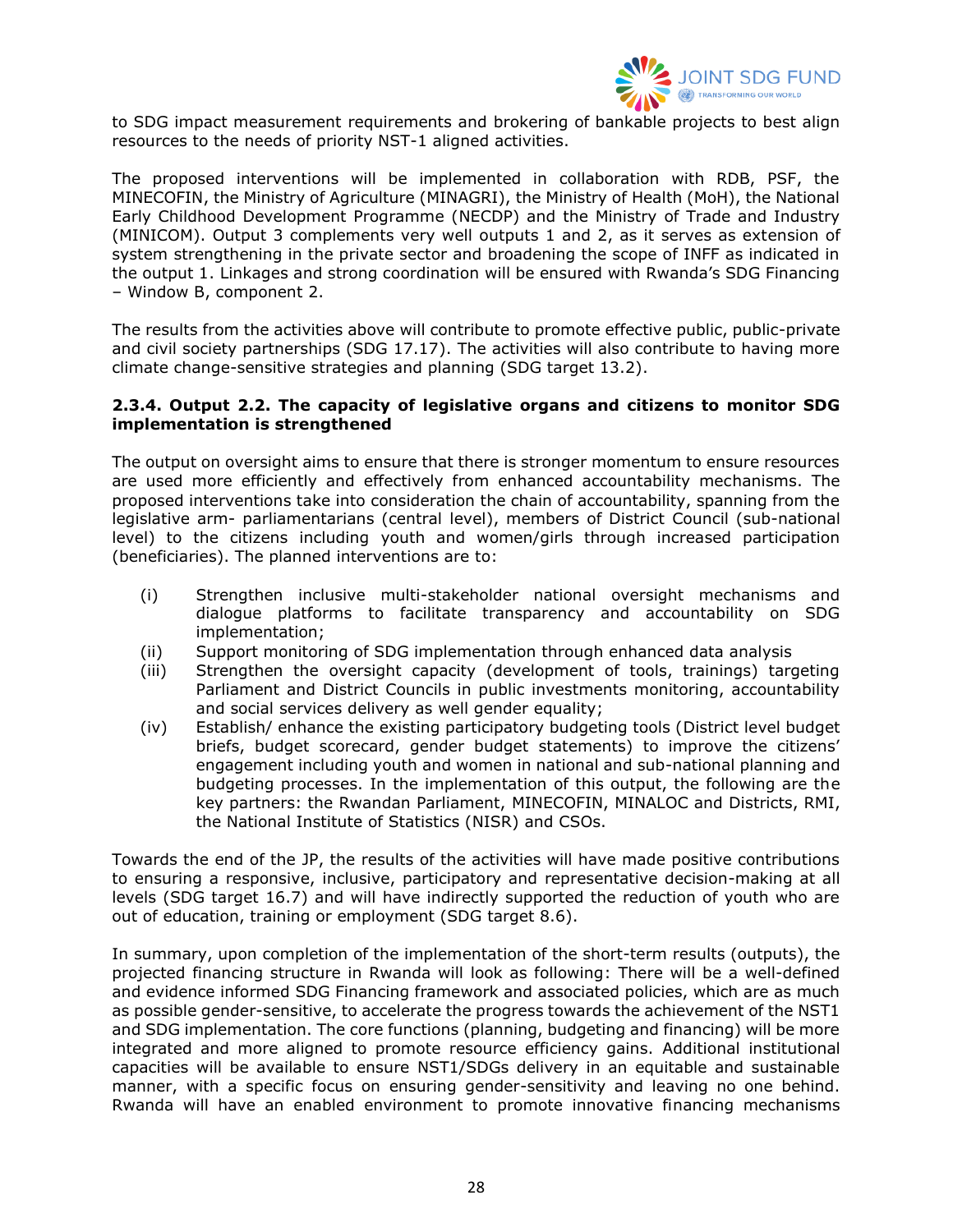

to SDG impact measurement requirements and brokering of bankable projects to best align resources to the needs of priority NST-1 aligned activities.

The proposed interventions will be implemented in collaboration with RDB, PSF, the MINECOFIN, the Ministry of Agriculture (MINAGRI), the Ministry of Health (MoH), the National Early Childhood Development Programme (NECDP) and the Ministry of Trade and Industry (MINICOM). Output 3 complements very well outputs 1 and 2, as it serves as extension of system strengthening in the private sector and broadening the scope of INFF as indicated in the output 1. Linkages and strong coordination will be ensured with Rwanda's SDG Financing – Window B, component 2.

The results from the activities above will contribute to promote effective public, public-private and civil society partnerships (SDG 17.17). The activities will also contribute to having more climate change-sensitive strategies and planning (SDG target 13.2).

#### **2.3.4. Output 2.2. The capacity of legislative organs and citizens to monitor SDG implementation is strengthened**

The output on oversight aims to ensure that there is stronger momentum to ensure resources are used more efficiently and effectively from enhanced accountability mechanisms. The proposed interventions take into consideration the chain of accountability, spanning from the legislative arm- parliamentarians (central level), members of District Council (sub-national level) to the citizens including youth and women/girls through increased participation (beneficiaries). The planned interventions are to:

- (i) Strengthen inclusive multi-stakeholder national oversight mechanisms and dialogue platforms to facilitate transparency and accountability on SDG implementation;
- (ii) Support monitoring of SDG implementation through enhanced data analysis
- (iii) Strengthen the oversight capacity (development of tools, trainings) targeting Parliament and District Councils in public investments monitoring, accountability and social services delivery as well gender equality;
- (iv) Establish/ enhance the existing participatory budgeting tools (District level budget briefs, budget scorecard, gender budget statements) to improve the citizens' engagement including youth and women in national and sub-national planning and budgeting processes. In the implementation of this output, the following are the key partners: the Rwandan Parliament, MINECOFIN, MINALOC and Districts, RMI, the National Institute of Statistics (NISR) and CSOs.

Towards the end of the JP, the results of the activities will have made positive contributions to ensuring a responsive, inclusive, participatory and representative decision-making at all levels (SDG target 16.7) and will have indirectly supported the reduction of youth who are out of education, training or employment (SDG target 8.6).

In summary, upon completion of the implementation of the short-term results (outputs), the projected financing structure in Rwanda will look as following: There will be a well-defined and evidence informed SDG Financing framework and associated policies, which are as much as possible gender-sensitive, to accelerate the progress towards the achievement of the NST1 and SDG implementation. The core functions (planning, budgeting and financing) will be more integrated and more aligned to promote resource efficiency gains. Additional institutional capacities will be available to ensure NST1/SDGs delivery in an equitable and sustainable manner, with a specific focus on ensuring gender-sensitivity and leaving no one behind. Rwanda will have an enabled environment to promote innovative financing mechanisms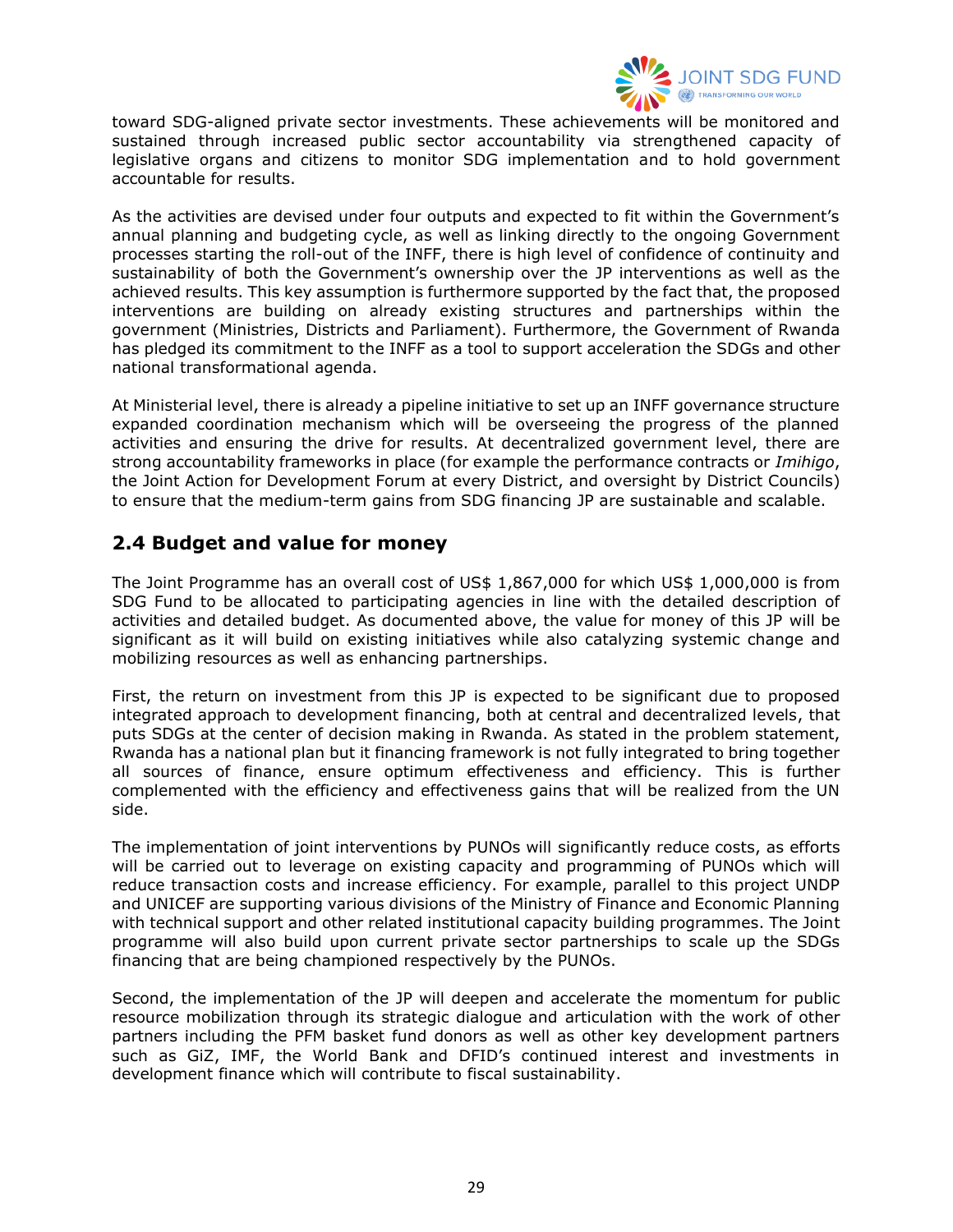

toward SDG-aligned private sector investments. These achievements will be monitored and sustained through increased public sector accountability via strengthened capacity of legislative organs and citizens to monitor SDG implementation and to hold government accountable for results.

As the activities are devised under four outputs and expected to fit within the Government's annual planning and budgeting cycle, as well as linking directly to the ongoing Government processes starting the roll-out of the INFF, there is high level of confidence of continuity and sustainability of both the Government's ownership over the JP interventions as well as the achieved results. This key assumption is furthermore supported by the fact that, the proposed interventions are building on already existing structures and partnerships within the government (Ministries, Districts and Parliament). Furthermore, the Government of Rwanda has pledged its commitment to the INFF as a tool to support acceleration the SDGs and other national transformational agenda.

At Ministerial level, there is already a pipeline initiative to set up an INFF governance structure expanded coordination mechanism which will be overseeing the progress of the planned activities and ensuring the drive for results. At decentralized government level, there are strong accountability frameworks in place (for example the performance contracts or *Imihigo*, the Joint Action for Development Forum at every District, and oversight by District Councils) to ensure that the medium-term gains from SDG financing JP are sustainable and scalable.

# <span id="page-28-0"></span>**2.4 Budget and value for money**

The Joint Programme has an overall cost of US\$ 1,867,000 for which US\$ 1,000,000 is from SDG Fund to be allocated to participating agencies in line with the detailed description of activities and detailed budget. As documented above, the value for money of this JP will be significant as it will build on existing initiatives while also catalyzing systemic change and mobilizing resources as well as enhancing partnerships.

First, the return on investment from this JP is expected to be significant due to proposed integrated approach to development financing, both at central and decentralized levels, that puts SDGs at the center of decision making in Rwanda. As stated in the problem statement, Rwanda has a national plan but it financing framework is not fully integrated to bring together all sources of finance, ensure optimum effectiveness and efficiency. This is further complemented with the efficiency and effectiveness gains that will be realized from the UN side.

The implementation of joint interventions by PUNOs will significantly reduce costs, as efforts will be carried out to leverage on existing capacity and programming of PUNOs which will reduce transaction costs and increase efficiency. For example, parallel to this project UNDP and UNICEF are supporting various divisions of the Ministry of Finance and Economic Planning with technical support and other related institutional capacity building programmes. The Joint programme will also build upon current private sector partnerships to scale up the SDGs financing that are being championed respectively by the PUNOs.

Second, the implementation of the JP will deepen and accelerate the momentum for public resource mobilization through its strategic dialogue and articulation with the work of other partners including the PFM basket fund donors as well as other key development partners such as GiZ, IMF, the World Bank and DFID's continued interest and investments in development finance which will contribute to fiscal sustainability.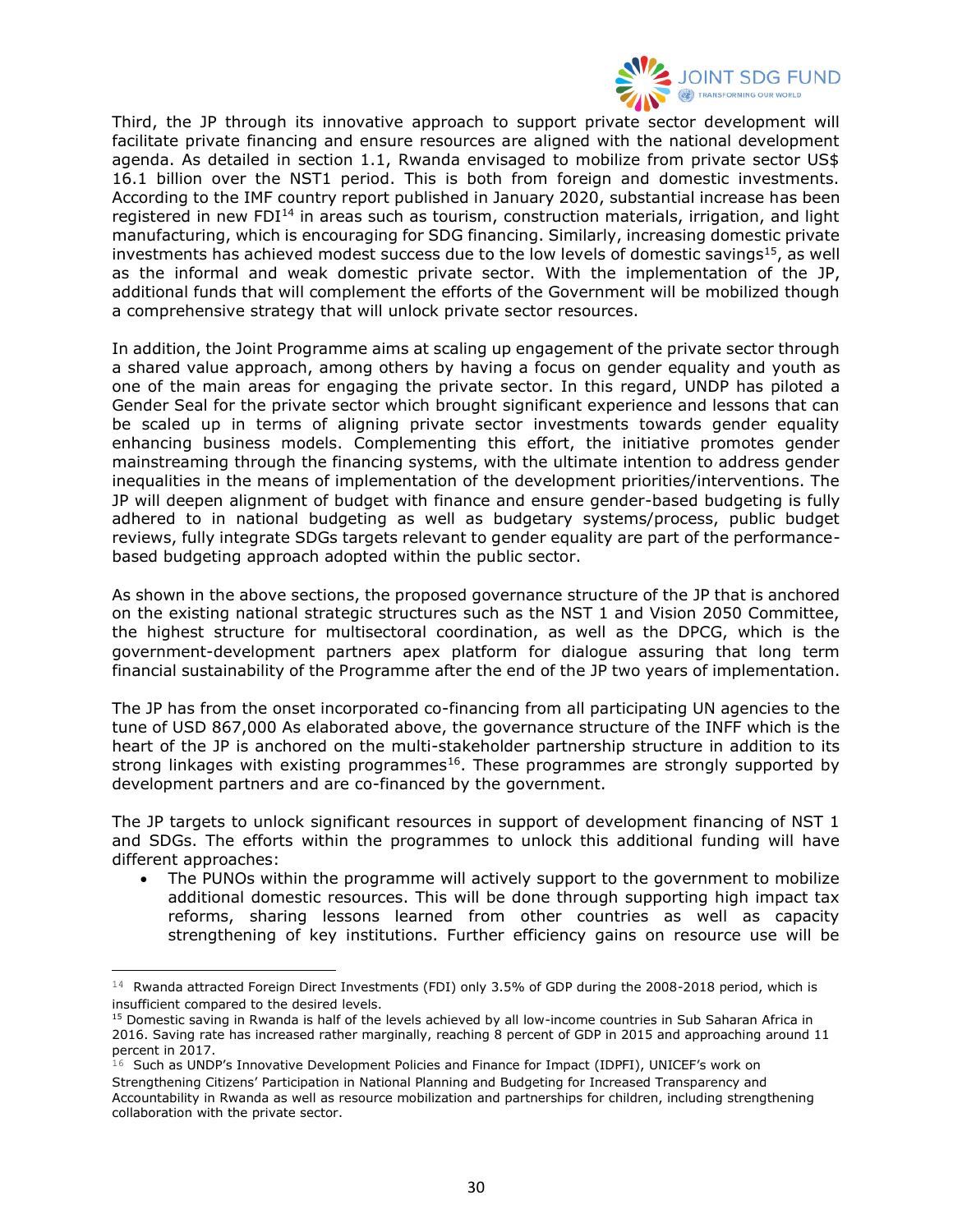

Third, the JP through its innovative approach to support private sector development will facilitate private financing and ensure resources are aligned with the national development agenda. As detailed in section 1.1, Rwanda envisaged to mobilize from private sector US\$ 16.1 billion over the NST1 period. This is both from foreign and domestic investments. According to the IMF country report published in January 2020, substantial increase has been registered in new FDI<sup>14</sup> in areas such as tourism, construction materials, irrigation, and light manufacturing, which is encouraging for SDG financing. Similarly, increasing domestic private investments has achieved modest success due to the low levels of domestic savings<sup>15</sup>, as well as the informal and weak domestic private sector. With the implementation of the JP, additional funds that will complement the efforts of the Government will be mobilized though a comprehensive strategy that will unlock private sector resources.

In addition, the Joint Programme aims at scaling up engagement of the private sector through a shared value approach, among others by having a focus on gender equality and youth as one of the main areas for engaging the private sector. In this regard, UNDP has piloted a Gender Seal for the private sector which brought significant experience and lessons that can be scaled up in terms of aligning private sector investments towards gender equality enhancing business models. Complementing this effort, the initiative promotes gender mainstreaming through the financing systems, with the ultimate intention to address gender inequalities in the means of implementation of the development priorities/interventions. The JP will deepen alignment of budget with finance and ensure gender-based budgeting is fully adhered to in national budgeting as well as budgetary systems/process, public budget reviews, fully integrate SDGs targets relevant to gender equality are part of the performancebased budgeting approach adopted within the public sector.

As shown in the above sections, the proposed governance structure of the JP that is anchored on the existing national strategic structures such as the NST 1 and Vision 2050 Committee, the highest structure for multisectoral coordination, as well as the DPCG, which is the government-development partners apex platform for dialogue assuring that long term financial sustainability of the Programme after the end of the JP two years of implementation.

The JP has from the onset incorporated co-financing from all participating UN agencies to the tune of USD 867,000 As elaborated above, the governance structure of the INFF which is the heart of the JP is anchored on the multi-stakeholder partnership structure in addition to its strong linkages with existing programmes<sup>16</sup>. These programmes are strongly supported by development partners and are co-financed by the government.

The JP targets to unlock significant resources in support of development financing of NST 1 and SDGs. The efforts within the programmes to unlock this additional funding will have different approaches:

• The PUNOs within the programme will actively support to the government to mobilize additional domestic resources. This will be done through supporting high impact tax reforms, sharing lessons learned from other countries as well as capacity strengthening of key institutions. Further efficiency gains on resource use will be

 $14$  Rwanda attracted Foreign Direct Investments (FDI) only 3.5% of GDP during the 2008-2018 period, which is insufficient compared to the desired levels.

<sup>&</sup>lt;sup>15</sup> Domestic saving in Rwanda is half of the levels achieved by all low-income countries in Sub Saharan Africa in 2016. Saving rate has increased rather marginally, reaching 8 percent of GDP in 2015 and approaching around 11 percent in 2017.

 $16$  Such as UNDP's Innovative Development Policies and Finance for Impact (IDPFI), UNICEF's work on Strengthening Citizens' Participation in National Planning and Budgeting for Increased Transparency and Accountability in Rwanda as well as resource mobilization and partnerships for children, including strengthening collaboration with the private sector.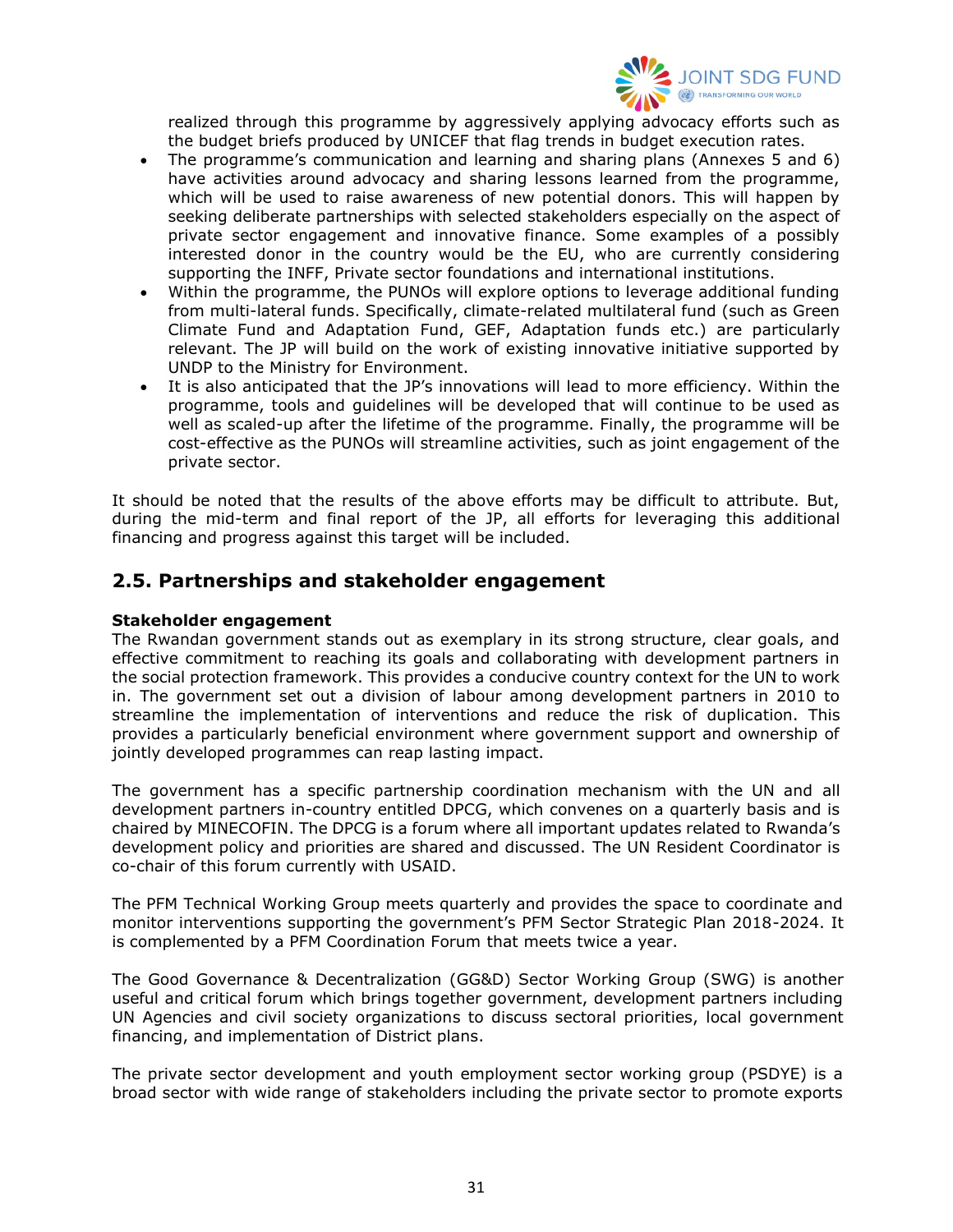

realized through this programme by aggressively applying advocacy efforts such as the budget briefs produced by UNICEF that flag trends in budget execution rates.

- The programme's communication and learning and sharing plans (Annexes 5 and 6) have activities around advocacy and sharing lessons learned from the programme, which will be used to raise awareness of new potential donors. This will happen by seeking deliberate partnerships with selected stakeholders especially on the aspect of private sector engagement and innovative finance. Some examples of a possibly interested donor in the country would be the EU, who are currently considering supporting the INFF, Private sector foundations and international institutions.
- Within the programme, the PUNOs will explore options to leverage additional funding from multi-lateral funds. Specifically, climate-related multilateral fund (such as Green Climate Fund and Adaptation Fund, GEF, Adaptation funds etc.) are particularly relevant. The JP will build on the work of existing innovative initiative supported by UNDP to the Ministry for Environment.
- It is also anticipated that the JP's innovations will lead to more efficiency. Within the programme, tools and guidelines will be developed that will continue to be used as well as scaled-up after the lifetime of the programme. Finally, the programme will be cost-effective as the PUNOs will streamline activities, such as joint engagement of the private sector.

It should be noted that the results of the above efforts may be difficult to attribute. But, during the mid-term and final report of the JP, all efforts for leveraging this additional financing and progress against this target will be included.

## <span id="page-30-0"></span>**2.5. Partnerships and stakeholder engagement**

#### **Stakeholder engagement**

The Rwandan government stands out as exemplary in its strong structure, clear goals, and effective commitment to reaching its goals and collaborating with development partners in the social protection framework. This provides a conducive country context for the UN to work in. The government set out a division of labour among development partners in 2010 to streamline the implementation of interventions and reduce the risk of duplication. This provides a particularly beneficial environment where government support and ownership of jointly developed programmes can reap lasting impact.

The government has a specific partnership coordination mechanism with the UN and all development partners in-country entitled DPCG, which convenes on a quarterly basis and is chaired by MINECOFIN. The DPCG is a forum where all important updates related to Rwanda's development policy and priorities are shared and discussed. The UN Resident Coordinator is co-chair of this forum currently with USAID.

The PFM Technical Working Group meets quarterly and provides the space to coordinate and monitor interventions supporting the government's PFM Sector Strategic Plan 2018-2024. It is complemented by a PFM Coordination Forum that meets twice a year.

The Good Governance & Decentralization (GG&D) Sector Working Group (SWG) is another useful and critical forum which brings together government, development partners including UN Agencies and civil society organizations to discuss sectoral priorities, local government financing, and implementation of District plans.

The private sector development and youth employment sector working group (PSDYE) is a broad sector with wide range of stakeholders including the private sector to promote exports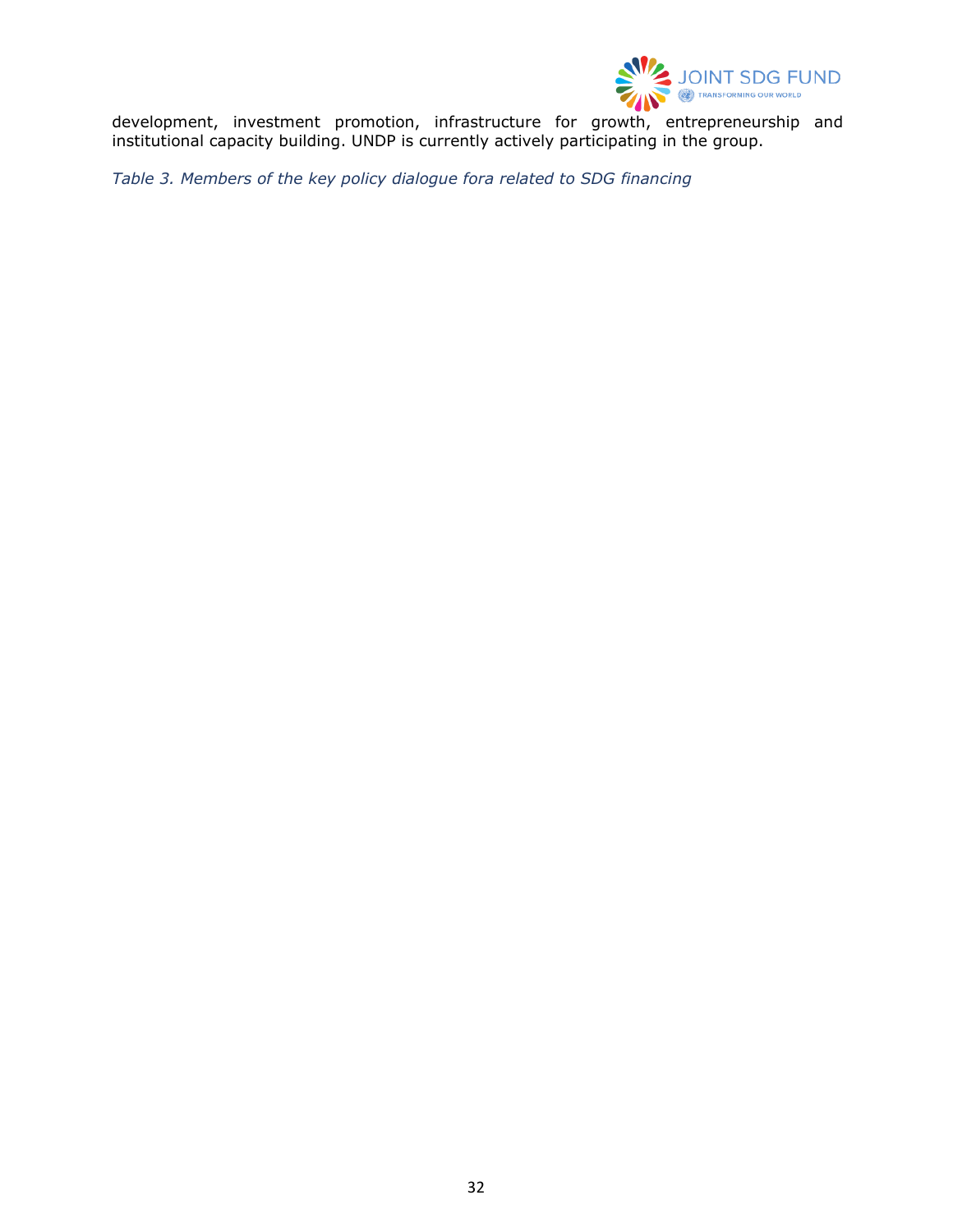

development, investment promotion, infrastructure for growth, entrepreneurship and institutional capacity building. UNDP is currently actively participating in the group.

<span id="page-31-0"></span>*Table 3. Members of the key policy dialogue fora related to SDG financing*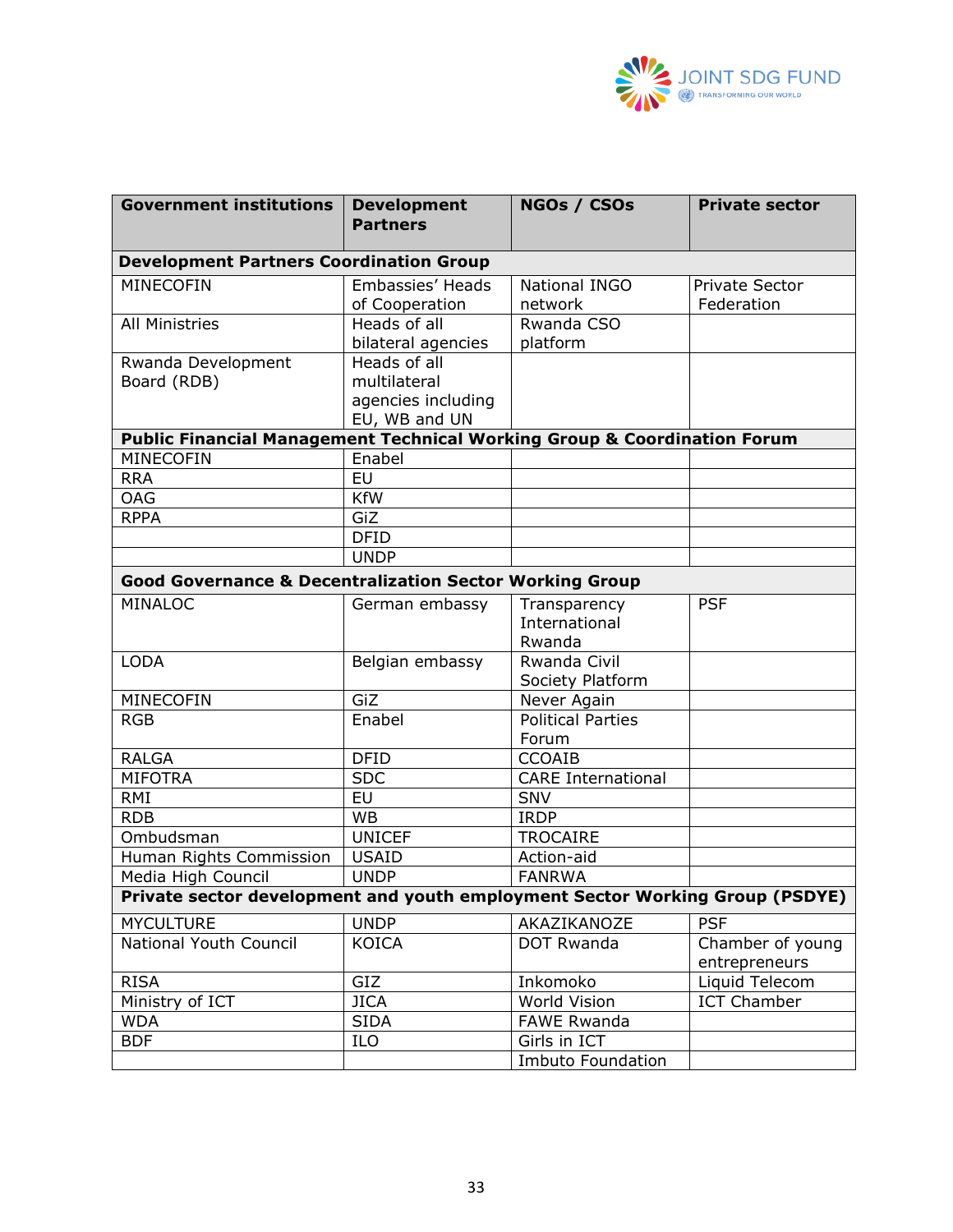

| <b>Government institutions</b>                                                      | <b>Development</b><br><b>Partners</b> | NGOs / CSOs               | <b>Private sector</b> |
|-------------------------------------------------------------------------------------|---------------------------------------|---------------------------|-----------------------|
| <b>Development Partners Coordination Group</b>                                      |                                       |                           |                       |
| <b>MINECOFIN</b>                                                                    | Embassies' Heads                      | <b>National INGO</b>      | <b>Private Sector</b> |
|                                                                                     | of Cooperation                        | network                   | Federation            |
| <b>All Ministries</b>                                                               | Heads of all                          | Rwanda CSO                |                       |
|                                                                                     | bilateral agencies                    | platform                  |                       |
| Rwanda Development                                                                  | Heads of all                          |                           |                       |
| Board (RDB)                                                                         | multilateral                          |                           |                       |
|                                                                                     | agencies including                    |                           |                       |
| <b>Public Financial Management Technical Working Group &amp; Coordination Forum</b> | EU, WB and UN                         |                           |                       |
| MINECOFIN                                                                           | Enabel                                |                           |                       |
| <b>RRA</b>                                                                          | $\overline{EU}$                       |                           |                       |
| <b>OAG</b>                                                                          | <b>KfW</b>                            |                           |                       |
| <b>RPPA</b>                                                                         | GiZ                                   |                           |                       |
|                                                                                     | <b>DFID</b>                           |                           |                       |
|                                                                                     | <b>UNDP</b>                           |                           |                       |
| <b>Good Governance &amp; Decentralization Sector Working Group</b>                  |                                       |                           |                       |
| <b>MINALOC</b>                                                                      | German embassy                        | Transparency              | <b>PSF</b>            |
|                                                                                     |                                       | International             |                       |
|                                                                                     |                                       | Rwanda                    |                       |
| <b>LODA</b>                                                                         | Belgian embassy                       | Rwanda Civil              |                       |
|                                                                                     |                                       | Society Platform          |                       |
| <b>MINECOFIN</b>                                                                    | GiZ                                   | Never Again               |                       |
| <b>RGB</b>                                                                          | Enabel                                | <b>Political Parties</b>  |                       |
|                                                                                     |                                       | Forum                     |                       |
| <b>RALGA</b>                                                                        | <b>DFID</b>                           | <b>CCOAIB</b>             |                       |
| <b>MIFOTRA</b>                                                                      | <b>SDC</b>                            | <b>CARE International</b> |                       |
| <b>RMI</b>                                                                          | <b>EU</b>                             | <b>SNV</b>                |                       |
| <b>RDB</b>                                                                          | <b>WB</b>                             | <b>IRDP</b>               |                       |
| Ombudsman                                                                           | <b>UNICEF</b>                         | <b>TROCAIRE</b>           |                       |
| Human Rights Commission                                                             | <b>USAID</b>                          | Action-aid                |                       |
| Media High Council                                                                  | <b>UNDP</b>                           | <b>FANRWA</b>             |                       |
| Private sector development and youth employment Sector Working Group (PSDYE)        |                                       |                           |                       |
| <b>MYCULTURE</b>                                                                    | <b>UNDP</b>                           | AKAZIKANOZE               | <b>PSF</b>            |
| National Youth Council                                                              | <b>KOICA</b>                          | <b>DOT Rwanda</b>         | Chamber of young      |
|                                                                                     |                                       |                           | entrepreneurs         |
| <b>RISA</b>                                                                         | GIZ                                   | Inkomoko                  | Liquid Telecom        |
| Ministry of ICT                                                                     | <b>JICA</b>                           | World Vision              | <b>ICT Chamber</b>    |
| WDA                                                                                 | <b>SIDA</b>                           | <b>FAWE Rwanda</b>        |                       |
| <b>BDF</b>                                                                          | ILO                                   | Girls in ICT              |                       |
|                                                                                     |                                       | <b>Imbuto Foundation</b>  |                       |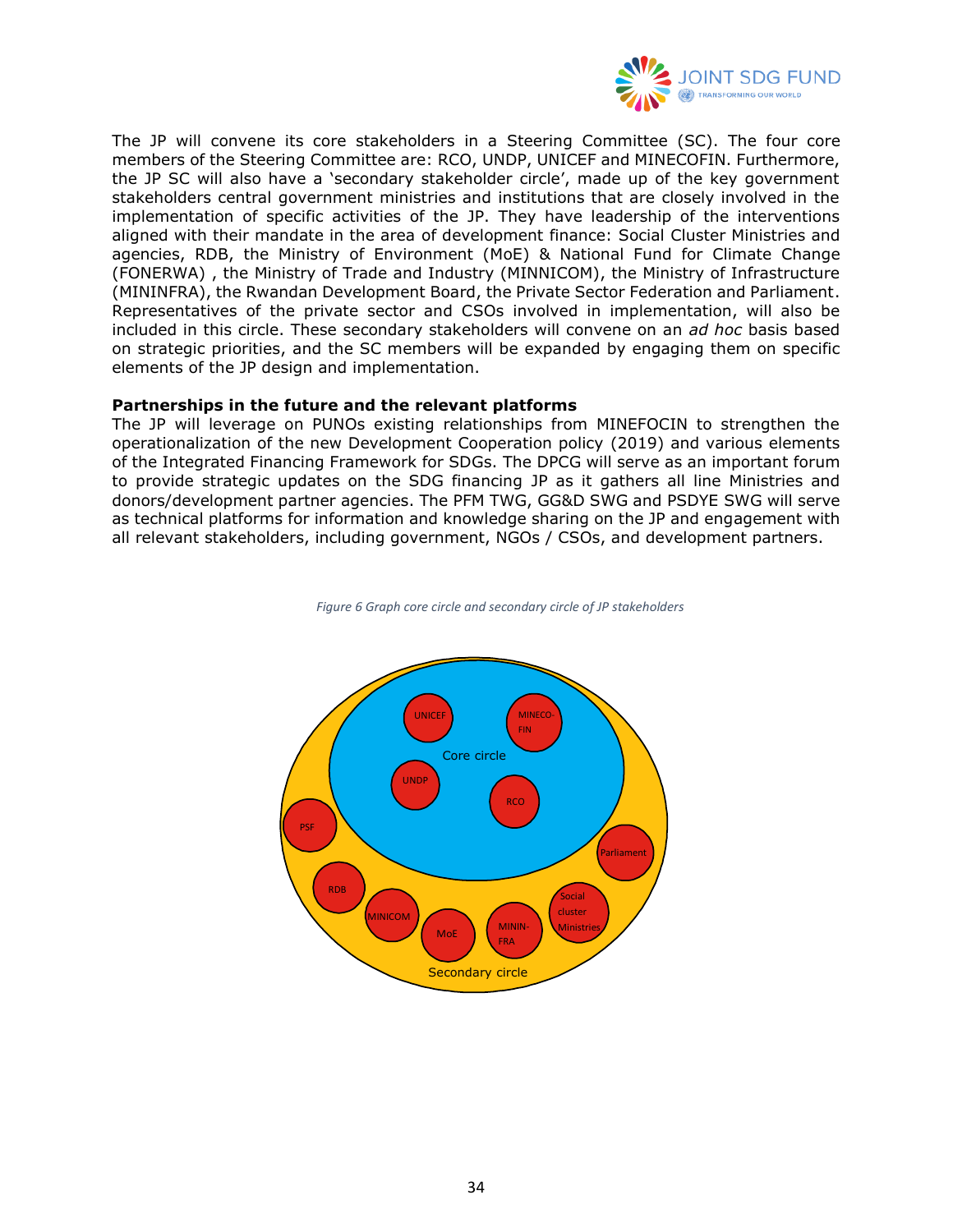

The JP will convene its core stakeholders in a Steering Committee (SC). The four core members of the Steering Committee are: RCO, UNDP, UNICEF and MINECOFIN. Furthermore, the JP SC will also have a 'secondary stakeholder circle', made up of the key government stakeholders central government ministries and institutions that are closely involved in the implementation of specific activities of the JP. They have leadership of the interventions aligned with their mandate in the area of development finance: Social Cluster Ministries and agencies, RDB, the Ministry of Environment (MoE) & National Fund for Climate Change (FONERWA) , the Ministry of Trade and Industry (MINNICOM), the Ministry of Infrastructure (MININFRA), the Rwandan Development Board, the Private Sector Federation and Parliament. Representatives of the private sector and CSOs involved in implementation, will also be included in this circle. These secondary stakeholders will convene on an *ad hoc* basis based on strategic priorities, and the SC members will be expanded by engaging them on specific elements of the JP design and implementation.

#### **Partnerships in the future and the relevant platforms**

The JP will leverage on PUNOs existing relationships from MINEFOCIN to strengthen the operationalization of the new Development Cooperation policy (2019) and various elements of the Integrated Financing Framework for SDGs. The DPCG will serve as an important forum to provide strategic updates on the SDG financing JP as it gathers all line Ministries and donors/development partner agencies. The PFM TWG, GG&D SWG and PSDYE SWG will serve as technical platforms for information and knowledge sharing on the JP and engagement with all relevant stakeholders, including government, NGOs / CSOs, and development partners.



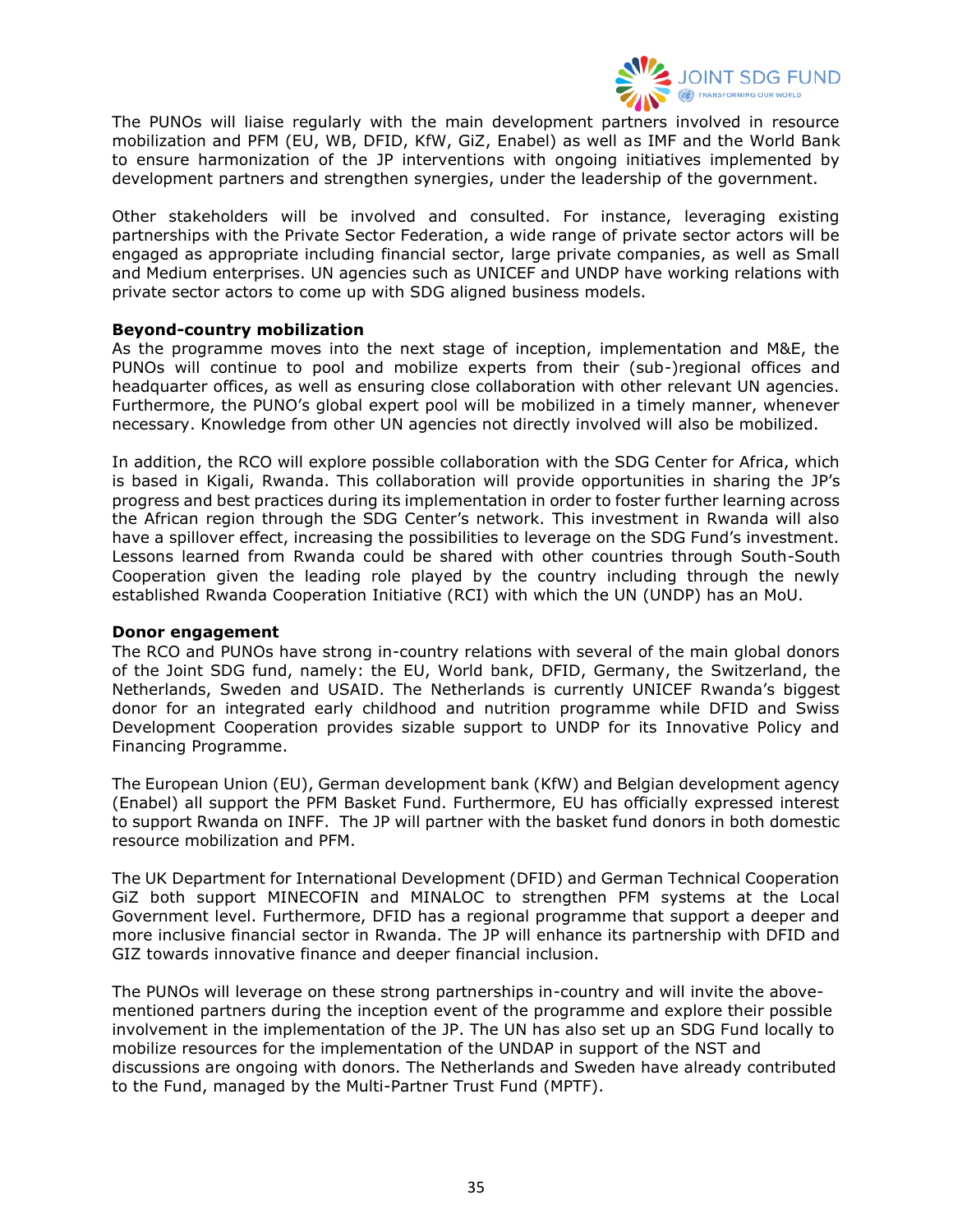

The PUNOs will liaise regularly with the main development partners involved in resource mobilization and PFM (EU, WB, DFID, KfW, GiZ, Enabel) as well as IMF and the World Bank to ensure harmonization of the JP interventions with ongoing initiatives implemented by development partners and strengthen synergies, under the leadership of the government.

Other stakeholders will be involved and consulted. For instance, leveraging existing partnerships with the Private Sector Federation, a wide range of private sector actors will be engaged as appropriate including financial sector, large private companies, as well as Small and Medium enterprises. UN agencies such as UNICEF and UNDP have working relations with private sector actors to come up with SDG aligned business models.

#### **Beyond-country mobilization**

As the programme moves into the next stage of inception, implementation and M&E, the PUNOs will continue to pool and mobilize experts from their (sub-)regional offices and headquarter offices, as well as ensuring close collaboration with other relevant UN agencies. Furthermore, the PUNO's global expert pool will be mobilized in a timely manner, whenever necessary. Knowledge from other UN agencies not directly involved will also be mobilized.

In addition, the RCO will explore possible collaboration with the SDG Center for Africa, which is based in Kigali, Rwanda. This collaboration will provide opportunities in sharing the JP's progress and best practices during its implementation in order to foster further learning across the African region through the SDG Center's network. This investment in Rwanda will also have a spillover effect, increasing the possibilities to leverage on the SDG Fund's investment. Lessons learned from Rwanda could be shared with other countries through South-South Cooperation given the leading role played by the country including through the newly established Rwanda Cooperation Initiative (RCI) with which the UN (UNDP) has an MoU.

#### **Donor engagement**

The RCO and PUNOs have strong in-country relations with several of the main global donors of the Joint SDG fund, namely: the EU, World bank, DFID, Germany, the Switzerland, the Netherlands, Sweden and USAID. The Netherlands is currently UNICEF Rwanda's biggest donor for an integrated early childhood and nutrition programme while DFID and Swiss Development Cooperation provides sizable support to UNDP for its Innovative Policy and Financing Programme.

The European Union (EU), German development bank (KfW) and Belgian development agency (Enabel) all support the PFM Basket Fund. Furthermore, EU has officially expressed interest to support Rwanda on INFF. The JP will partner with the basket fund donors in both domestic resource mobilization and PFM.

The UK Department for International Development (DFID) and German Technical Cooperation GiZ both support MINECOFIN and MINALOC to strengthen PFM systems at the Local Government level. Furthermore, DFID has a regional programme that support a deeper and more inclusive financial sector in Rwanda. The JP will enhance its partnership with DFID and GIZ towards innovative finance and deeper financial inclusion.

The PUNOs will leverage on these strong partnerships in-country and will invite the abovementioned partners during the inception event of the programme and explore their possible involvement in the implementation of the JP. The UN has also set up an SDG Fund locally to mobilize resources for the implementation of the UNDAP in support of the NST and discussions are ongoing with donors. The Netherlands and Sweden have already contributed to the Fund, managed by the Multi-Partner Trust Fund (MPTF).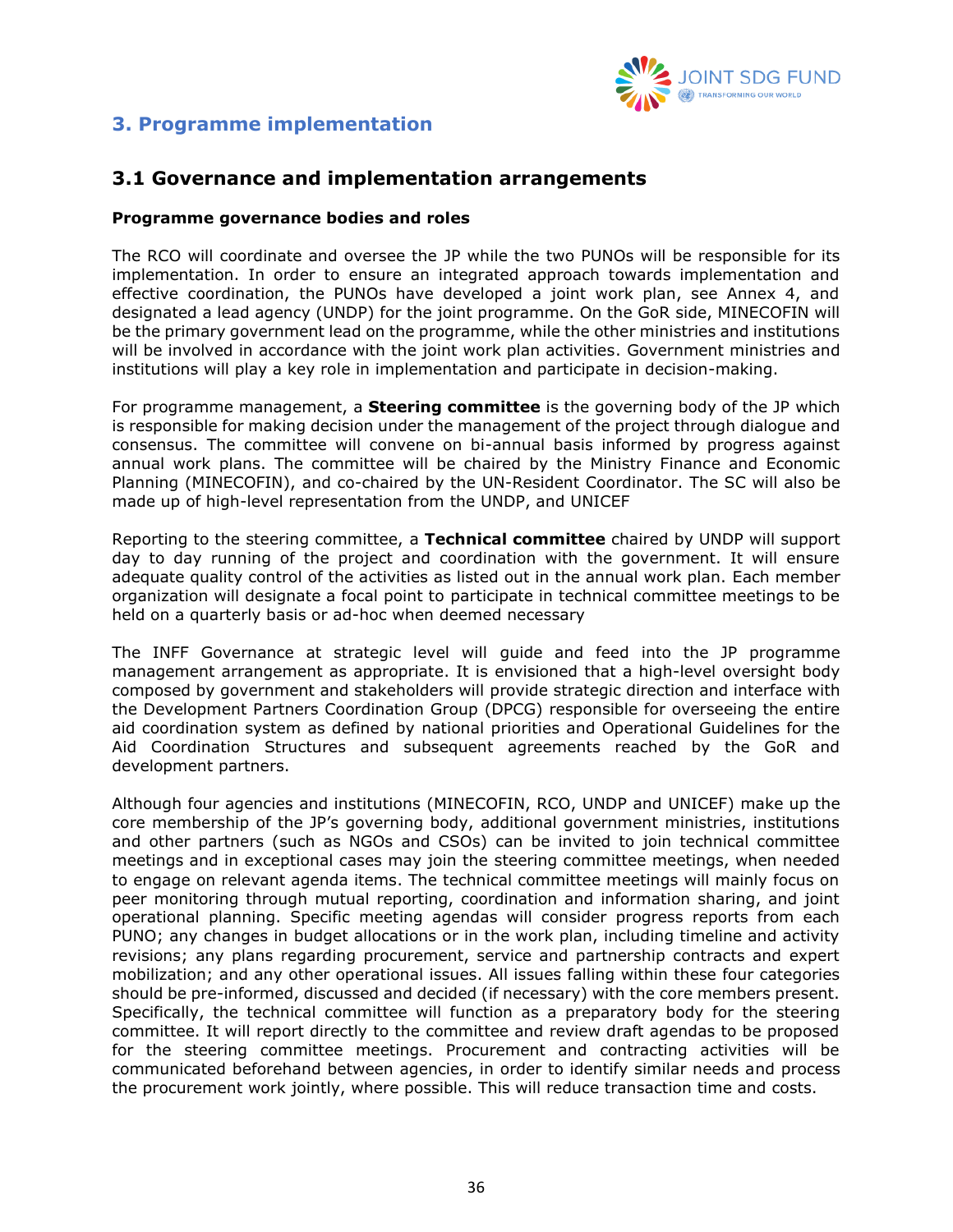

# <span id="page-35-0"></span>**3. Programme implementation**

## <span id="page-35-1"></span>**3.1 Governance and implementation arrangements**

#### **Programme governance bodies and roles**

The RCO will coordinate and oversee the JP while the two PUNOs will be responsible for its implementation. In order to ensure an integrated approach towards implementation and effective coordination, the PUNOs have developed a joint work plan, see Annex 4, and designated a lead agency (UNDP) for the joint programme. On the GoR side, MINECOFIN will be the primary government lead on the programme, while the other ministries and institutions will be involved in accordance with the joint work plan activities. Government ministries and institutions will play a key role in implementation and participate in decision-making.

For programme management, a **Steering committee** is the governing body of the JP which is responsible for making decision under the management of the project through dialogue and consensus. The committee will convene on bi-annual basis informed by progress against annual work plans. The committee will be chaired by the Ministry Finance and Economic Planning (MINECOFIN), and co-chaired by the UN-Resident Coordinator. The SC will also be made up of high-level representation from the UNDP, and UNICEF

Reporting to the steering committee, a **Technical committee** chaired by UNDP will support day to day running of the project and coordination with the government. It will ensure adequate quality control of the activities as listed out in the annual work plan. Each member organization will designate a focal point to participate in technical committee meetings to be held on a quarterly basis or ad-hoc when deemed necessary

The INFF Governance at strategic level will guide and feed into the JP programme management arrangement as appropriate. It is envisioned that a high-level oversight body composed by government and stakeholders will provide strategic direction and interface with the Development Partners Coordination Group (DPCG) responsible for overseeing the entire aid coordination system as defined by national priorities and Operational Guidelines for the Aid Coordination Structures and subsequent agreements reached by the GoR and development partners.

Although four agencies and institutions (MINECOFIN, RCO, UNDP and UNICEF) make up the core membership of the JP's governing body, additional government ministries, institutions and other partners (such as NGOs and CSOs) can be invited to join technical committee meetings and in exceptional cases may join the steering committee meetings, when needed to engage on relevant agenda items. The technical committee meetings will mainly focus on peer monitoring through mutual reporting, coordination and information sharing, and joint operational planning. Specific meeting agendas will consider progress reports from each PUNO; any changes in budget allocations or in the work plan, including timeline and activity revisions; any plans regarding procurement, service and partnership contracts and expert mobilization; and any other operational issues. All issues falling within these four categories should be pre-informed, discussed and decided (if necessary) with the core members present. Specifically, the technical committee will function as a preparatory body for the steering committee. It will report directly to the committee and review draft agendas to be proposed for the steering committee meetings. Procurement and contracting activities will be communicated beforehand between agencies, in order to identify similar needs and process the procurement work jointly, where possible. This will reduce transaction time and costs.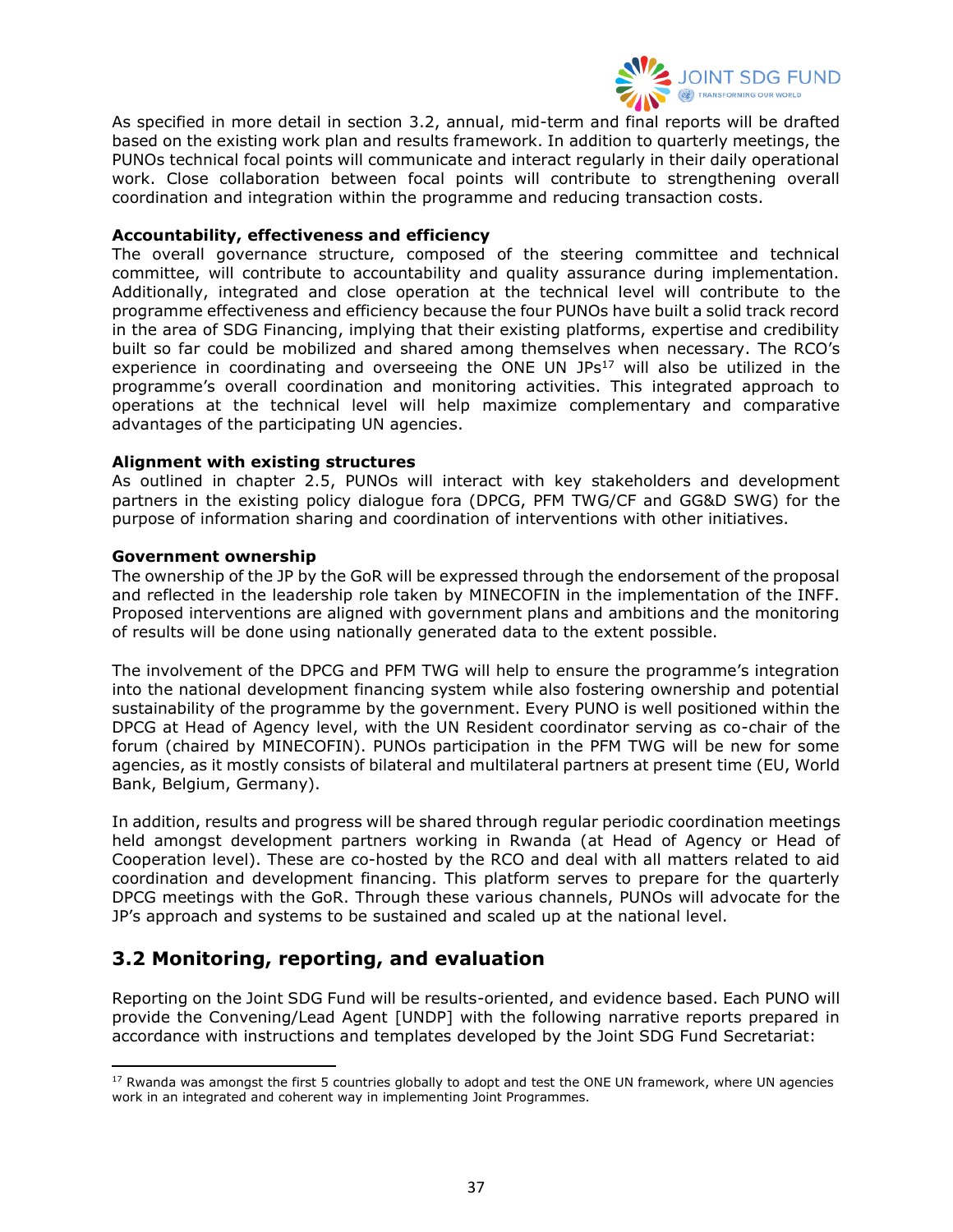

As specified in more detail in section 3.2, annual, mid-term and final reports will be drafted based on the existing work plan and results framework. In addition to quarterly meetings, the PUNOs technical focal points will communicate and interact regularly in their daily operational work. Close collaboration between focal points will contribute to strengthening overall coordination and integration within the programme and reducing transaction costs.

#### **Accountability, effectiveness and efficiency**

The overall governance structure, composed of the steering committee and technical committee, will contribute to accountability and quality assurance during implementation. Additionally, integrated and close operation at the technical level will contribute to the programme effectiveness and efficiency because the four PUNOs have built a solid track record in the area of SDG Financing, implying that their existing platforms, expertise and credibility built so far could be mobilized and shared among themselves when necessary. The RCO's experience in coordinating and overseeing the ONE UN JPs<sup>17</sup> will also be utilized in the programme's overall coordination and monitoring activities. This integrated approach to operations at the technical level will help maximize complementary and comparative advantages of the participating UN agencies.

#### **Alignment with existing structures**

As outlined in chapter 2.5, PUNOs will interact with key stakeholders and development partners in the existing policy dialogue fora (DPCG, PFM TWG/CF and GG&D SWG) for the purpose of information sharing and coordination of interventions with other initiatives.

#### **Government ownership**

The ownership of the JP by the GoR will be expressed through the endorsement of the proposal and reflected in the leadership role taken by MINECOFIN in the implementation of the INFF. Proposed interventions are aligned with government plans and ambitions and the monitoring of results will be done using nationally generated data to the extent possible.

The involvement of the DPCG and PFM TWG will help to ensure the programme's integration into the national development financing system while also fostering ownership and potential sustainability of the programme by the government. Every PUNO is well positioned within the DPCG at Head of Agency level, with the UN Resident coordinator serving as co-chair of the forum (chaired by MINECOFIN). PUNOs participation in the PFM TWG will be new for some agencies, as it mostly consists of bilateral and multilateral partners at present time (EU, World Bank, Belgium, Germany).

In addition, results and progress will be shared through regular periodic coordination meetings held amongst development partners working in Rwanda (at Head of Agency or Head of Cooperation level). These are co-hosted by the RCO and deal with all matters related to aid coordination and development financing. This platform serves to prepare for the quarterly DPCG meetings with the GoR. Through these various channels, PUNOs will advocate for the JP's approach and systems to be sustained and scaled up at the national level.

## <span id="page-36-0"></span>**3.2 Monitoring, reporting, and evaluation**

Reporting on the Joint SDG Fund will be results-oriented, and evidence based. Each PUNO will provide the Convening/Lead Agent [UNDP] with the following narrative reports prepared in accordance with instructions and templates developed by the Joint SDG Fund Secretariat:

 $17$  Rwanda was amongst the first 5 countries globally to adopt and test the ONE UN framework, where UN agencies work in an integrated and coherent way in implementing Joint Programmes.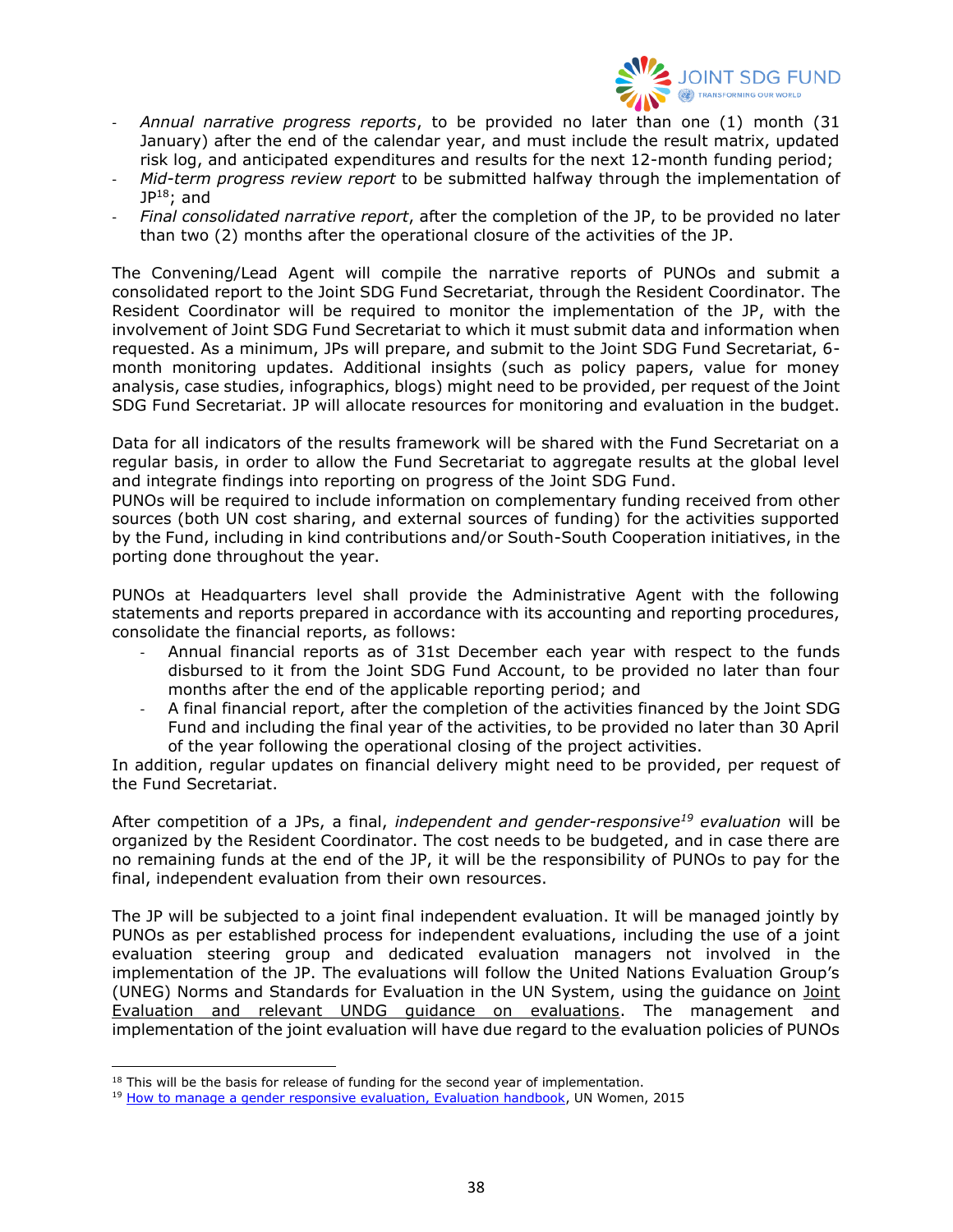

- *Annual narrative progress reports*, to be provided no later than one (1) month (31 January) after the end of the calendar year, and must include the result matrix, updated risk log, and anticipated expenditures and results for the next 12-month funding period;
- *Mid-term progress review report* to be submitted halfway through the implementation of  $JP<sup>18</sup>$ ; and
- *Final consolidated narrative report*, after the completion of the JP, to be provided no later than two (2) months after the operational closure of the activities of the JP.

The Convening/Lead Agent will compile the narrative reports of PUNOs and submit a consolidated report to the Joint SDG Fund Secretariat, through the Resident Coordinator. The Resident Coordinator will be required to monitor the implementation of the JP, with the involvement of Joint SDG Fund Secretariat to which it must submit data and information when requested. As a minimum, JPs will prepare, and submit to the Joint SDG Fund Secretariat, 6 month monitoring updates. Additional insights (such as policy papers, value for money analysis, case studies, infographics, blogs) might need to be provided, per request of the Joint SDG Fund Secretariat. JP will allocate resources for monitoring and evaluation in the budget.

Data for all indicators of the results framework will be shared with the Fund Secretariat on a regular basis, in order to allow the Fund Secretariat to aggregate results at the global level and integrate findings into reporting on progress of the Joint SDG Fund.

PUNOs will be required to include information on complementary funding received from other sources (both UN cost sharing, and external sources of funding) for the activities supported by the Fund, including in kind contributions and/or South-South Cooperation initiatives, in the porting done throughout the year.

PUNOs at Headquarters level shall provide the Administrative Agent with the following statements and reports prepared in accordance with its accounting and reporting procedures, consolidate the financial reports, as follows:

- Annual financial reports as of 31st December each year with respect to the funds disbursed to it from the Joint SDG Fund Account, to be provided no later than four months after the end of the applicable reporting period; and
- A final financial report, after the completion of the activities financed by the Joint SDG Fund and including the final year of the activities, to be provided no later than 30 April of the year following the operational closing of the project activities.

In addition, regular updates on financial delivery might need to be provided, per request of the Fund Secretariat.

After competition of a JPs, a final, *independent and gender-responsive<sup>19</sup> evaluation* will be organized by the Resident Coordinator. The cost needs to be budgeted, and in case there are no remaining funds at the end of the JP, it will be the responsibility of PUNOs to pay for the final, independent evaluation from their own resources.

The JP will be subjected to a joint final independent evaluation. It will be managed jointly by PUNOs as per established process for independent evaluations, including the use of a joint evaluation steering group and dedicated evaluation managers not involved in the implementation of the JP. The evaluations will follow the United Nations Evaluation Group's (UNEG) Norms and Standards for Evaluation in the UN System, using the guidance on Joint [Evaluation and relevant UNDG guidance on evaluations.](http://www.uneval.org/document/detail/1620) The management and implementation of the joint evaluation will have due regard to the evaluation policies of PUNOs

 $18$  This will be the basis for release of funding for the second year of implementation.

<sup>&</sup>lt;sup>19</sup> [How to manage a gender responsive evaluation, Evaluation handbook,](http://www.unwomen.org/en/digital-library/publications/2015/4/un-women-evaluation-handbook-how-to-manage-gender-responsive-evaluation) UN Women, 2015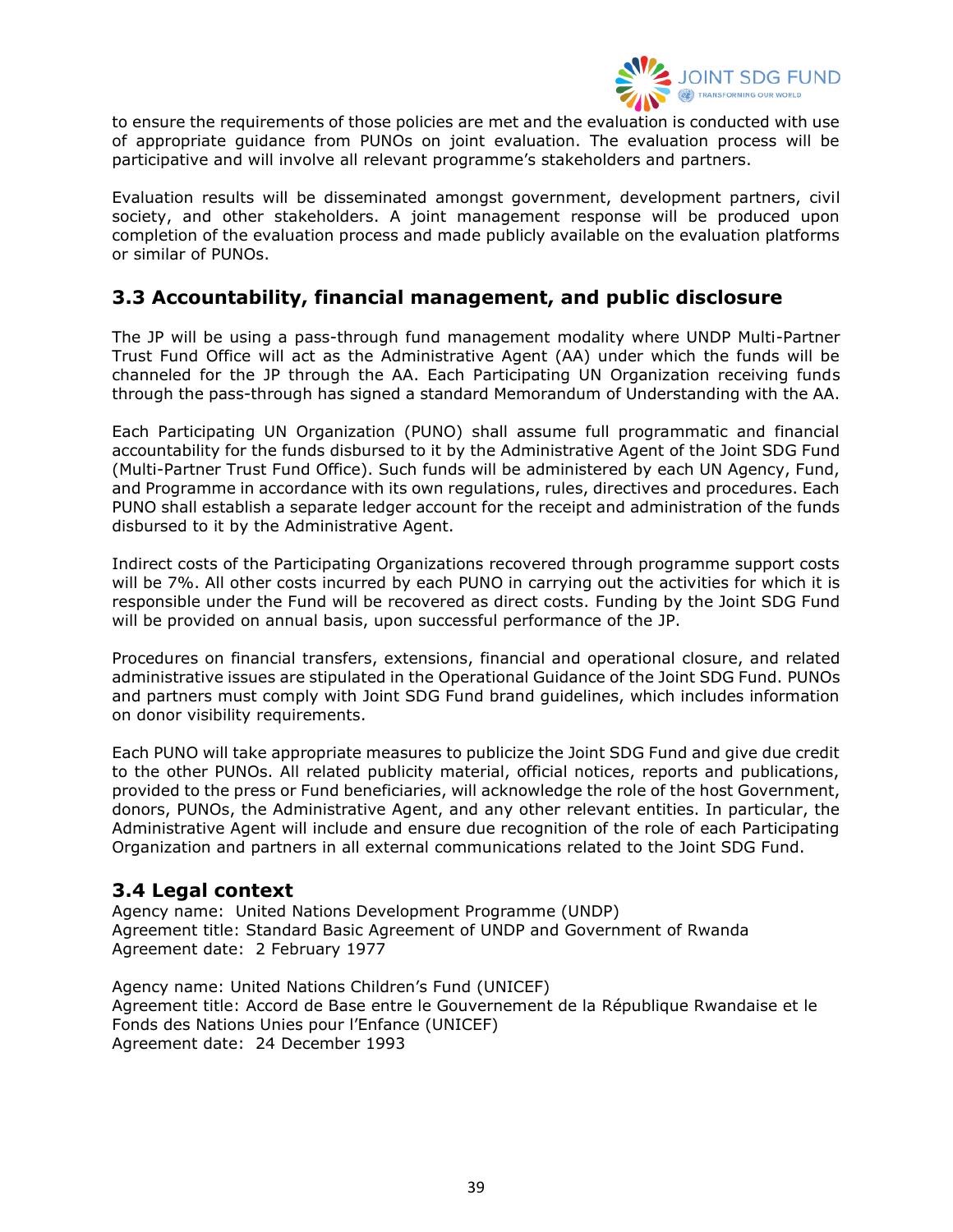

to ensure the requirements of those policies are met and the evaluation is conducted with use of appropriate guidance from PUNOs on joint evaluation. The evaluation process will be participative and will involve all relevant programme's stakeholders and partners.

Evaluation results will be disseminated amongst government, development partners, civil society, and other stakeholders. A joint management response will be produced upon completion of the evaluation process and made publicly available on the evaluation platforms or similar of PUNOs.

# <span id="page-38-0"></span>**3.3 Accountability, financial management, and public disclosure**

The JP will be using a pass-through fund management modality where UNDP Multi-Partner Trust Fund Office will act as the Administrative Agent (AA) under which the funds will be channeled for the JP through the AA. Each Participating UN Organization receiving funds through the pass-through has signed a standard Memorandum of Understanding with the AA.

Each Participating UN Organization (PUNO) shall assume full programmatic and financial accountability for the funds disbursed to it by the Administrative Agent of the Joint SDG Fund (Multi-Partner Trust Fund Office). Such funds will be administered by each UN Agency, Fund, and Programme in accordance with its own regulations, rules, directives and procedures. Each PUNO shall establish a separate ledger account for the receipt and administration of the funds disbursed to it by the Administrative Agent.

Indirect costs of the Participating Organizations recovered through programme support costs will be 7%. All other costs incurred by each PUNO in carrying out the activities for which it is responsible under the Fund will be recovered as direct costs. Funding by the Joint SDG Fund will be provided on annual basis, upon successful performance of the JP.

Procedures on financial transfers, extensions, financial and operational closure, and related administrative issues are stipulated in the Operational Guidance of the Joint SDG Fund. PUNOs and partners must comply with Joint SDG Fund brand guidelines, which includes information on donor visibility requirements.

Each PUNO will take appropriate measures to publicize the Joint SDG Fund and give due credit to the other PUNOs. All related publicity material, official notices, reports and publications, provided to the press or Fund beneficiaries, will acknowledge the role of the host Government, donors, PUNOs, the Administrative Agent, and any other relevant entities. In particular, the Administrative Agent will include and ensure due recognition of the role of each Participating Organization and partners in all external communications related to the Joint SDG Fund.

### <span id="page-38-1"></span>**3.4 Legal context**

Agency name: United Nations Development Programme (UNDP) Agreement title: Standard Basic Agreement of UNDP and Government of Rwanda Agreement date: 2 February 1977

Agency name: United Nations Children's Fund (UNICEF) Agreement title: Accord de Base entre le Gouvernement de la République Rwandaise et le Fonds des Nations Unies pour l'Enfance (UNICEF) Agreement date: 24 December 1993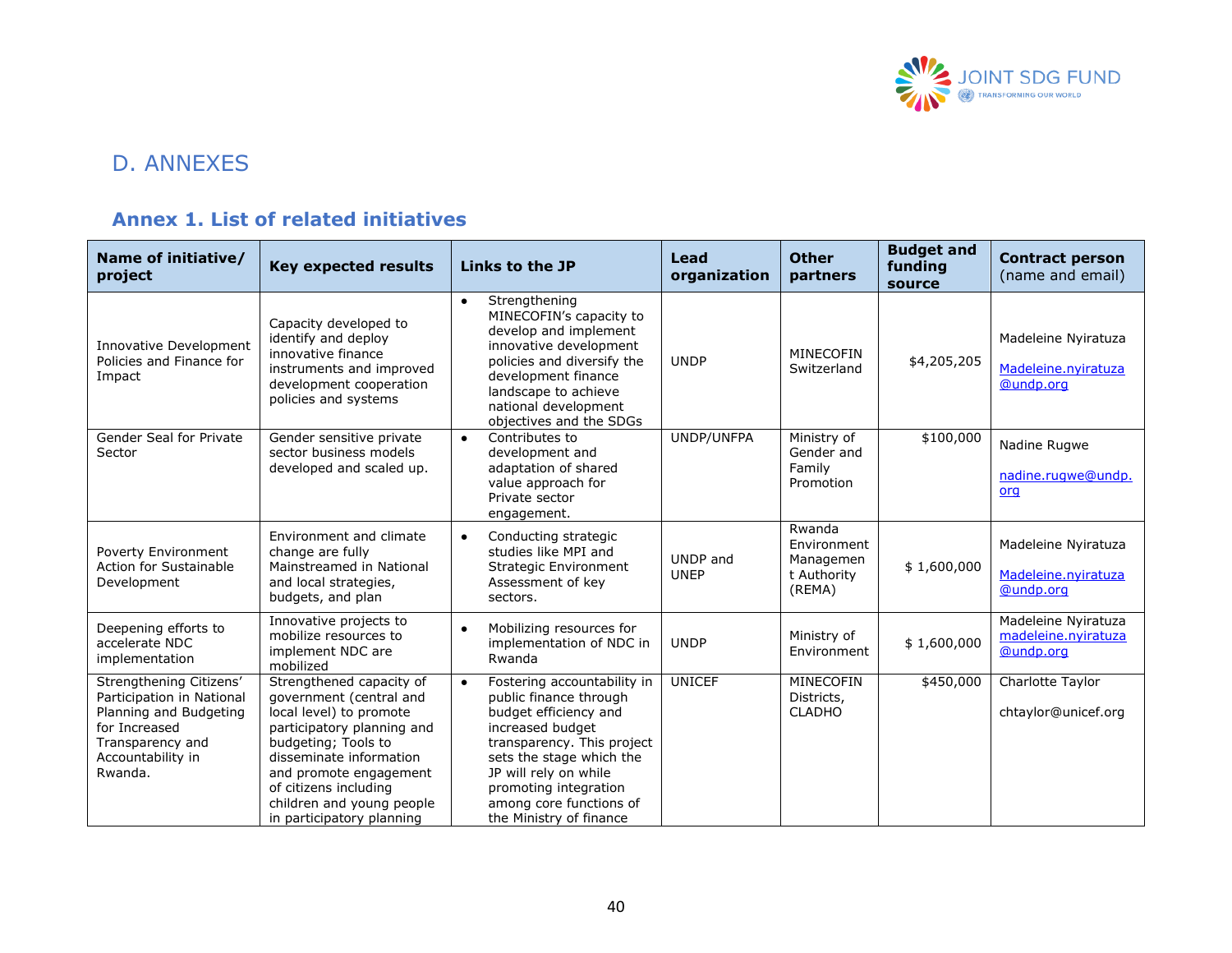

# D. ANNEXES

# **Annex 1. List of related initiatives**

<span id="page-39-1"></span><span id="page-39-0"></span>

| Name of initiative/<br>project                                                                                                                      | <b>Key expected results</b>                                                                                                                                                                                                                                                 | Links to the JP                                                                                                                                                                                                                                                                   | Lead<br>organization    | <b>Other</b><br>partners                                    | <b>Budget and</b><br>funding<br>source | <b>Contract person</b><br>(name and email)              |
|-----------------------------------------------------------------------------------------------------------------------------------------------------|-----------------------------------------------------------------------------------------------------------------------------------------------------------------------------------------------------------------------------------------------------------------------------|-----------------------------------------------------------------------------------------------------------------------------------------------------------------------------------------------------------------------------------------------------------------------------------|-------------------------|-------------------------------------------------------------|----------------------------------------|---------------------------------------------------------|
| Innovative Development<br>Policies and Finance for<br>Impact                                                                                        | Capacity developed to<br>identify and deploy<br>innovative finance<br>instruments and improved<br>development cooperation<br>policies and systems                                                                                                                           | Strengthening<br>$\bullet$<br>MINECOFIN's capacity to<br>develop and implement<br>innovative development<br>policies and diversify the<br>development finance<br>landscape to achieve<br>national development<br>objectives and the SDGs                                          | <b>UNDP</b>             | MINECOFIN<br>Switzerland                                    | \$4,205,205                            | Madeleine Nyiratuza<br>Madeleine.nyiratuza<br>@undp.org |
| Gender Seal for Private<br>Sector                                                                                                                   | Gender sensitive private<br>sector business models<br>developed and scaled up.                                                                                                                                                                                              | Contributes to<br>$\bullet$<br>development and<br>adaptation of shared<br>value approach for<br>Private sector<br>engagement.                                                                                                                                                     | UNDP/UNFPA              | Ministry of<br>Gender and<br>Family<br>Promotion            | \$100,000                              | Nadine Rugwe<br>nadine.rugwe@undp.<br>org               |
| Poverty Environment<br>Action for Sustainable<br>Development                                                                                        | Environment and climate<br>change are fully<br>Mainstreamed in National<br>and local strategies,<br>budgets, and plan                                                                                                                                                       | Conducting strategic<br>$\bullet$<br>studies like MPI and<br>Strategic Environment<br>Assessment of key<br>sectors.                                                                                                                                                               | UNDP and<br><b>UNEP</b> | Rwanda<br>Environment<br>Managemen<br>t Authority<br>(REMA) | \$1,600,000                            | Madeleine Nyiratuza<br>Madeleine.nyiratuza<br>@undp.org |
| Deepening efforts to<br>accelerate NDC<br>implementation                                                                                            | Innovative projects to<br>mobilize resources to<br>implement NDC are<br>mobilized                                                                                                                                                                                           | Mobilizing resources for<br>implementation of NDC in<br>Rwanda                                                                                                                                                                                                                    | <b>UNDP</b>             | Ministry of<br>Environment                                  | \$1,600,000                            | Madeleine Nyiratuza<br>madeleine.nyiratuza<br>@undp.org |
| Strengthening Citizens'<br>Participation in National<br>Planning and Budgeting<br>for Increased<br>Transparency and<br>Accountability in<br>Rwanda. | Strengthened capacity of<br>government (central and<br>local level) to promote<br>participatory planning and<br>budgeting; Tools to<br>disseminate information<br>and promote engagement<br>of citizens including<br>children and young people<br>in participatory planning | Fostering accountability in<br>$\bullet$<br>public finance through<br>budget efficiency and<br>increased budget<br>transparency. This project<br>sets the stage which the<br>JP will rely on while<br>promoting integration<br>among core functions of<br>the Ministry of finance | <b>UNICEF</b>           | MINECOFIN<br>Districts,<br><b>CLADHO</b>                    | \$450,000                              | Charlotte Taylor<br>chtaylor@unicef.org                 |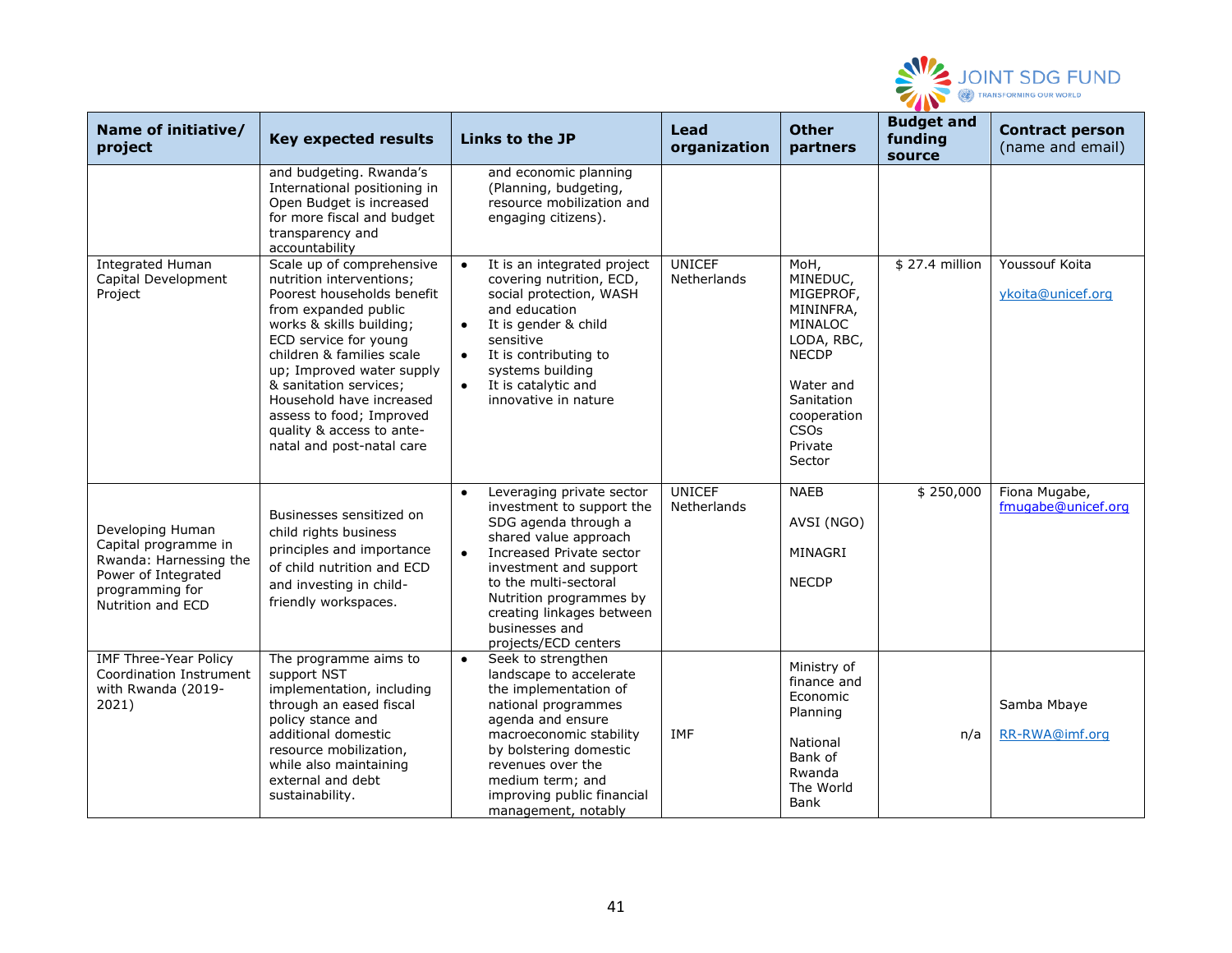

| Name of initiative/<br>project                                                                                                    | <b>Key expected results</b>                                                                                                                                                                                                                                                                                                                                            | Links to the JP                                                                                                                                                                                                                                                                                                    | Lead<br>organization         | <b>Other</b><br>partners                                                                                                                                          | <b>Budget and</b><br>funding<br>source | <b>Contract person</b><br>(name and email) |
|-----------------------------------------------------------------------------------------------------------------------------------|------------------------------------------------------------------------------------------------------------------------------------------------------------------------------------------------------------------------------------------------------------------------------------------------------------------------------------------------------------------------|--------------------------------------------------------------------------------------------------------------------------------------------------------------------------------------------------------------------------------------------------------------------------------------------------------------------|------------------------------|-------------------------------------------------------------------------------------------------------------------------------------------------------------------|----------------------------------------|--------------------------------------------|
|                                                                                                                                   | and budgeting. Rwanda's<br>International positioning in<br>Open Budget is increased<br>for more fiscal and budget<br>transparency and<br>accountability                                                                                                                                                                                                                | and economic planning<br>(Planning, budgeting,<br>resource mobilization and<br>engaging citizens).                                                                                                                                                                                                                 |                              |                                                                                                                                                                   |                                        |                                            |
| <b>Integrated Human</b><br>Capital Development<br>Project                                                                         | Scale up of comprehensive<br>nutrition interventions;<br>Poorest households benefit<br>from expanded public<br>works & skills building;<br>ECD service for young<br>children & families scale<br>up; Improved water supply<br>& sanitation services;<br>Household have increased<br>assess to food; Improved<br>quality & access to ante-<br>natal and post-natal care | It is an integrated project<br>$\bullet$<br>covering nutrition, ECD,<br>social protection, WASH<br>and education<br>It is gender & child<br>$\bullet$<br>sensitive<br>It is contributing to<br>$\bullet$<br>systems building<br>It is catalytic and<br>$\bullet$<br>innovative in nature                           | <b>UNICEF</b><br>Netherlands | MoH,<br>MINEDUC,<br>MIGEPROF,<br>MININFRA,<br>MINALOC<br>LODA, RBC,<br><b>NECDP</b><br>Water and<br>Sanitation<br>cooperation<br><b>CSOs</b><br>Private<br>Sector | \$27.4 million                         | Youssouf Koita<br>ykoita@unicef.org        |
| Developing Human<br>Capital programme in<br>Rwanda: Harnessing the<br>Power of Integrated<br>programming for<br>Nutrition and ECD | Businesses sensitized on<br>child rights business<br>principles and importance<br>of child nutrition and ECD<br>and investing in child-<br>friendly workspaces.                                                                                                                                                                                                        | Leveraging private sector<br>$\bullet$<br>investment to support the<br>SDG agenda through a<br>shared value approach<br>Increased Private sector<br>$\bullet$<br>investment and support<br>to the multi-sectoral<br>Nutrition programmes by<br>creating linkages between<br>businesses and<br>projects/ECD centers | <b>UNICEF</b><br>Netherlands | <b>NAEB</b><br>AVSI (NGO)<br>MINAGRI<br><b>NECDP</b>                                                                                                              | \$250,000                              | Fiona Mugabe,<br>fmugabe@unicef.org        |
| <b>IMF Three-Year Policy</b><br>Coordination Instrument<br>with Rwanda (2019-<br>2021)                                            | The programme aims to<br>support NST<br>implementation, including<br>through an eased fiscal<br>policy stance and<br>additional domestic<br>resource mobilization,<br>while also maintaining<br>external and debt<br>sustainability.                                                                                                                                   | Seek to strengthen<br>$\bullet$<br>landscape to accelerate<br>the implementation of<br>national programmes<br>agenda and ensure<br>macroeconomic stability<br>by bolstering domestic<br>revenues over the<br>medium term; and<br>improving public financial<br>management, notably                                 | IMF                          | Ministry of<br>finance and<br>Economic<br>Planning<br>National<br>Bank of<br>Rwanda<br>The World<br>Bank                                                          | n/a                                    | Samba Mbaye<br>RR-RWA@imf.org              |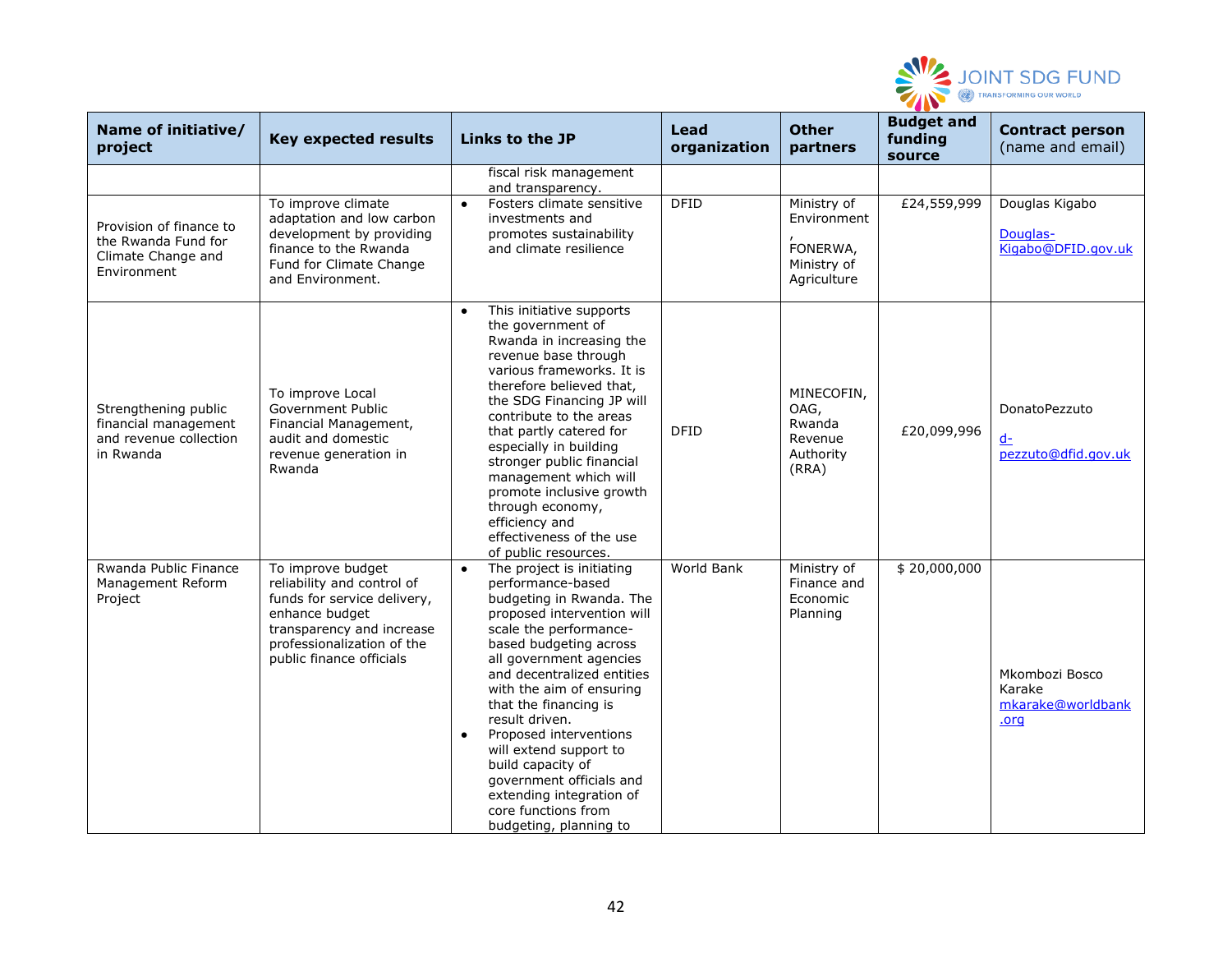

| Name of initiative/<br>project                                                      | <b>Key expected results</b>                                                                                                                                                             | Links to the JP                                                                                                                                                                                                                                                                                                                                                                                                                                                                                          | Lead<br>organization | <b>Other</b><br>partners                                             | <b>Budget and</b><br>funding<br>source | <b>Contract person</b><br>(name and email)            |
|-------------------------------------------------------------------------------------|-----------------------------------------------------------------------------------------------------------------------------------------------------------------------------------------|----------------------------------------------------------------------------------------------------------------------------------------------------------------------------------------------------------------------------------------------------------------------------------------------------------------------------------------------------------------------------------------------------------------------------------------------------------------------------------------------------------|----------------------|----------------------------------------------------------------------|----------------------------------------|-------------------------------------------------------|
|                                                                                     |                                                                                                                                                                                         | fiscal risk management<br>and transparency.                                                                                                                                                                                                                                                                                                                                                                                                                                                              |                      |                                                                      |                                        |                                                       |
| Provision of finance to<br>the Rwanda Fund for<br>Climate Change and<br>Environment | To improve climate<br>adaptation and low carbon<br>development by providing<br>finance to the Rwanda<br>Fund for Climate Change<br>and Environment.                                     | Fosters climate sensitive<br>$\bullet$<br>investments and<br>promotes sustainability<br>and climate resilience                                                                                                                                                                                                                                                                                                                                                                                           | <b>DFID</b>          | Ministry of<br>Environment<br>FONERWA,<br>Ministry of<br>Agriculture | £24,559,999                            | Douglas Kigabo<br>Douglas-<br>Kigabo@DFID.gov.uk      |
| Strengthening public<br>financial management<br>and revenue collection<br>in Rwanda | To improve Local<br>Government Public<br>Financial Management,<br>audit and domestic<br>revenue generation in<br>Rwanda                                                                 | This initiative supports<br>$\bullet$<br>the government of<br>Rwanda in increasing the<br>revenue base through<br>various frameworks. It is<br>therefore believed that,<br>the SDG Financing JP will<br>contribute to the areas<br>that partly catered for<br>especially in building<br>stronger public financial<br>management which will<br>promote inclusive growth<br>through economy,<br>efficiency and<br>effectiveness of the use<br>of public resources.                                         | <b>DFID</b>          | MINECOFIN,<br>OAG,<br>Rwanda<br>Revenue<br>Authority<br>(RRA)        | £20,099,996                            | DonatoPezzuto<br>$d-$<br>pezzuto@dfid.gov.uk          |
| Rwanda Public Finance<br>Management Reform<br>Project                               | To improve budget<br>reliability and control of<br>funds for service delivery,<br>enhance budget<br>transparency and increase<br>professionalization of the<br>public finance officials | The project is initiating<br>$\bullet$<br>performance-based<br>budgeting in Rwanda. The<br>proposed intervention will<br>scale the performance-<br>based budgeting across<br>all government agencies<br>and decentralized entities<br>with the aim of ensuring<br>that the financing is<br>result driven.<br>Proposed interventions<br>$\bullet$<br>will extend support to<br>build capacity of<br>government officials and<br>extending integration of<br>core functions from<br>budgeting, planning to | World Bank           | Ministry of<br>Finance and<br>Economic<br>Planning                   | \$20,000,000                           | Mkombozi Bosco<br>Karake<br>mkarake@worldbank<br>.org |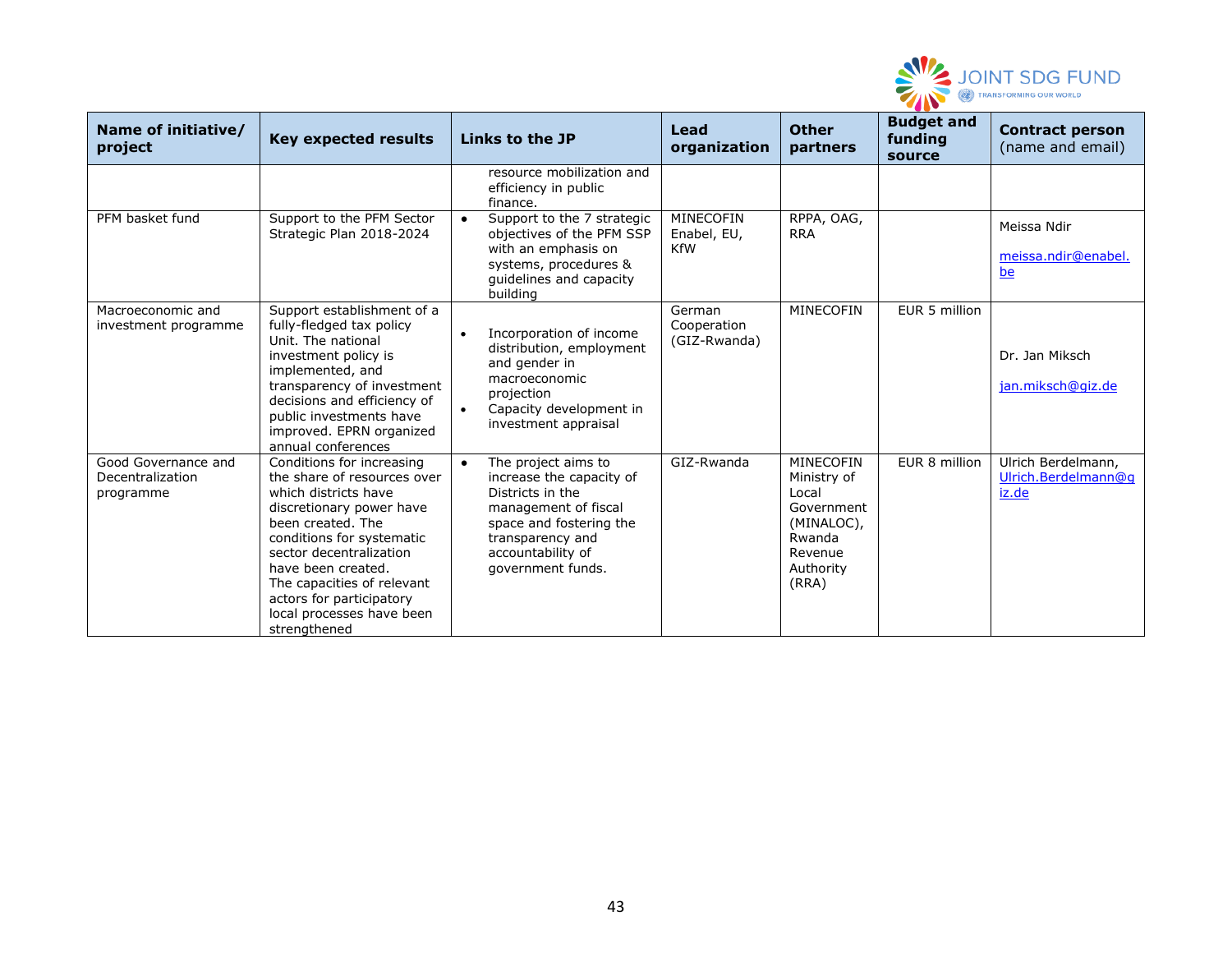

| Name of initiative/<br>project                       | <b>Key expected results</b>                                                                                                                                                                                                                                                                                            | Links to the JP                                                                                                                                                                                   | Lead<br>organization                   | <b>Other</b><br>partners                                                                                 | <b>Budget and</b><br>funding<br>source | <b>Contract person</b><br>(name and email)         |
|------------------------------------------------------|------------------------------------------------------------------------------------------------------------------------------------------------------------------------------------------------------------------------------------------------------------------------------------------------------------------------|---------------------------------------------------------------------------------------------------------------------------------------------------------------------------------------------------|----------------------------------------|----------------------------------------------------------------------------------------------------------|----------------------------------------|----------------------------------------------------|
|                                                      |                                                                                                                                                                                                                                                                                                                        | resource mobilization and<br>efficiency in public<br>finance.                                                                                                                                     |                                        |                                                                                                          |                                        |                                                    |
| PFM basket fund                                      | Support to the PFM Sector<br>Strategic Plan 2018-2024                                                                                                                                                                                                                                                                  | Support to the 7 strategic<br>$\bullet$<br>objectives of the PFM SSP<br>with an emphasis on<br>systems, procedures &<br>guidelines and capacity<br>building                                       | MINECOFIN<br>Enabel, EU,<br><b>KfW</b> | RPPA, OAG,<br><b>RRA</b>                                                                                 |                                        | Meissa Ndir<br>meissa.ndir@enabel.<br>be           |
| Macroeconomic and<br>investment programme            | Support establishment of a<br>fully-fledged tax policy<br>Unit. The national<br>investment policy is<br>implemented, and<br>transparency of investment<br>decisions and efficiency of<br>public investments have<br>improved. EPRN organized<br>annual conferences                                                     | Incorporation of income<br>$\bullet$<br>distribution, employment<br>and gender in<br>macroeconomic<br>projection<br>Capacity development in<br>$\bullet$<br>investment appraisal                  | German<br>Cooperation<br>(GIZ-Rwanda)  | MINECOFIN                                                                                                | EUR 5 million                          | Dr. Jan Miksch<br>jan.miksch@giz.de                |
| Good Governance and<br>Decentralization<br>programme | Conditions for increasing<br>the share of resources over<br>which districts have<br>discretionary power have<br>been created. The<br>conditions for systematic<br>sector decentralization<br>have been created.<br>The capacities of relevant<br>actors for participatory<br>local processes have been<br>strengthened | The project aims to<br>$\bullet$<br>increase the capacity of<br>Districts in the<br>management of fiscal<br>space and fostering the<br>transparency and<br>accountability of<br>government funds. | GIZ-Rwanda                             | MINECOFIN<br>Ministry of<br>Local<br>Government<br>(MINALOC),<br>Rwanda<br>Revenue<br>Authority<br>(RRA) | EUR 8 million                          | Ulrich Berdelmann,<br>Ulrich.Berdelmann@g<br>iz.de |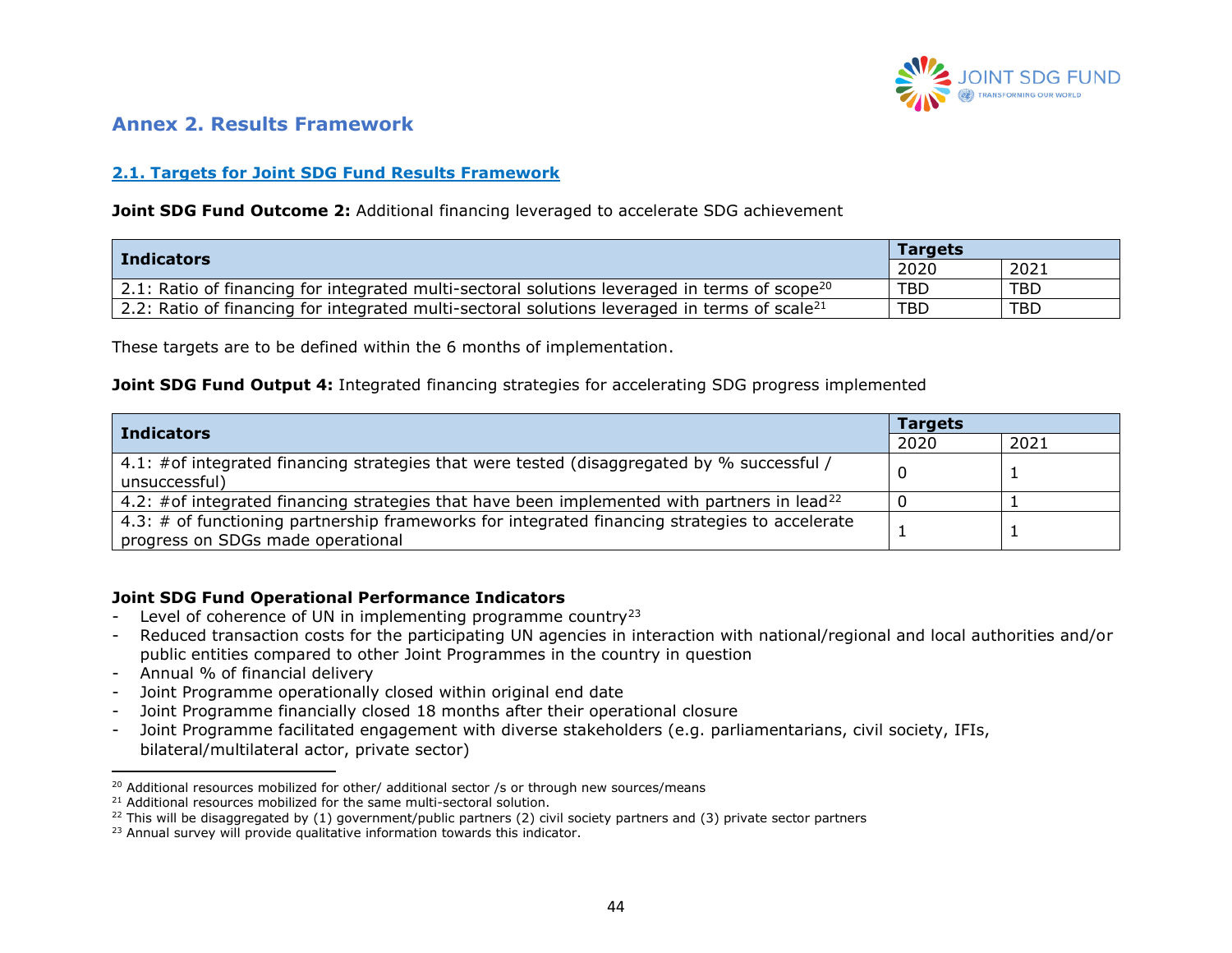

### **Annex 2. Results Framework**

### **2.1. Targets for Joint SDG Fund Results Framework**

#### **Joint SDG Fund Outcome 2:** Additional financing leveraged to accelerate SDG achievement

| <b>Indicators</b>                                                                                                 | <b>Targets</b> |            |  |
|-------------------------------------------------------------------------------------------------------------------|----------------|------------|--|
|                                                                                                                   | 2020           | 2021       |  |
| $\vert$ 2.1: Ratio of financing for integrated multi-sectoral solutions leveraged in terms of scope <sup>20</sup> | TBD            | <b>TBD</b> |  |
| $\vert$ 2.2: Ratio of financing for integrated multi-sectoral solutions leveraged in terms of scale <sup>21</sup> | TBD            | <b>TBD</b> |  |

These targets are to be defined within the 6 months of implementation.

#### <span id="page-43-0"></span>**Joint SDG Fund Output 4:** Integrated financing strategies for accelerating SDG progress implemented

|                                                                                                                                     | <b>Targets</b> |      |  |
|-------------------------------------------------------------------------------------------------------------------------------------|----------------|------|--|
| <b>Indicators</b>                                                                                                                   | 2020           | 2021 |  |
| 4.1: #of integrated financing strategies that were tested (disaggregated by % successful /<br>unsuccessful)                         |                |      |  |
| 4.2: #of integrated financing strategies that have been implemented with partners in lead <sup>22</sup>                             |                |      |  |
| 4.3: # of functioning partnership frameworks for integrated financing strategies to accelerate<br>progress on SDGs made operational |                |      |  |

#### **Joint SDG Fund Operational Performance Indicators**

- Level of coherence of UN in implementing programme country<sup>23</sup>
- Reduced transaction costs for the participating UN agencies in interaction with national/regional and local authorities and/or public entities compared to other Joint Programmes in the country in question
- Annual % of financial delivery
- Joint Programme operationally closed within original end date
- Joint Programme financially closed 18 months after their operational closure
- Joint Programme facilitated engagement with diverse stakeholders (e.g. parliamentarians, civil society, IFIs, bilateral/multilateral actor, private sector)

 $20$  Additional resources mobilized for other/ additional sector /s or through new sources/means

<sup>&</sup>lt;sup>21</sup> Additional resources mobilized for the same multi-sectoral solution.

 $^{22}$  This will be disaggregated by (1) government/public partners (2) civil society partners and (3) private sector partners

<sup>&</sup>lt;sup>23</sup> Annual survey will provide qualitative information towards this indicator.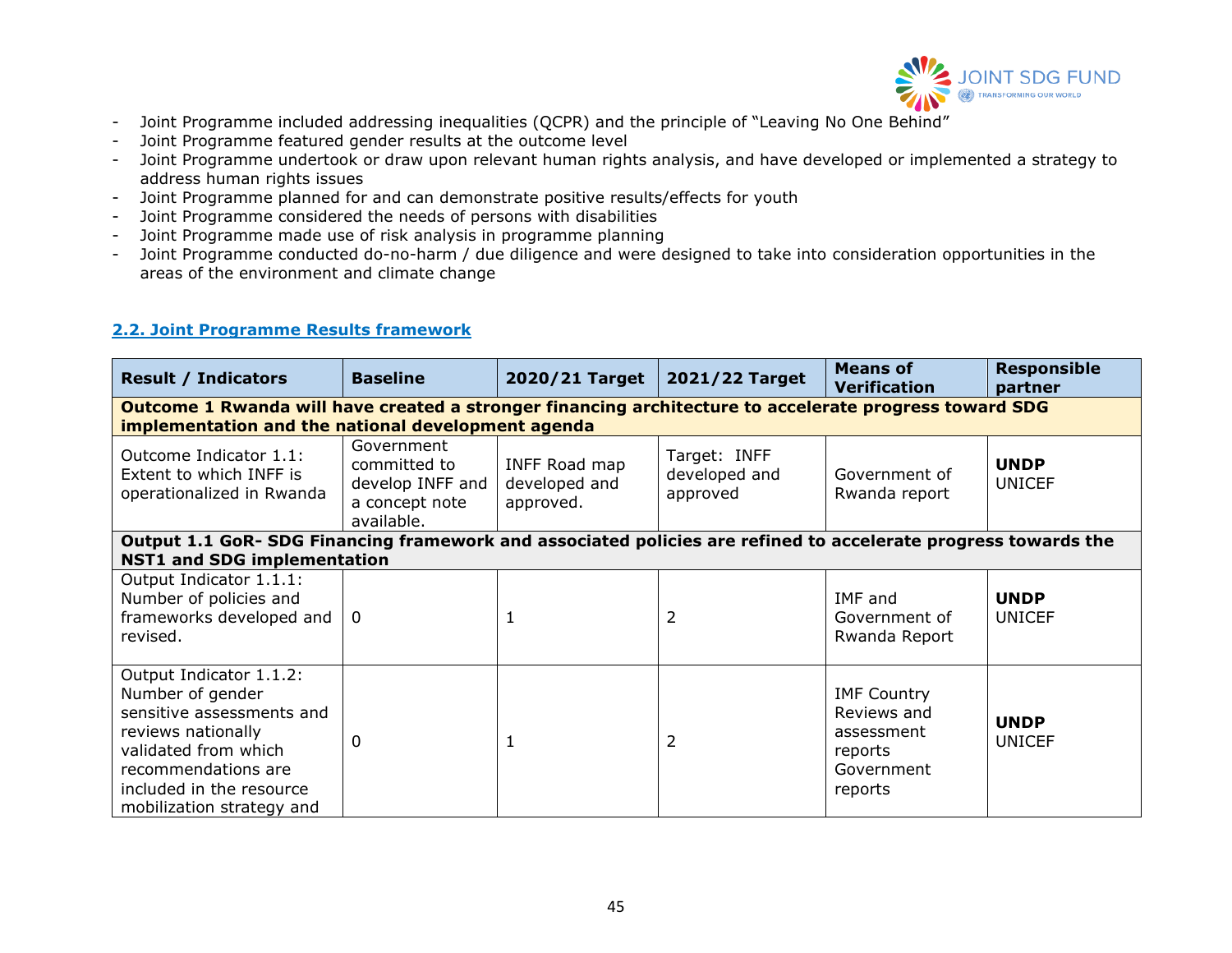

- Joint Programme included addressing inequalities (QCPR) and the principle of "Leaving No One Behind"
- Joint Programme featured gender results at the outcome level
- Joint Programme undertook or draw upon relevant human rights analysis, and have developed or implemented a strategy to address human rights issues
- Joint Programme planned for and can demonstrate positive results/effects for youth
- Joint Programme considered the needs of persons with disabilities
- Joint Programme made use of risk analysis in programme planning
- Joint Programme conducted do-no-harm / due diligence and were designed to take into consideration opportunities in the areas of the environment and climate change

#### **2.2. Joint Programme Results framework**

| <b>Result / Indicators</b>                                                                                                                                                                             | <b>Baseline</b>                                                                | 2020/21 Target                              | 2021/22 Target                            | <b>Means of</b><br><b>Verification</b>                                              | <b>Responsible</b><br>partner |  |  |  |
|--------------------------------------------------------------------------------------------------------------------------------------------------------------------------------------------------------|--------------------------------------------------------------------------------|---------------------------------------------|-------------------------------------------|-------------------------------------------------------------------------------------|-------------------------------|--|--|--|
| Outcome 1 Rwanda will have created a stronger financing architecture to accelerate progress toward SDG<br>implementation and the national development agenda                                           |                                                                                |                                             |                                           |                                                                                     |                               |  |  |  |
| Outcome Indicator 1.1:<br>Extent to which INFF is<br>operationalized in Rwanda                                                                                                                         | Government<br>committed to<br>develop INFF and<br>a concept note<br>available. | INFF Road map<br>developed and<br>approved. | Target: INFF<br>developed and<br>approved | Government of<br>Rwanda report                                                      | <b>UNDP</b><br><b>UNICEF</b>  |  |  |  |
| Output 1.1 GoR- SDG Financing framework and associated policies are refined to accelerate progress towards the                                                                                         |                                                                                |                                             |                                           |                                                                                     |                               |  |  |  |
| <b>NST1 and SDG implementation</b>                                                                                                                                                                     |                                                                                |                                             |                                           |                                                                                     |                               |  |  |  |
| Output Indicator 1.1.1:<br>Number of policies and<br>frameworks developed and<br>revised.                                                                                                              | $\Omega$                                                                       |                                             | 2                                         | IMF and<br>Government of<br>Rwanda Report                                           | <b>UNDP</b><br><b>UNICEF</b>  |  |  |  |
| Output Indicator 1.1.2:<br>Number of gender<br>sensitive assessments and<br>reviews nationally<br>validated from which<br>recommendations are<br>included in the resource<br>mobilization strategy and | 0                                                                              |                                             | 2                                         | <b>IMF Country</b><br>Reviews and<br>assessment<br>reports<br>Government<br>reports | <b>UNDP</b><br><b>UNICEF</b>  |  |  |  |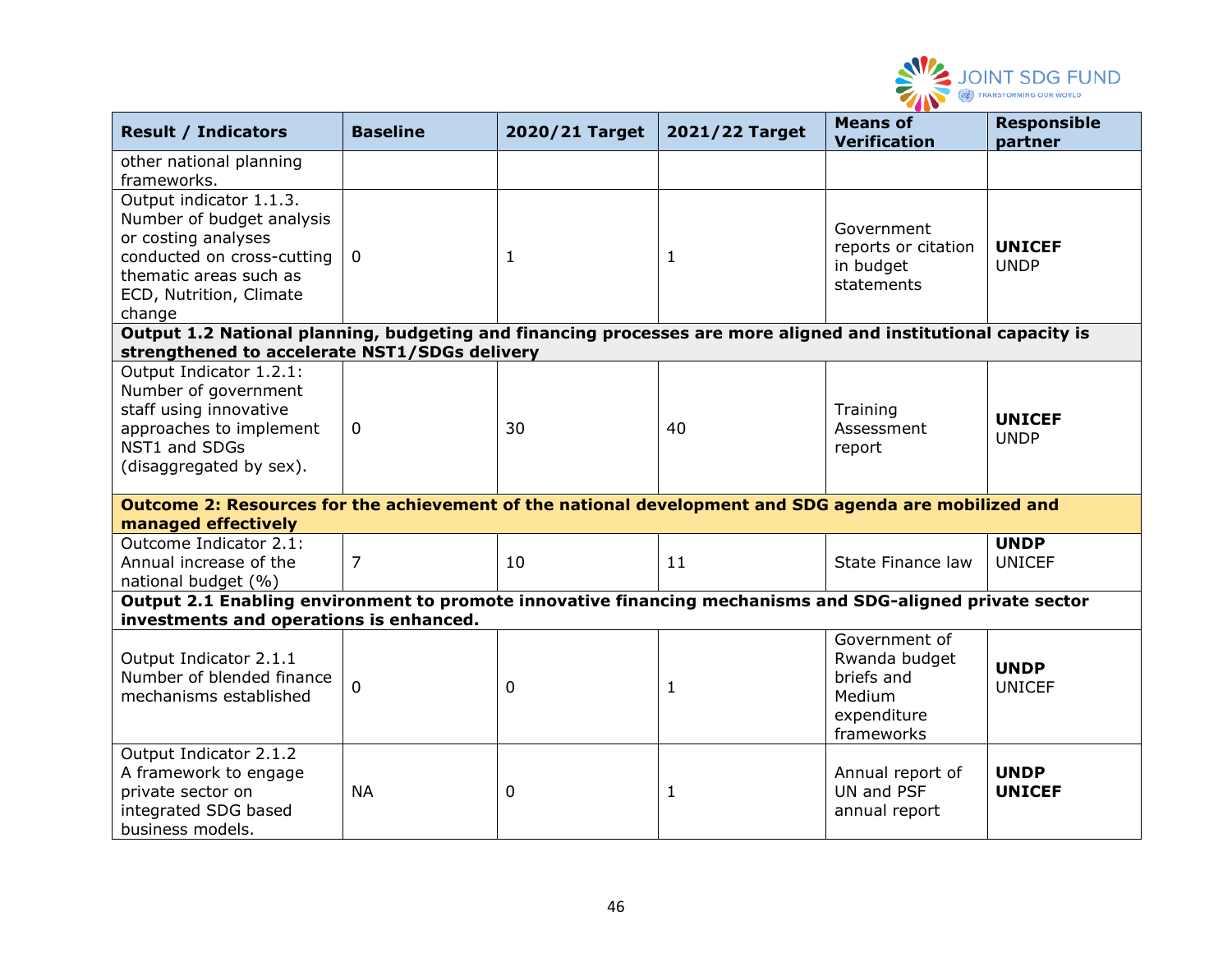

| <b>Result / Indicators</b>                                                                                                                                               | <b>Baseline</b> | 2020/21 Target | 2021/22 Target | <b>Means of</b><br><b>Verification</b>                                              | <b>Responsible</b><br>partner |
|--------------------------------------------------------------------------------------------------------------------------------------------------------------------------|-----------------|----------------|----------------|-------------------------------------------------------------------------------------|-------------------------------|
| other national planning<br>frameworks.                                                                                                                                   |                 |                |                |                                                                                     |                               |
| Output indicator 1.1.3.<br>Number of budget analysis<br>or costing analyses<br>conducted on cross-cutting<br>thematic areas such as<br>ECD, Nutrition, Climate<br>change | $\mathbf 0$     | 1              | -1             | Government<br>reports or citation<br>in budget<br>statements                        | <b>UNICEF</b><br><b>UNDP</b>  |
| Output 1.2 National planning, budgeting and financing processes are more aligned and institutional capacity is<br>strengthened to accelerate NST1/SDGs delivery          |                 |                |                |                                                                                     |                               |
| Output Indicator 1.2.1:<br>Number of government<br>staff using innovative<br>approaches to implement<br>NST1 and SDGs<br>(disaggregated by sex).                         | $\mathbf 0$     | 30             | 40             | Training<br>Assessment<br>report                                                    | <b>UNICEF</b><br><b>UNDP</b>  |
| Outcome 2: Resources for the achievement of the national development and SDG agenda are mobilized and<br>managed effectively                                             |                 |                |                |                                                                                     |                               |
| Outcome Indicator 2.1:<br>Annual increase of the<br>national budget (%)                                                                                                  | 7               | 10             | 11             | State Finance law                                                                   | <b>UNDP</b><br><b>UNICEF</b>  |
| Output 2.1 Enabling environment to promote innovative financing mechanisms and SDG-aligned private sector<br>investments and operations is enhanced.                     |                 |                |                |                                                                                     |                               |
| Output Indicator 2.1.1<br>Number of blended finance<br>mechanisms established                                                                                            | $\Omega$        | 0              | 1              | Government of<br>Rwanda budget<br>briefs and<br>Medium<br>expenditure<br>frameworks | <b>UNDP</b><br><b>UNICEF</b>  |
| Output Indicator 2.1.2<br>A framework to engage<br>private sector on<br>integrated SDG based<br>business models.                                                         | <b>NA</b>       | 0              | 1              | Annual report of<br>UN and PSF<br>annual report                                     | <b>UNDP</b><br><b>UNICEF</b>  |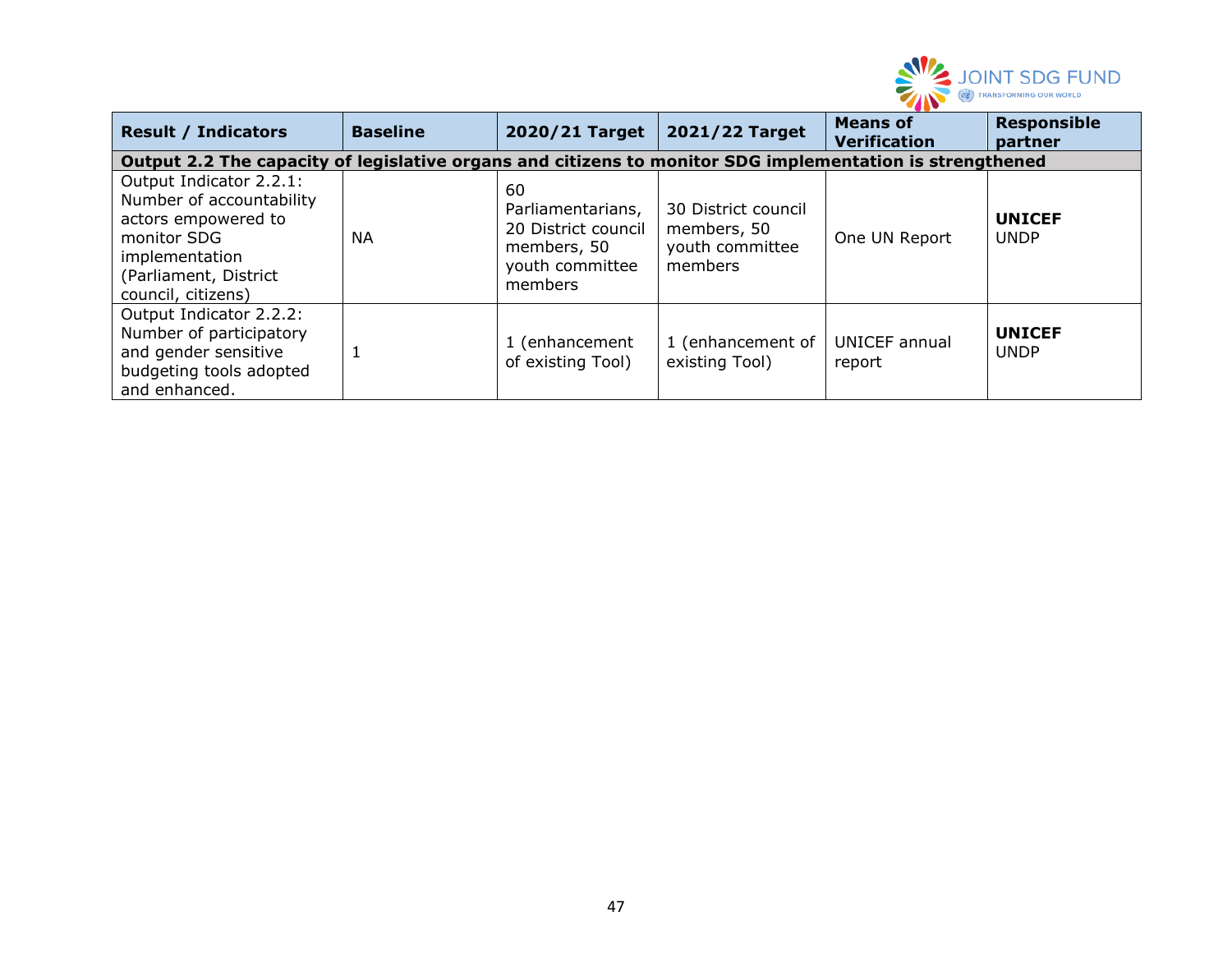

| <b>Result / Indicators</b>                                                                                                                                 | <b>Baseline</b>                                                                                          | 2020/21 Target                                                                              | 2021/22 Target                                                   | <b>Means of</b><br><b>Verification</b> | <b>Responsible</b><br>partner |  |  |  |
|------------------------------------------------------------------------------------------------------------------------------------------------------------|----------------------------------------------------------------------------------------------------------|---------------------------------------------------------------------------------------------|------------------------------------------------------------------|----------------------------------------|-------------------------------|--|--|--|
|                                                                                                                                                            | Output 2.2 The capacity of legislative organs and citizens to monitor SDG implementation is strengthened |                                                                                             |                                                                  |                                        |                               |  |  |  |
| Output Indicator 2.2.1:<br>Number of accountability<br>actors empowered to<br>monitor SDG<br>implementation<br>(Parliament, District<br>council, citizens) | NA                                                                                                       | 60<br>Parliamentarians,<br>20 District council<br>members, 50<br>youth committee<br>members | 30 District council<br>members, 50<br>youth committee<br>members | One UN Report                          | <b>UNICEF</b><br><b>UNDP</b>  |  |  |  |
| Output Indicator 2.2.2:<br>Number of participatory<br>and gender sensitive<br>budgeting tools adopted<br>and enhanced.                                     |                                                                                                          | 1 (enhancement<br>of existing Tool)                                                         | 1 (enhancement of<br>existing Tool)                              | <b>UNICEF</b> annual<br>report         | <b>UNICEF</b><br><b>UNDP</b>  |  |  |  |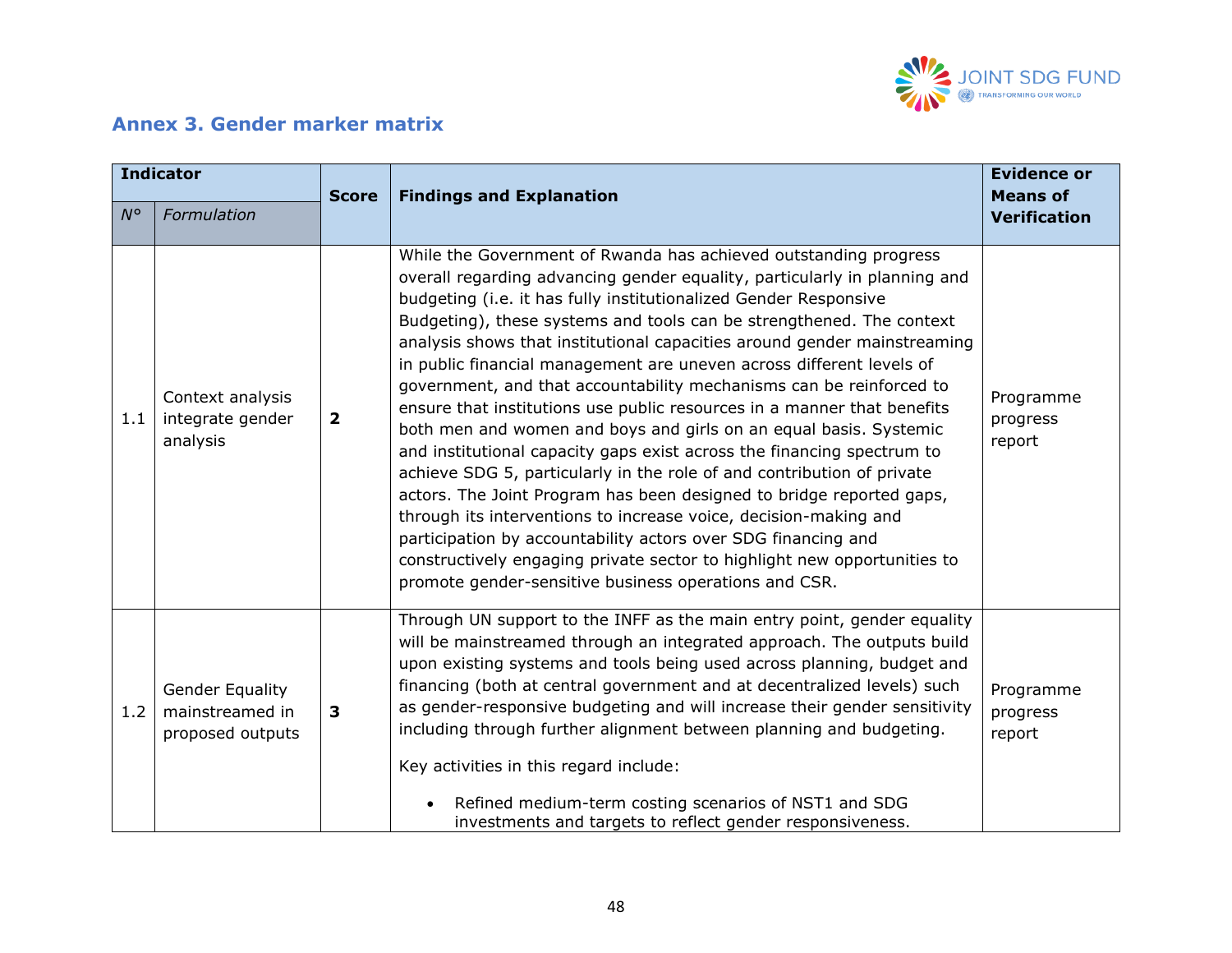

# **Annex 3. Gender marker matrix**

<span id="page-47-0"></span>

| <b>Indicator</b> |                                                               |                         |                                                                                                                                                                                                                                                                                                                                                                                                                                                                                                                                                                                                                                                                                                                                                                                                                                                                                                                                                                                                                                                                                                                                                                            | <b>Evidence or</b>                     |
|------------------|---------------------------------------------------------------|-------------------------|----------------------------------------------------------------------------------------------------------------------------------------------------------------------------------------------------------------------------------------------------------------------------------------------------------------------------------------------------------------------------------------------------------------------------------------------------------------------------------------------------------------------------------------------------------------------------------------------------------------------------------------------------------------------------------------------------------------------------------------------------------------------------------------------------------------------------------------------------------------------------------------------------------------------------------------------------------------------------------------------------------------------------------------------------------------------------------------------------------------------------------------------------------------------------|----------------------------------------|
| $N^{\circ}$      | Formulation                                                   | <b>Score</b>            | <b>Findings and Explanation</b>                                                                                                                                                                                                                                                                                                                                                                                                                                                                                                                                                                                                                                                                                                                                                                                                                                                                                                                                                                                                                                                                                                                                            | <b>Means of</b><br><b>Verification</b> |
| 1.1              | Context analysis<br>integrate gender<br>analysis              | $\overline{\mathbf{2}}$ | While the Government of Rwanda has achieved outstanding progress<br>overall regarding advancing gender equality, particularly in planning and<br>budgeting (i.e. it has fully institutionalized Gender Responsive<br>Budgeting), these systems and tools can be strengthened. The context<br>analysis shows that institutional capacities around gender mainstreaming<br>in public financial management are uneven across different levels of<br>government, and that accountability mechanisms can be reinforced to<br>ensure that institutions use public resources in a manner that benefits<br>both men and women and boys and girls on an equal basis. Systemic<br>and institutional capacity gaps exist across the financing spectrum to<br>achieve SDG 5, particularly in the role of and contribution of private<br>actors. The Joint Program has been designed to bridge reported gaps,<br>through its interventions to increase voice, decision-making and<br>participation by accountability actors over SDG financing and<br>constructively engaging private sector to highlight new opportunities to<br>promote gender-sensitive business operations and CSR. | Programme<br>progress<br>report        |
| 1.2              | <b>Gender Equality</b><br>mainstreamed in<br>proposed outputs | $\mathbf{3}$            | Through UN support to the INFF as the main entry point, gender equality<br>will be mainstreamed through an integrated approach. The outputs build<br>upon existing systems and tools being used across planning, budget and<br>financing (both at central government and at decentralized levels) such<br>as gender-responsive budgeting and will increase their gender sensitivity<br>including through further alignment between planning and budgeting.<br>Key activities in this regard include:<br>Refined medium-term costing scenarios of NST1 and SDG<br>investments and targets to reflect gender responsiveness.                                                                                                                                                                                                                                                                                                                                                                                                                                                                                                                                                 | Programme<br>progress<br>report        |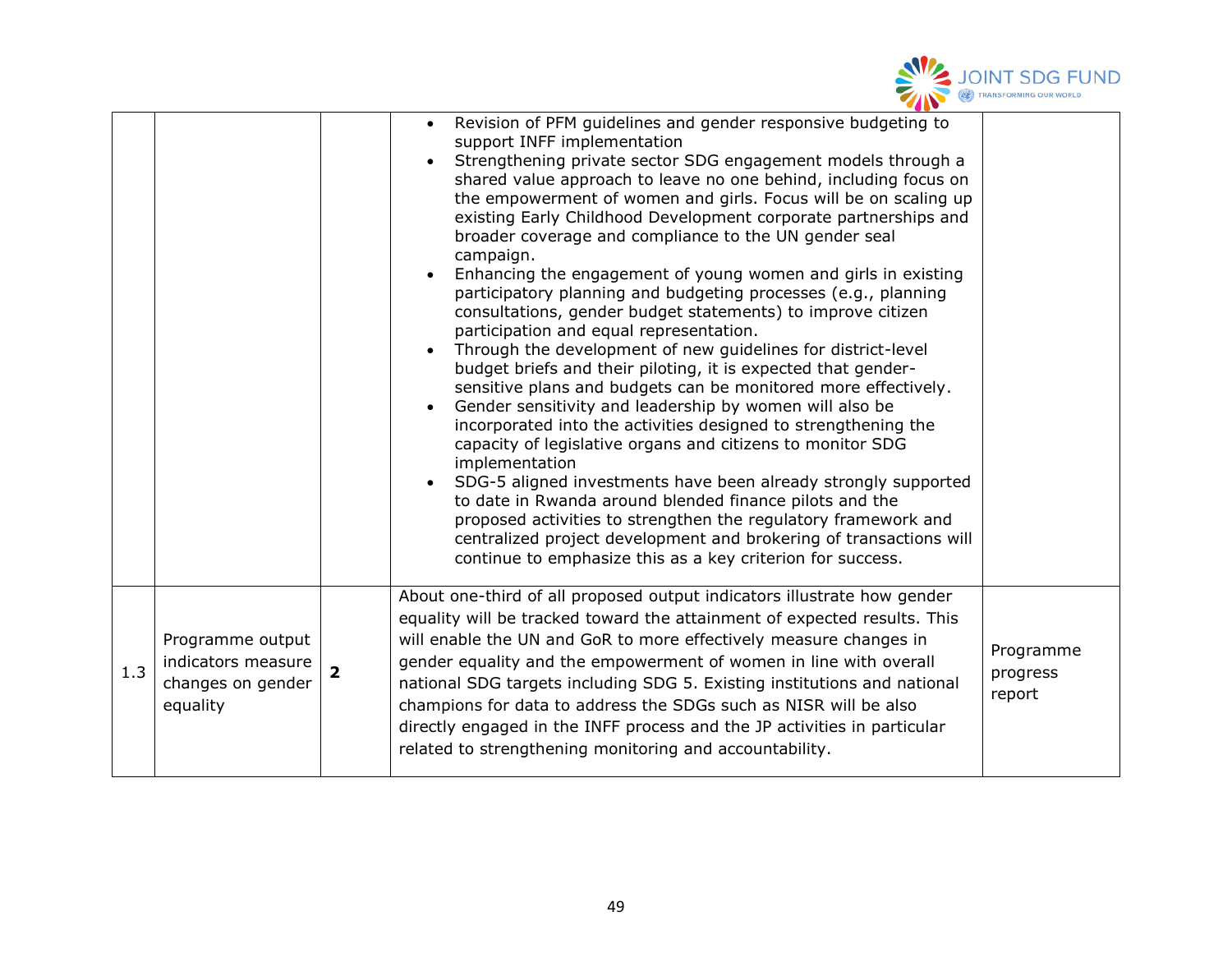

|     |                                                                         |                | Revision of PFM guidelines and gender responsive budgeting to<br>support INFF implementation<br>Strengthening private sector SDG engagement models through a<br>shared value approach to leave no one behind, including focus on<br>the empowerment of women and girls. Focus will be on scaling up<br>existing Early Childhood Development corporate partnerships and<br>broader coverage and compliance to the UN gender seal<br>campaign.<br>Enhancing the engagement of young women and girls in existing<br>participatory planning and budgeting processes (e.g., planning<br>consultations, gender budget statements) to improve citizen<br>participation and equal representation.<br>Through the development of new guidelines for district-level<br>$\bullet$<br>budget briefs and their piloting, it is expected that gender-<br>sensitive plans and budgets can be monitored more effectively.<br>Gender sensitivity and leadership by women will also be<br>incorporated into the activities designed to strengthening the<br>capacity of legislative organs and citizens to monitor SDG<br>implementation<br>SDG-5 aligned investments have been already strongly supported<br>to date in Rwanda around blended finance pilots and the<br>proposed activities to strengthen the regulatory framework and<br>centralized project development and brokering of transactions will<br>continue to emphasize this as a key criterion for success. |                                 |
|-----|-------------------------------------------------------------------------|----------------|-----------------------------------------------------------------------------------------------------------------------------------------------------------------------------------------------------------------------------------------------------------------------------------------------------------------------------------------------------------------------------------------------------------------------------------------------------------------------------------------------------------------------------------------------------------------------------------------------------------------------------------------------------------------------------------------------------------------------------------------------------------------------------------------------------------------------------------------------------------------------------------------------------------------------------------------------------------------------------------------------------------------------------------------------------------------------------------------------------------------------------------------------------------------------------------------------------------------------------------------------------------------------------------------------------------------------------------------------------------------------------------------------------------------------------------------------------------|---------------------------------|
| 1.3 | Programme output<br>indicators measure<br>changes on gender<br>equality | $\overline{2}$ | About one-third of all proposed output indicators illustrate how gender<br>equality will be tracked toward the attainment of expected results. This<br>will enable the UN and GoR to more effectively measure changes in<br>gender equality and the empowerment of women in line with overall<br>national SDG targets including SDG 5. Existing institutions and national<br>champions for data to address the SDGs such as NISR will be also<br>directly engaged in the INFF process and the JP activities in particular<br>related to strengthening monitoring and accountability.                                                                                                                                                                                                                                                                                                                                                                                                                                                                                                                                                                                                                                                                                                                                                                                                                                                                      | Programme<br>progress<br>report |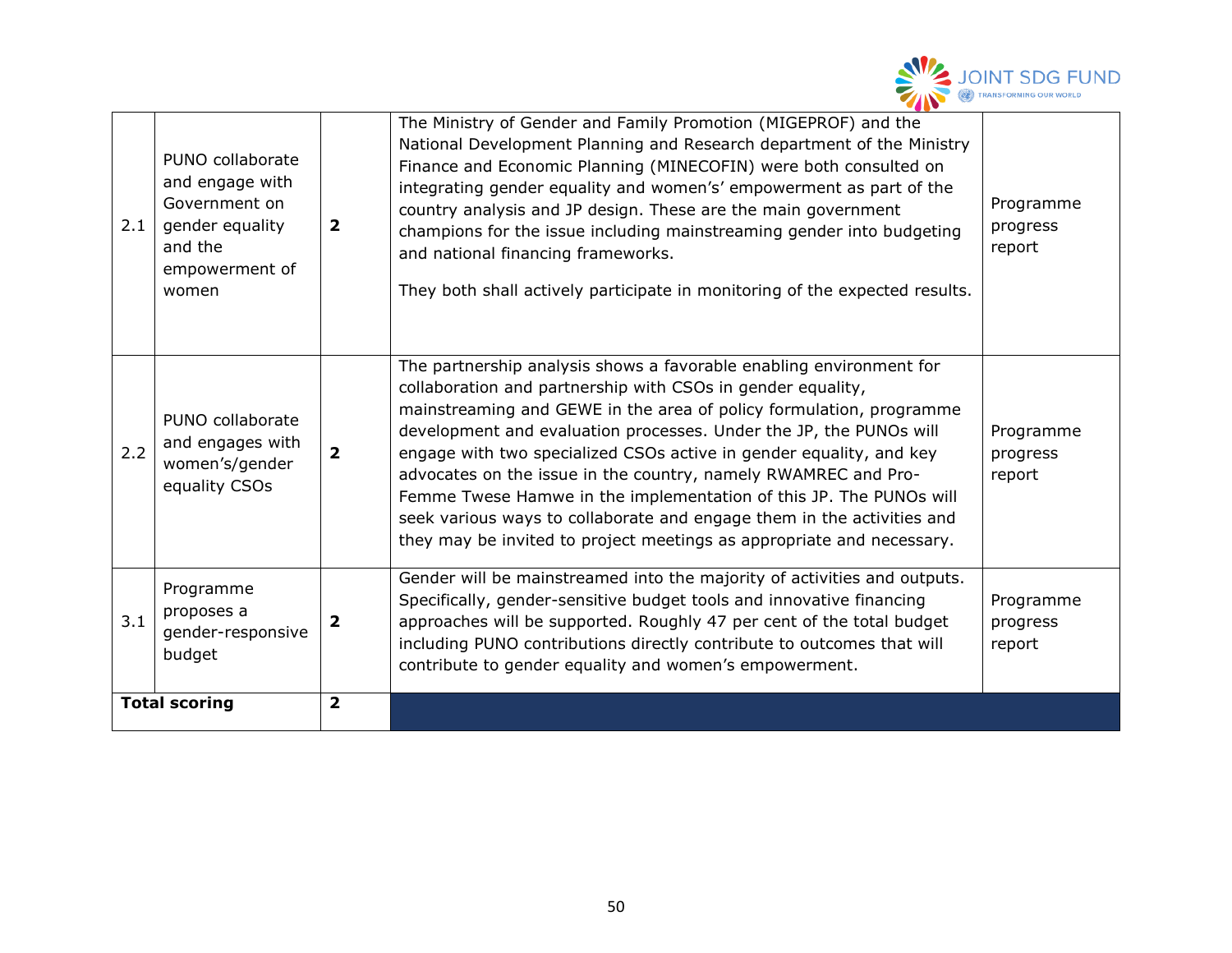

| 2.1 | PUNO collaborate<br>and engage with<br>Government on<br>gender equality<br>and the<br>empowerment of<br>women | $\overline{\mathbf{2}}$ | The Ministry of Gender and Family Promotion (MIGEPROF) and the<br>National Development Planning and Research department of the Ministry<br>Finance and Economic Planning (MINECOFIN) were both consulted on<br>integrating gender equality and women's' empowerment as part of the<br>country analysis and JP design. These are the main government<br>champions for the issue including mainstreaming gender into budgeting<br>and national financing frameworks.<br>They both shall actively participate in monitoring of the expected results.                                                                                                 | Programme<br>progress<br>report |
|-----|---------------------------------------------------------------------------------------------------------------|-------------------------|---------------------------------------------------------------------------------------------------------------------------------------------------------------------------------------------------------------------------------------------------------------------------------------------------------------------------------------------------------------------------------------------------------------------------------------------------------------------------------------------------------------------------------------------------------------------------------------------------------------------------------------------------|---------------------------------|
| 2.2 | PUNO collaborate<br>and engages with<br>women's/gender<br>equality CSOs                                       | $\overline{2}$          | The partnership analysis shows a favorable enabling environment for<br>collaboration and partnership with CSOs in gender equality,<br>mainstreaming and GEWE in the area of policy formulation, programme<br>development and evaluation processes. Under the JP, the PUNOs will<br>engage with two specialized CSOs active in gender equality, and key<br>advocates on the issue in the country, namely RWAMREC and Pro-<br>Femme Twese Hamwe in the implementation of this JP. The PUNOs will<br>seek various ways to collaborate and engage them in the activities and<br>they may be invited to project meetings as appropriate and necessary. | Programme<br>progress<br>report |
| 3.1 | Programme<br>proposes a<br>gender-responsive<br>budget                                                        | $\overline{\mathbf{2}}$ | Gender will be mainstreamed into the majority of activities and outputs.<br>Specifically, gender-sensitive budget tools and innovative financing<br>approaches will be supported. Roughly 47 per cent of the total budget<br>including PUNO contributions directly contribute to outcomes that will<br>contribute to gender equality and women's empowerment.                                                                                                                                                                                                                                                                                     | Programme<br>progress<br>report |
|     | <b>Total scoring</b>                                                                                          | $\overline{\mathbf{2}}$ |                                                                                                                                                                                                                                                                                                                                                                                                                                                                                                                                                                                                                                                   |                                 |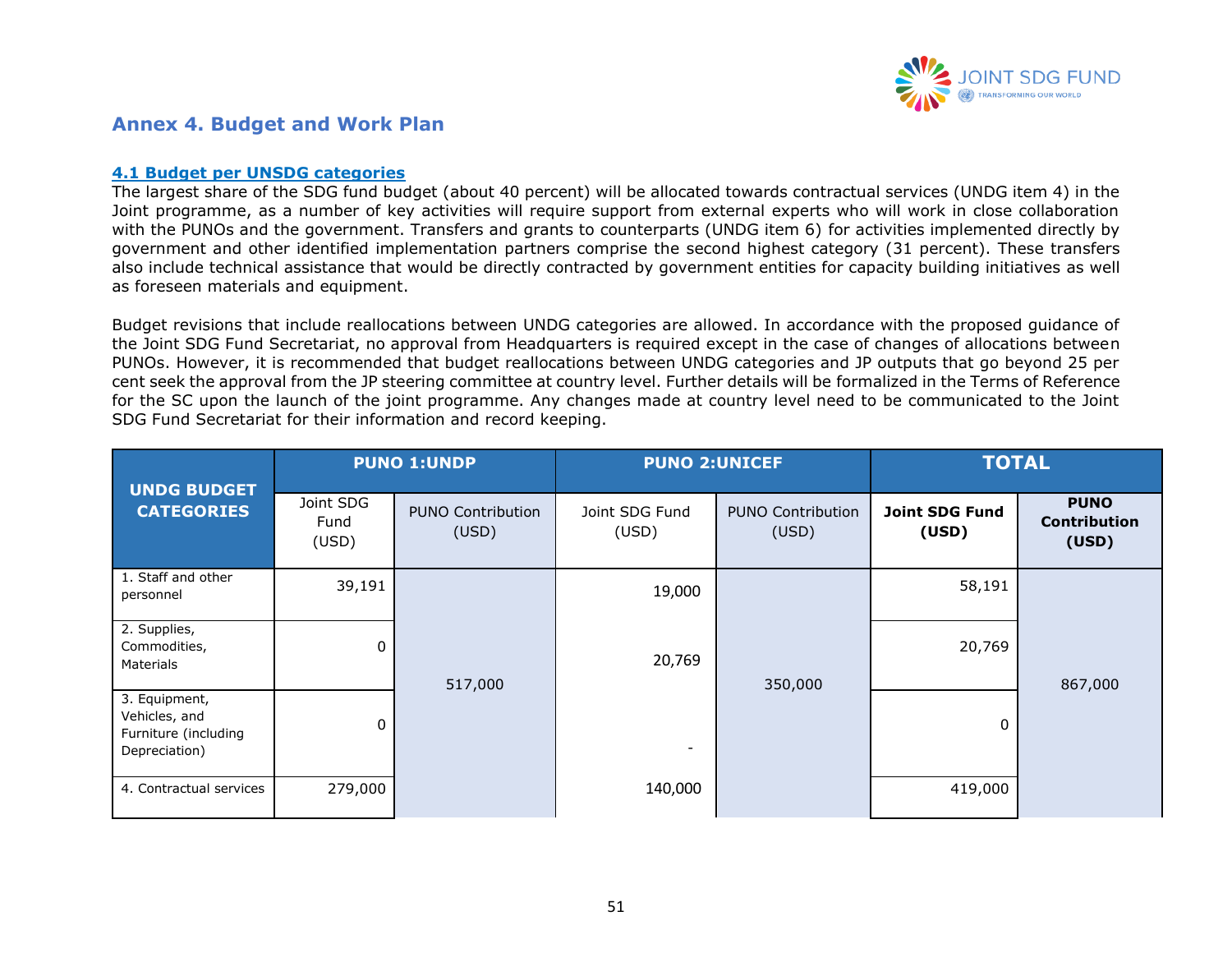

### **Annex 4. Budget and Work Plan**

#### **4.1 Budget per UNSDG categories**

The largest share of the SDG fund budget (about 40 percent) will be allocated towards contractual services (UNDG item 4) in the Joint programme, as a number of key activities will require support from external experts who will work in close collaboration with the PUNOs and the government. Transfers and grants to counterparts (UNDG item 6) for activities implemented directly by government and other identified implementation partners comprise the second highest category (31 percent). These transfers also include technical assistance that would be directly contracted by government entities for capacity building initiatives as well as foreseen materials and equipment.

Budget revisions that include reallocations between UNDG categories are allowed. In accordance with the proposed guidance of the Joint SDG Fund Secretariat, no approval from Headquarters is required except in the case of changes of allocations between PUNOs. However, it is recommended that budget reallocations between UNDG categories and JP outputs that go beyond 25 per cent seek the approval from the JP steering committee at country level. Further details will be formalized in the Terms of Reference for the SC upon the launch of the joint programme. Any changes made at country level need to be communicated to the Joint SDG Fund Secretariat for their information and record keeping.

<span id="page-50-0"></span>

| <b>UNDG BUDGET</b>                                                      |                            | <b>PUNO 1:UNDP</b>                | <b>PUNO 2:UNICEF</b>     |                                   |                                | <b>TOTAL</b>                                |
|-------------------------------------------------------------------------|----------------------------|-----------------------------------|--------------------------|-----------------------------------|--------------------------------|---------------------------------------------|
| <b>CATEGORIES</b>                                                       | Joint SDG<br>Fund<br>(USD) | <b>PUNO Contribution</b><br>(USD) | Joint SDG Fund<br>(USD)  | <b>PUNO Contribution</b><br>(USD) | <b>Joint SDG Fund</b><br>(USD) | <b>PUNO</b><br><b>Contribution</b><br>(USD) |
| 1. Staff and other<br>personnel                                         | 39,191                     |                                   | 19,000                   |                                   | 58,191                         |                                             |
| 2. Supplies,<br>Commodities,<br>Materials                               | $\mathbf{0}$               | 517,000                           | 20,769                   | 350,000                           | 20,769                         | 867,000                                     |
| 3. Equipment,<br>Vehicles, and<br>Furniture (including<br>Depreciation) | 0                          |                                   | $\overline{\phantom{a}}$ |                                   | 0                              |                                             |
| 4. Contractual services                                                 | 279,000                    |                                   | 140,000                  |                                   | 419,000                        |                                             |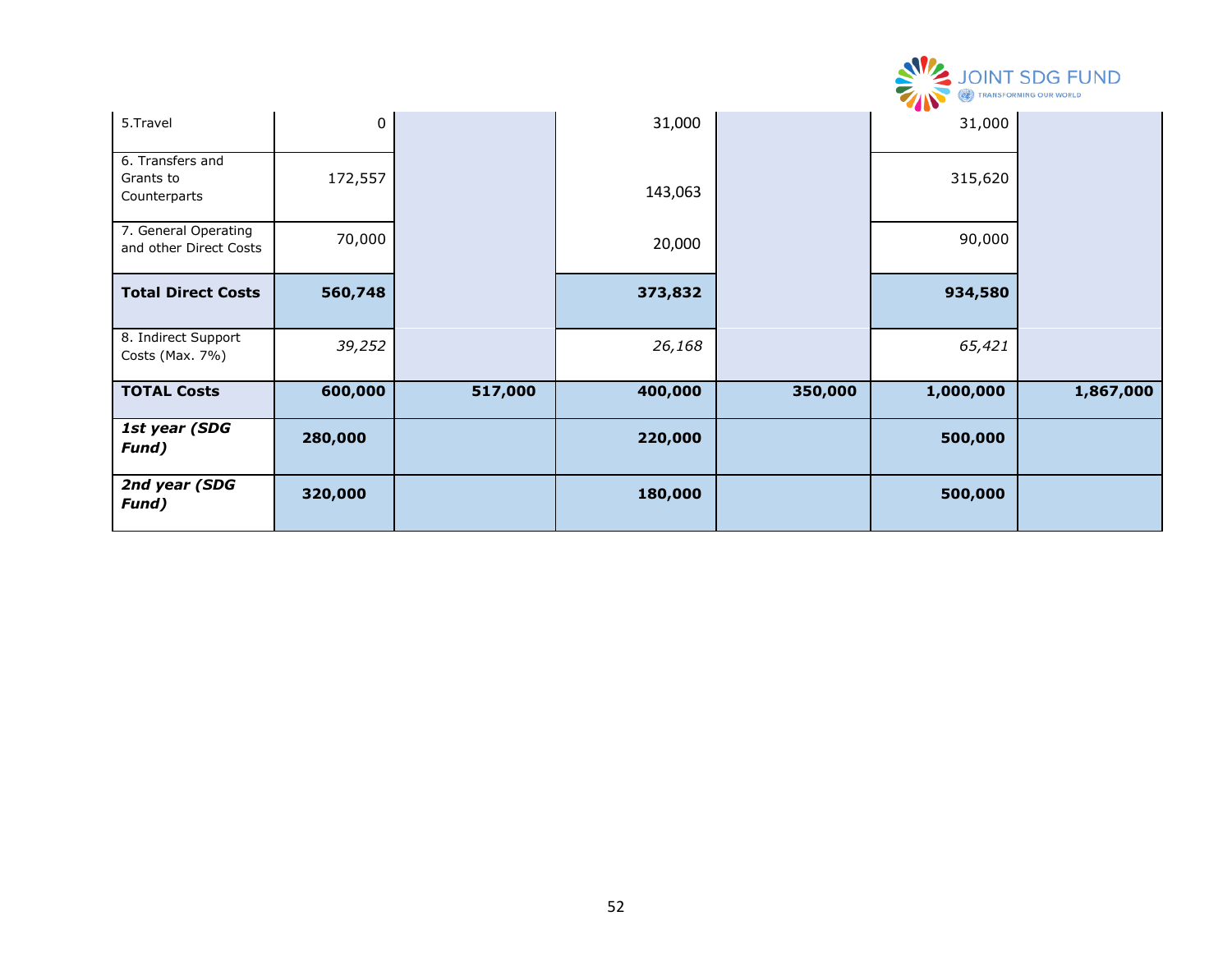|                                                |           |         |         |         |           | <b>SECURE SERVICE SOLUTION SOLUTION SOLUT SERVICE SURVEY AND SURVEY SERVICE</b> |
|------------------------------------------------|-----------|---------|---------|---------|-----------|---------------------------------------------------------------------------------|
| 5.Travel                                       | $\pmb{0}$ |         | 31,000  |         | 31,000    |                                                                                 |
| 6. Transfers and<br>Grants to<br>Counterparts  | 172,557   |         | 143,063 |         | 315,620   |                                                                                 |
| 7. General Operating<br>and other Direct Costs | 70,000    |         | 20,000  |         | 90,000    |                                                                                 |
| <b>Total Direct Costs</b>                      | 560,748   |         | 373,832 |         | 934,580   |                                                                                 |
| 8. Indirect Support<br>Costs (Max. 7%)         | 39,252    |         | 26,168  |         | 65,421    |                                                                                 |
| <b>TOTAL Costs</b>                             | 600,000   | 517,000 | 400,000 | 350,000 | 1,000,000 | 1,867,000                                                                       |
| 1st year (SDG<br>Fund)                         | 280,000   |         | 220,000 |         | 500,000   |                                                                                 |
| 2nd year (SDG<br>Fund)                         | 320,000   |         | 180,000 |         | 500,000   |                                                                                 |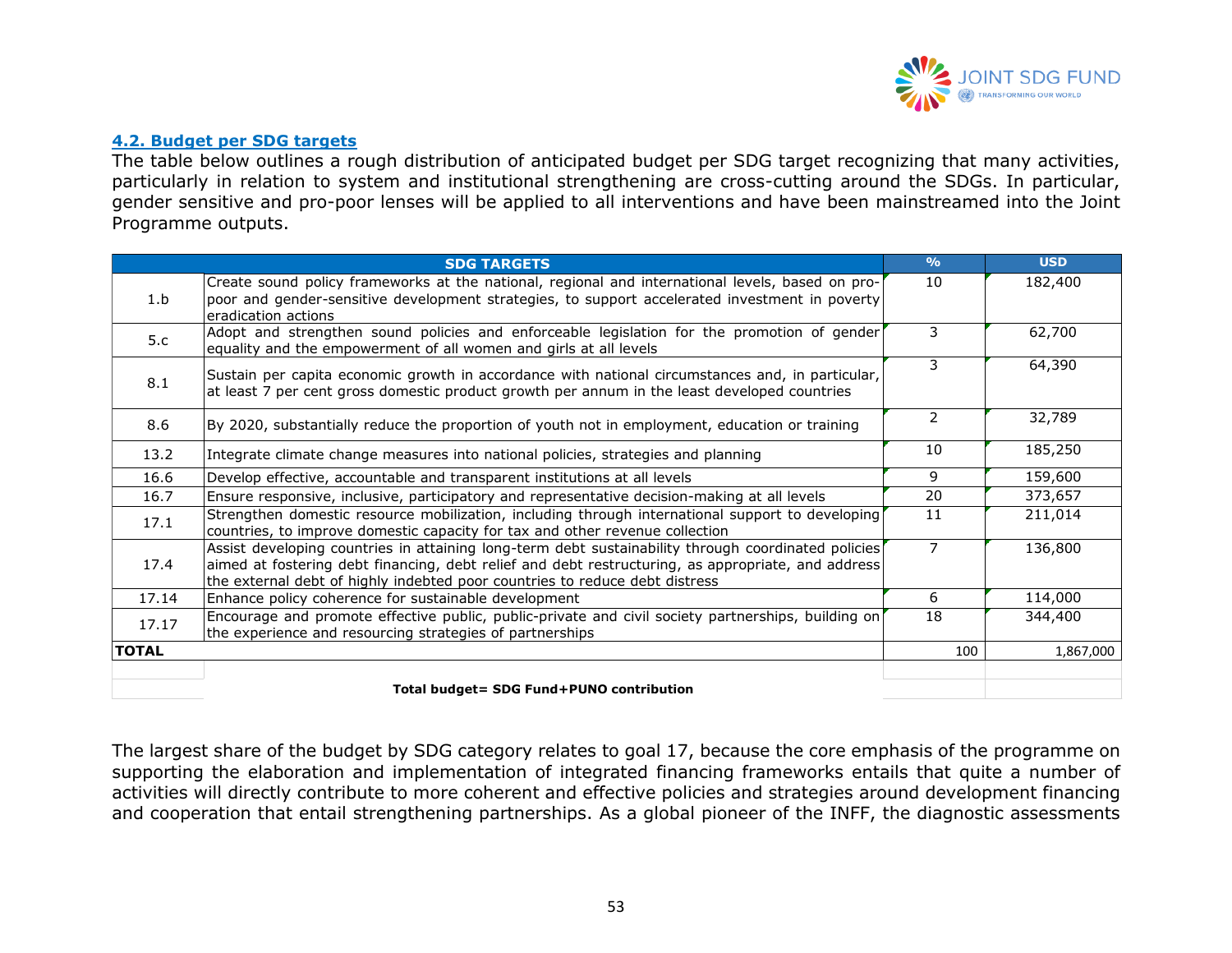

#### **4.2. Budget per SDG targets**

The table below outlines a rough distribution of anticipated budget per SDG target recognizing that many activities, particularly in relation to system and institutional strengthening are cross-cutting around the SDGs. In particular, gender sensitive and pro-poor lenses will be applied to all interventions and have been mainstreamed into the Joint Programme outputs.

|              | <b>SDG TARGETS</b>                                                                                                                                                                                                                                                                       | $\frac{0}{0}$ | <b>USD</b> |
|--------------|------------------------------------------------------------------------------------------------------------------------------------------------------------------------------------------------------------------------------------------------------------------------------------------|---------------|------------|
| 1.b          | Create sound policy frameworks at the national, regional and international levels, based on pro-<br>poor and gender-sensitive development strategies, to support accelerated investment in poverty<br>eradication actions                                                                | 10            | 182,400    |
| 5.c          | Adopt and strengthen sound policies and enforceable legislation for the promotion of gender<br>equality and the empowerment of all women and girls at all levels                                                                                                                         | 3             | 62,700     |
| 8.1          | Sustain per capita economic growth in accordance with national circumstances and, in particular,<br>at least 7 per cent gross domestic product growth per annum in the least developed countries                                                                                         | 3             | 64,390     |
| 8.6          | By 2020, substantially reduce the proportion of youth not in employment, education or training                                                                                                                                                                                           | 2             | 32,789     |
| 13.2         | Integrate climate change measures into national policies, strategies and planning                                                                                                                                                                                                        | 10            | 185,250    |
| 16.6         | Develop effective, accountable and transparent institutions at all levels                                                                                                                                                                                                                | 9             | 159,600    |
| 16.7         | Ensure responsive, inclusive, participatory and representative decision-making at all levels                                                                                                                                                                                             | 20            | 373,657    |
| 17.1         | Strengthen domestic resource mobilization, including through international support to developing<br>countries, to improve domestic capacity for tax and other revenue collection                                                                                                         | 11            | 211,014    |
| 17.4         | Assist developing countries in attaining long-term debt sustainability through coordinated policies<br>aimed at fostering debt financing, debt relief and debt restructuring, as appropriate, and address<br>the external debt of highly indebted poor countries to reduce debt distress | 7             | 136,800    |
| 17.14        | Enhance policy coherence for sustainable development                                                                                                                                                                                                                                     | 6             | 114,000    |
| 17.17        | Encourage and promote effective public, public-private and civil society partnerships, building on<br>the experience and resourcing strategies of partnerships                                                                                                                           | 18            | 344,400    |
| <b>TOTAL</b> |                                                                                                                                                                                                                                                                                          | 100           | 1,867,000  |
|              |                                                                                                                                                                                                                                                                                          |               |            |
|              | Total budget= SDG Fund+PUNO contribution                                                                                                                                                                                                                                                 |               |            |

The largest share of the budget by SDG category relates to goal 17, because the core emphasis of the programme on supporting the elaboration and implementation of integrated financing frameworks entails that quite a number of activities will directly contribute to more coherent and effective policies and strategies around development financing and cooperation that entail strengthening partnerships. As a global pioneer of the INFF, the diagnostic assessments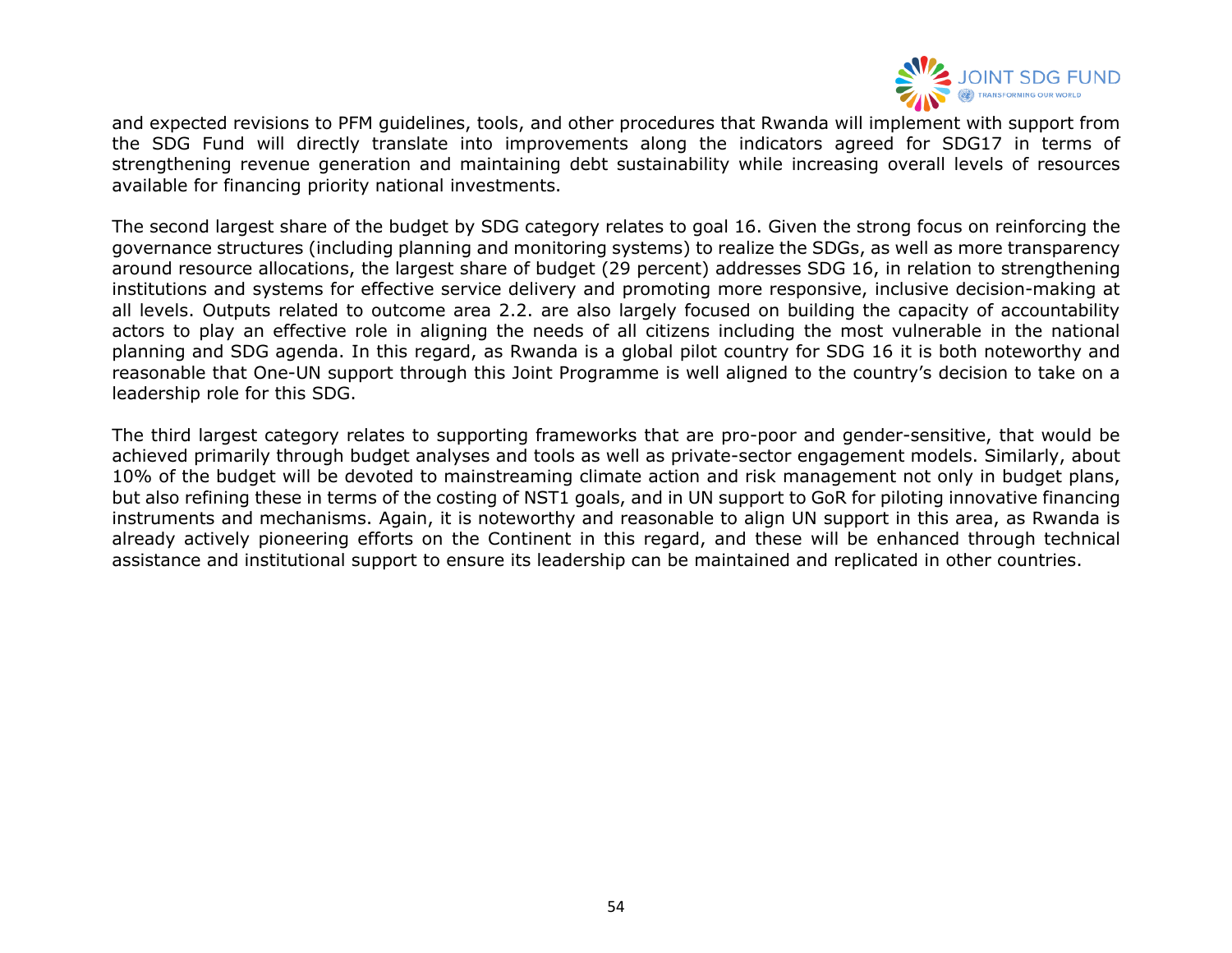

and expected revisions to PFM guidelines, tools, and other procedures that Rwanda will implement with support from the SDG Fund will directly translate into improvements along the indicators agreed for SDG17 in terms of strengthening revenue generation and maintaining debt sustainability while increasing overall levels of resources available for financing priority national investments.

The second largest share of the budget by SDG category relates to goal 16. Given the strong focus on reinforcing the governance structures (including planning and monitoring systems) to realize the SDGs, as well as more transparency around resource allocations, the largest share of budget (29 percent) addresses SDG 16, in relation to strengthening institutions and systems for effective service delivery and promoting more responsive, inclusive decision-making at all levels. Outputs related to outcome area 2.2. are also largely focused on building the capacity of accountability actors to play an effective role in aligning the needs of all citizens including the most vulnerable in the national planning and SDG agenda. In this regard, as Rwanda is a global pilot country for SDG 16 it is both noteworthy and reasonable that One-UN support through this Joint Programme is well aligned to the country's decision to take on a leadership role for this SDG.

The third largest category relates to supporting frameworks that are pro-poor and gender-sensitive, that would be achieved primarily through budget analyses and tools as well as private-sector engagement models. Similarly, about 10% of the budget will be devoted to mainstreaming climate action and risk management not only in budget plans, but also refining these in terms of the costing of NST1 goals, and in UN support to GoR for piloting innovative financing instruments and mechanisms. Again, it is noteworthy and reasonable to align UN support in this area, as Rwanda is already actively pioneering efforts on the Continent in this regard, and these will be enhanced through technical assistance and institutional support to ensure its leadership can be maintained and replicated in other countries.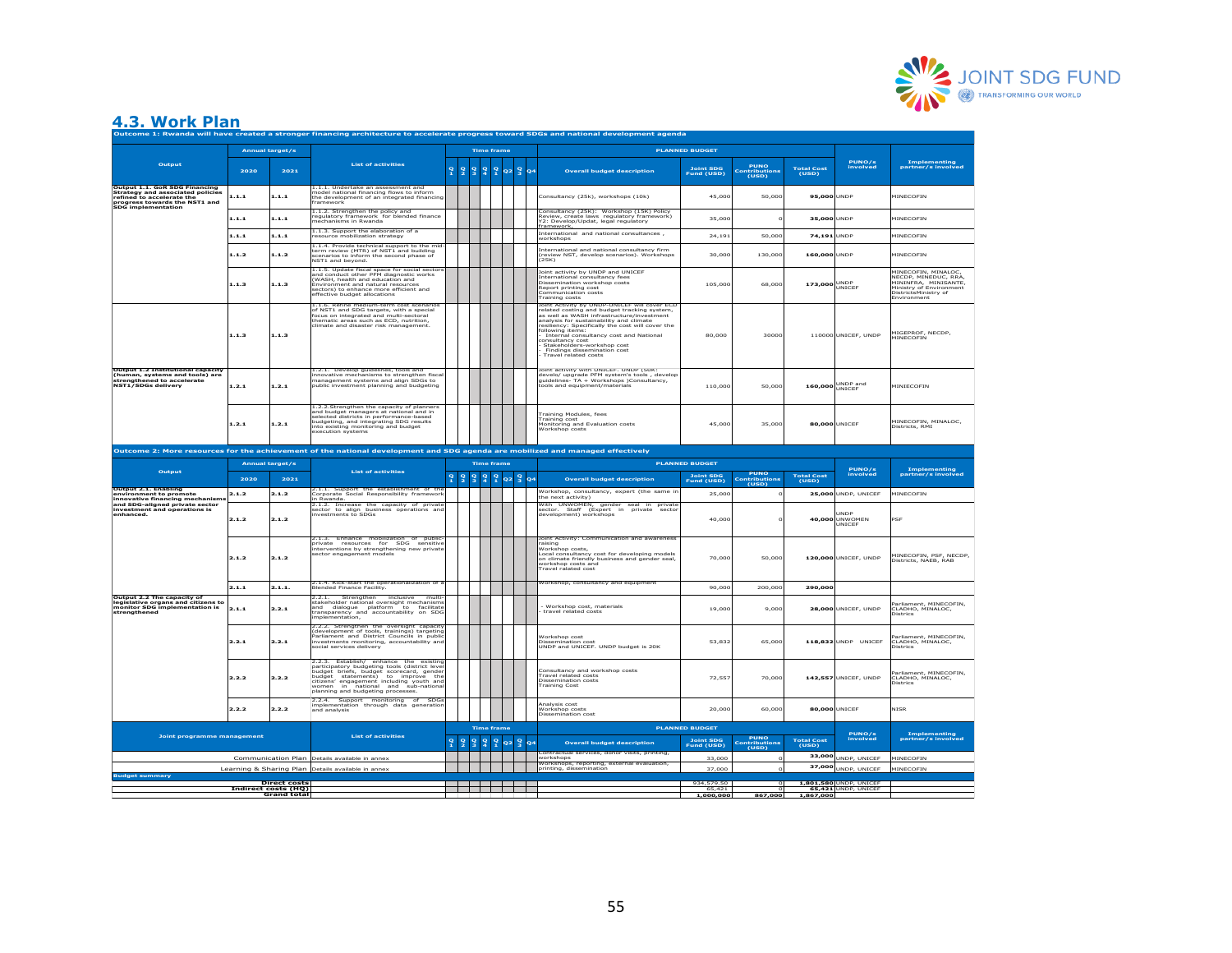

### **4.3. Work Plan**

| Outcome 1: Rwanda will have created a stronger financing architecture to accelerate progress toward SDGs and national development agenda              |                 |                                                           |                                                                                                                                                                                                                                                                                             |               |               |                                |                   |                   |    |                                                                                                                                                                                                                                                                                                                                                                                                                    |                                                  |                                            |                            |                                               |                                                                                                                                       |
|-------------------------------------------------------------------------------------------------------------------------------------------------------|-----------------|-----------------------------------------------------------|---------------------------------------------------------------------------------------------------------------------------------------------------------------------------------------------------------------------------------------------------------------------------------------------|---------------|---------------|--------------------------------|-------------------|-------------------|----|--------------------------------------------------------------------------------------------------------------------------------------------------------------------------------------------------------------------------------------------------------------------------------------------------------------------------------------------------------------------------------------------------------------------|--------------------------------------------------|--------------------------------------------|----------------------------|-----------------------------------------------|---------------------------------------------------------------------------------------------------------------------------------------|
|                                                                                                                                                       | Annual target/s |                                                           |                                                                                                                                                                                                                                                                                             |               |               |                                | <b>Time frame</b> |                   |    | <b>PLANNED BUDGET</b>                                                                                                                                                                                                                                                                                                                                                                                              |                                                  |                                            |                            |                                               |                                                                                                                                       |
| Output                                                                                                                                                | 2020            | 2021                                                      | <b>List of activities</b>                                                                                                                                                                                                                                                                   | $\frac{9}{1}$ | $\frac{9}{2}$ | $\frac{9}{4}$<br>$\frac{9}{3}$ | $\frac{9}{1}$     | $Q2$ <sup>9</sup> | 04 | <b>Overall budget description</b>                                                                                                                                                                                                                                                                                                                                                                                  | <b>Joint SDG</b><br>Fund (USD)                   | <b>PUNO</b><br>Contributions<br>(USD)      | Total Cost<br>(USD)        | PUNO/s<br>involved                            | Implementing<br>partner/s involved                                                                                                    |
| Output 1.1. GoR SDG Financing<br>Strategy and associated policies<br>refined to accelerate the<br>progress towards the NST1 and<br>SDG implementation | 1.1.1           | 1.1.1                                                     | 1.1.1. Undertake an assessment and<br>model national financing flows to inform<br>the development of an integrated financing<br>framework                                                                                                                                                   |               |               |                                |                   |                   |    | onsultancy (25k), workshops (10k)                                                                                                                                                                                                                                                                                                                                                                                  | 45,00                                            | 50,00                                      | 95,000                     | <b>UNDP</b>                                   | MINECOFIN                                                                                                                             |
|                                                                                                                                                       | 1.1.1           | 1.1.1                                                     | 1.1.2. Strengthen the policy and<br>regulatory framework for blended finance<br>mechanisms in Rwanda                                                                                                                                                                                        |               |               |                                |                   |                   |    | Consultancy (25K): Workshop (15K) Policy<br>Review, create laws regulatory frame<br>(2: Develop/Updat, legal regulatory<br>vork)<br>ramework,                                                                                                                                                                                                                                                                      | 35,00                                            |                                            | 35,000 UNDP                |                                               | MINECOFIN                                                                                                                             |
|                                                                                                                                                       | 1.1.1           | 1.1.1                                                     | 1.1.3. Support the elaboration of a<br>esource mobilization strategy                                                                                                                                                                                                                        |               |               |                                |                   |                   |    | International and national consultances.<br>vorkshops                                                                                                                                                                                                                                                                                                                                                              | 24,19                                            | 50,00                                      | 74,191 UNDP                |                                               | MINECOFIN                                                                                                                             |
|                                                                                                                                                       | 1.1.2           | 1.1.2                                                     | 1.1.4. Provide technical support to the mid<br>term review (MTR) of NST1 and building<br>scenarios to inform the second phase of<br>NST1 and beyond.                                                                                                                                        |               |               |                                |                   |                   |    | nternational and national consultancy firm<br>review NST, develop scenarios). Workshops<br>25K)                                                                                                                                                                                                                                                                                                                    | 30,000                                           | 130,000                                    | 160,000 UNDP               |                                               | <b>MINECOFIN</b>                                                                                                                      |
|                                                                                                                                                       | 1.1.3           | 1.1.3                                                     | 1.1.5. Update fiscal space for social sectors<br>and conduct other PFM diagnostic works<br>(WASH, health and education and<br><b>Environment and natural resources</b><br>sectors) to enhance more efficient and<br>ffective budget allocations                                             |               |               |                                |                   |                   |    | bint activity by UNDP and UNICEF<br>nternational consultancy fees<br>issemination workshop costs<br>teport printing cost<br>Communication costs<br>raining costs                                                                                                                                                                                                                                                   | 105,000                                          | 68,000                                     | 173,000 UNDP               |                                               | MINECOFIN, MINALOC,<br>NECDP, MINEDUC, RRA,<br>MININFRA, MINISANTE,<br>Ministry of Environment<br>DistrictsMinistry of<br>Environment |
|                                                                                                                                                       | 1.1.3           | 1.1.3                                                     | 1.1.6. Refine medium-term cost scenarios<br>of NST1 and SDG targets, with a special<br>focus on integrated and multi-sectoral<br>thematic areas such as ECD, nutrition.<br>limate and disaster risk management                                                                              |               |               |                                |                   |                   |    | loint Activity by UNDP-UNICEF will cover ECD<br>related costing and budget tracking system,<br>as well as WASH infrastructure/investment<br>analysis for sustainability and climate<br>esiliency: Specifically the cost will cover the<br>ollowing items:<br>Internal consultancy cost and National<br>onsultancy cost<br>Stakeholders-workshop cost<br>Findings dissemination cost<br><b>Travel related costs</b> | 80,000                                           | 30000                                      |                            | 110000 UNICEF, UNDP                           | MIGEPROF, NECDP,<br>MINECOFIN                                                                                                         |
| Output 1.2 Institutional capacity<br>(human, systems and tools) are<br>strengthened to accelerate                                                     | 1.2.1           | 1.2.1                                                     | 1.2.1. Develop guidelines, tools and<br>innovative mechanisms to strengthen fisca<br>management systems and align SDGs to<br>public investment planning and budgeting                                                                                                                       |               |               |                                |                   |                   |    | loint activity with UNICEF. UNDP (50K:<br>levelo/ upgrade PFM system's tools , develop<br>quidelines- TA + Workshops )Consultancy,<br>ools and equipment/materials                                                                                                                                                                                                                                                 | 110,000                                          | 50,000                                     |                            | 160,000 UNDP and                              | MINIECOFIN                                                                                                                            |
|                                                                                                                                                       | 1.2.1           | 1.2.1                                                     | 1.2.2.Strengthen the capacity of planners<br>and budget managers at national and in<br>selected districts in performance-based<br>budgeting, and integrating SDG results<br>into existing monitoring and budget<br>xecution systems                                                         |               |               |                                |                   |                   |    | Fraining Modules, fees<br>raining cost<br>Monitoring and Evaluation costs<br>Workshop costs                                                                                                                                                                                                                                                                                                                        | 45,000                                           | 35,000                                     | 80,000 UNICEF              |                                               | MINECOFIN, MINALOC,<br>Districts, RMI                                                                                                 |
|                                                                                                                                                       |                 |                                                           | Outcome 2: More resources for the achievement of the national development and SDG agenda are mobilized and managed effectively                                                                                                                                                              |               |               |                                |                   |                   |    |                                                                                                                                                                                                                                                                                                                                                                                                                    |                                                  |                                            |                            |                                               |                                                                                                                                       |
|                                                                                                                                                       |                 | Annual target/s                                           |                                                                                                                                                                                                                                                                                             |               |               |                                | <b>Time frame</b> |                   |    |                                                                                                                                                                                                                                                                                                                                                                                                                    | <b>PLANNED BUDGET</b>                            |                                            |                            |                                               |                                                                                                                                       |
|                                                                                                                                                       |                 |                                                           |                                                                                                                                                                                                                                                                                             |               |               |                                |                   |                   |    |                                                                                                                                                                                                                                                                                                                                                                                                                    |                                                  |                                            |                            |                                               |                                                                                                                                       |
| Output                                                                                                                                                |                 |                                                           | <b>List of activities</b>                                                                                                                                                                                                                                                                   |               |               |                                |                   |                   |    |                                                                                                                                                                                                                                                                                                                                                                                                                    |                                                  |                                            |                            |                                               |                                                                                                                                       |
|                                                                                                                                                       | 2020            | 2021                                                      |                                                                                                                                                                                                                                                                                             |               | 2232022       |                                |                   |                   |    | <b>Overall budget description</b>                                                                                                                                                                                                                                                                                                                                                                                  | <b>Joint SDG</b><br>Fund (USD)                   | <b>PUNO</b><br>Contributions<br>_____(USD) | <b>Total Cost</b><br>(USD) | <b>PUNO/s</b><br>involved                     | Implementing<br>partner/s involved                                                                                                    |
| Output 2.1, Enabling<br>environment to promote                                                                                                        | 2.1.2           | 2.1.2                                                     | 2.1.1. Support the establishment of the<br>Corporate Social Responsibility framework                                                                                                                                                                                                        |               |               |                                |                   |                   |    | Workshop, consultancy, expert (the same in                                                                                                                                                                                                                                                                                                                                                                         | 25,000                                           |                                            |                            | 25.000 UNDP. UNICEF                           | MINECOFIN                                                                                                                             |
| innovative financing mechanism:<br>and SDG-aligned private sector<br>investment and operations is<br>enhanced.                                        | 2.1.2           | 2.1.2                                                     | Rwanda.<br>2.1.2. Increase the capacity of private<br>sector to align business operations and<br>investments to SDGs                                                                                                                                                                        |               |               |                                |                   |                   |    | he next activity)<br>With UNWOMEN, gender seal in private<br>sector. Staff (Expert in private sector<br>development) workshops                                                                                                                                                                                                                                                                                     | 40,000                                           |                                            |                            | UNDP<br>40,000 UNWOMEN<br>UNICEF              | PSE                                                                                                                                   |
|                                                                                                                                                       | 2.1.2           | 2.1.2                                                     | 2.1.3. Enhance mobilization of public<br>private resources for SDG sensitive<br>Interventions by strengthening new private<br>ector engagement models                                                                                                                                       |               |               |                                |                   |                   |    | loint Activity: Communication and awareness<br>alsing<br>Workshop costs,<br>Local consultancy cost for developing models<br>on climate friendly business and gender seal,<br>vorkshop costs and<br>ravel ralated cost                                                                                                                                                                                              | 70,000                                           | 50,000                                     |                            | 120,000 UNICEF, UNDP                          | MINECOFIN, PSF, NECDP,<br>Districts, NAEB, RAB                                                                                        |
|                                                                                                                                                       | 2.1.1           | 2.1.1.                                                    | 2.1.4. Kick-start the operationalization of a<br>Blended Finance Facility.                                                                                                                                                                                                                  |               |               |                                |                   |                   |    | Workshop, consultancy and equipment                                                                                                                                                                                                                                                                                                                                                                                | 90,000                                           | 200,000                                    | 290,000                    |                                               |                                                                                                                                       |
| Output 2.2 The capacity of<br><b>Supplemental community</b><br>International community of the monitor SDG implementation is<br>strengthened           | 2.1.1           | 2.2.1                                                     | Strengthen inclusive<br>2.2.1.<br>multi<br>stakeholder national oversight mechanism<br>and dialogue platform to facilitate<br>transparency and accountability on SDO<br>mplementation,                                                                                                      |               |               |                                |                   |                   |    | Workshop cost, materials<br>travel related costs                                                                                                                                                                                                                                                                                                                                                                   | 19,000                                           | 9,000                                      |                            | 28,000 UNICEF, UNDP                           | Parliament, MINECOFIN,<br>CLADHO, MINALOC,<br><b>Districs</b>                                                                         |
|                                                                                                                                                       | 2.2.1           | 2.2.1                                                     | 2.2.2. Strengthen the oversight capacity<br>(development of tools, trainings) targeting<br>Parliament and District Councils in publi<br>investments monitoring, accountability and<br>ocial services delivery                                                                               |               |               |                                |                   |                   |    | Workshop cost<br>lissemination cost<br>INDP and UNICEF. UNDP budget is 20K                                                                                                                                                                                                                                                                                                                                         | 53,832                                           | 65,000                                     |                            | 118,832 UNDP UNICEF                           | arliament, MINECOFIN.<br>CLADHO, MINALOC,<br><b>Districs</b>                                                                          |
|                                                                                                                                                       | 2.2.2           | 2.2.2                                                     | 2.2.3 Establish/ enhance the existing<br>participatory budgeting tools (district leve<br>budget briefs, budget scorecard, gende<br>budget statements) to improve the<br>citizens' engagement including youth and<br>women in national and sub-national<br>planning and budgeting processes. |               |               |                                |                   |                   |    | :<br>onsultancy and workshop costs<br>'ravel related costs<br>issemination costs<br>raining Cost                                                                                                                                                                                                                                                                                                                   | 72,557                                           | 70,000                                     |                            | 142,557 UNICEF, UNDP                          | Parliament, MINECOFIN,<br>CLADHO, MINALOC,<br>Districs                                                                                |
|                                                                                                                                                       | 2.2.2           | 2.2.2                                                     | 2.2.4. Support monitoring of SDG<br>implementation through data generatio<br>and analysis                                                                                                                                                                                                   |               |               |                                |                   |                   |    | Analysis cost<br>.<br>Workshop costs<br>Dissemination cost                                                                                                                                                                                                                                                                                                                                                         | 20,00                                            | 60,000                                     | 80,000                     | UNICEF                                        | <b>NISR</b>                                                                                                                           |
| <b>Joint programme management</b>                                                                                                                     |                 |                                                           | <b>List of activities</b>                                                                                                                                                                                                                                                                   |               | 9999922904    |                                | <b>Time frame</b> |                   |    | <b>Overall budget description</b>                                                                                                                                                                                                                                                                                                                                                                                  | <b>PLANNED BUDGET</b><br>Joint SDG<br>Fund (USD) | <b>PUNO</b><br>Contribution<br>(USD)       | Total Cost<br>(USD)        | PUNO/s<br>involved                            | Implementing<br>partner/s involved                                                                                                    |
|                                                                                                                                                       |                 |                                                           | Communication Plan Details available in annex                                                                                                                                                                                                                                               |               |               |                                |                   |                   |    | ontractual services, donor visits, printing,<br>orkshops                                                                                                                                                                                                                                                                                                                                                           | 33,00                                            |                                            |                            |                                               | <b>IINECOFIN</b>                                                                                                                      |
|                                                                                                                                                       |                 |                                                           | Learning & Sharing Plan Details available in annex                                                                                                                                                                                                                                          |               |               |                                |                   |                   |    | printing, dissemination                                                                                                                                                                                                                                                                                                                                                                                            | 37.000                                           |                                            |                            | 33,000 UNDP, UNICEF<br>37,000 UNDP, UNICEF    | MINECOFIN                                                                                                                             |
| dget summary                                                                                                                                          |                 |                                                           |                                                                                                                                                                                                                                                                                             |               |               |                                |                   |                   |    |                                                                                                                                                                                                                                                                                                                                                                                                                    |                                                  |                                            |                            |                                               |                                                                                                                                       |
|                                                                                                                                                       |                 | <b>Direct costs</b><br>Indirect costs (HQ)<br>Grand total |                                                                                                                                                                                                                                                                                             |               |               |                                |                   |                   |    |                                                                                                                                                                                                                                                                                                                                                                                                                    | 934,579.50<br>65,421<br>1,000,000                | 867.000                                    | 1.867.000                  | 1,801,580 UNDP, UNICEF<br>65,421 UNDP, UNICEF |                                                                                                                                       |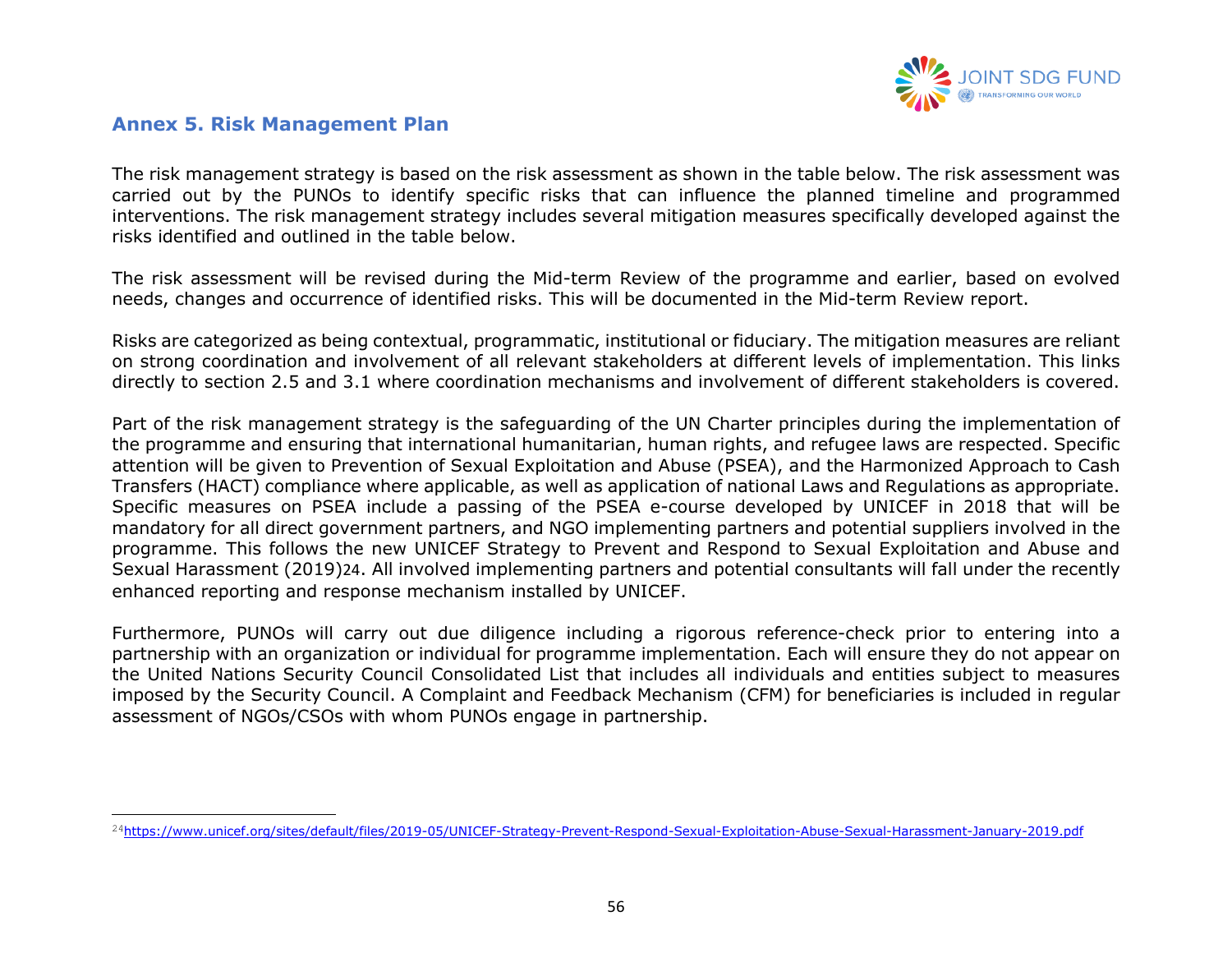

### **Annex 5. Risk Management Plan**

The risk management strategy is based on the risk assessment as shown in the table below. The risk assessment was carried out by the PUNOs to identify specific risks that can influence the planned timeline and programmed interventions. The risk management strategy includes several mitigation measures specifically developed against the risks identified and outlined in the table below.

The risk assessment will be revised during the Mid-term Review of the programme and earlier, based on evolved needs, changes and occurrence of identified risks. This will be documented in the Mid-term Review report.

Risks are categorized as being contextual, programmatic, institutional or fiduciary. The mitigation measures are reliant on strong coordination and involvement of all relevant stakeholders at different levels of implementation. This links directly to section 2.5 and 3.1 where coordination mechanisms and involvement of different stakeholders is covered.

<span id="page-55-0"></span>Part of the risk management strategy is the safeguarding of the UN Charter principles during the implementation of the programme and ensuring that international humanitarian, human rights, and refugee laws are respected. Specific attention will be given to Prevention of Sexual Exploitation and Abuse (PSEA), and the Harmonized Approach to Cash Transfers (HACT) compliance where applicable, as well as application of national Laws and Regulations as appropriate. Specific measures on PSEA include a passing of the PSEA e-course developed by UNICEF in 2018 that will be mandatory for all direct government partners, and NGO implementing partners and potential suppliers involved in the programme. This follows the new UNICEF Strategy to Prevent and Respond to Sexual Exploitation and Abuse and Sexual Harassment (2019)24. All involved implementing partners and potential consultants will fall under the recently enhanced reporting and response mechanism installed by UNICEF.

Furthermore, PUNOs will carry out due diligence including a rigorous reference-check prior to entering into a partnership with an organization or individual for programme implementation. Each will ensure they do not appear on the United Nations Security Council Consolidated List that includes all individuals and entities subject to measures imposed by the Security Council. A Complaint and Feedback Mechanism (CFM) for beneficiaries is included in regular assessment of NGOs/CSOs with whom PUNOs engage in partnership.

<sup>24</sup><https://www.unicef.org/sites/default/files/2019-05/UNICEF-Strategy-Prevent-Respond-Sexual-Exploitation-Abuse-Sexual-Harassment-January-2019.pdf>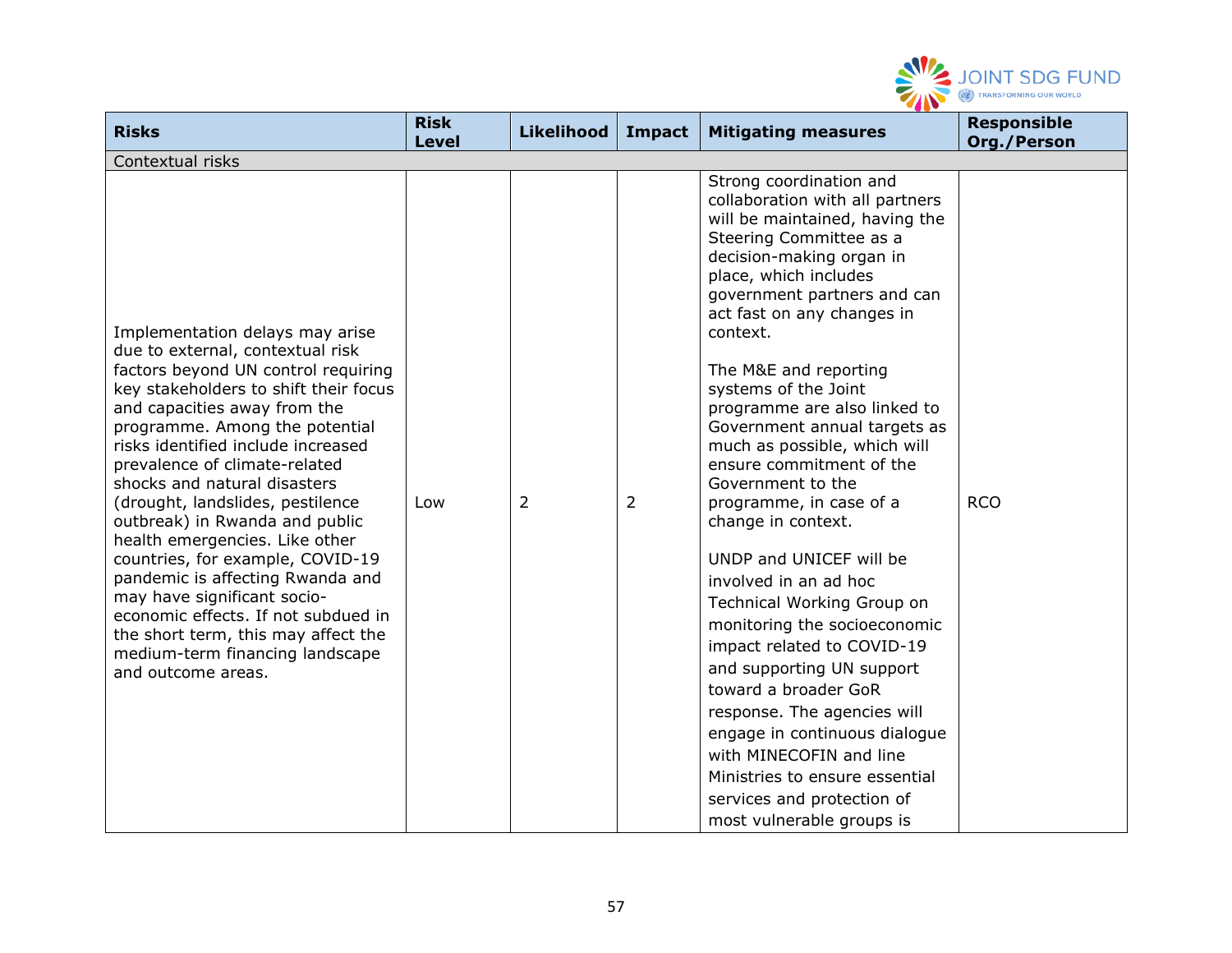

| <b>Risks</b>                                                                                                                                                                                                                                                                                                                                                                                                                                                                                                                                                                                                                                                                       | <b>Risk</b><br><b>Level</b> | <b>Likelihood</b> | Impact | <b>Mitigating measures</b>                                                                                                                                                                                                                                                                                                                                                                                                                                                                                                                                                                                                                                                                                                                                                                                                                                                                            | <b>Responsible</b><br>Org./Person |
|------------------------------------------------------------------------------------------------------------------------------------------------------------------------------------------------------------------------------------------------------------------------------------------------------------------------------------------------------------------------------------------------------------------------------------------------------------------------------------------------------------------------------------------------------------------------------------------------------------------------------------------------------------------------------------|-----------------------------|-------------------|--------|-------------------------------------------------------------------------------------------------------------------------------------------------------------------------------------------------------------------------------------------------------------------------------------------------------------------------------------------------------------------------------------------------------------------------------------------------------------------------------------------------------------------------------------------------------------------------------------------------------------------------------------------------------------------------------------------------------------------------------------------------------------------------------------------------------------------------------------------------------------------------------------------------------|-----------------------------------|
| Contextual risks                                                                                                                                                                                                                                                                                                                                                                                                                                                                                                                                                                                                                                                                   |                             |                   |        |                                                                                                                                                                                                                                                                                                                                                                                                                                                                                                                                                                                                                                                                                                                                                                                                                                                                                                       |                                   |
| Implementation delays may arise<br>due to external, contextual risk<br>factors beyond UN control requiring<br>key stakeholders to shift their focus<br>and capacities away from the<br>programme. Among the potential<br>risks identified include increased<br>prevalence of climate-related<br>shocks and natural disasters<br>(drought, landslides, pestilence<br>outbreak) in Rwanda and public<br>health emergencies. Like other<br>countries, for example, COVID-19<br>pandemic is affecting Rwanda and<br>may have significant socio-<br>economic effects. If not subdued in<br>the short term, this may affect the<br>medium-term financing landscape<br>and outcome areas. | Low                         | 2                 | 2      | Strong coordination and<br>collaboration with all partners<br>will be maintained, having the<br>Steering Committee as a<br>decision-making organ in<br>place, which includes<br>government partners and can<br>act fast on any changes in<br>context.<br>The M&E and reporting<br>systems of the Joint<br>programme are also linked to<br>Government annual targets as<br>much as possible, which will<br>ensure commitment of the<br>Government to the<br>programme, in case of a<br>change in context.<br>UNDP and UNICEF will be<br>involved in an ad hoc<br>Technical Working Group on<br>monitoring the socioeconomic<br>impact related to COVID-19<br>and supporting UN support<br>toward a broader GoR<br>response. The agencies will<br>engage in continuous dialogue<br>with MINECOFIN and line<br>Ministries to ensure essential<br>services and protection of<br>most vulnerable groups is | <b>RCO</b>                        |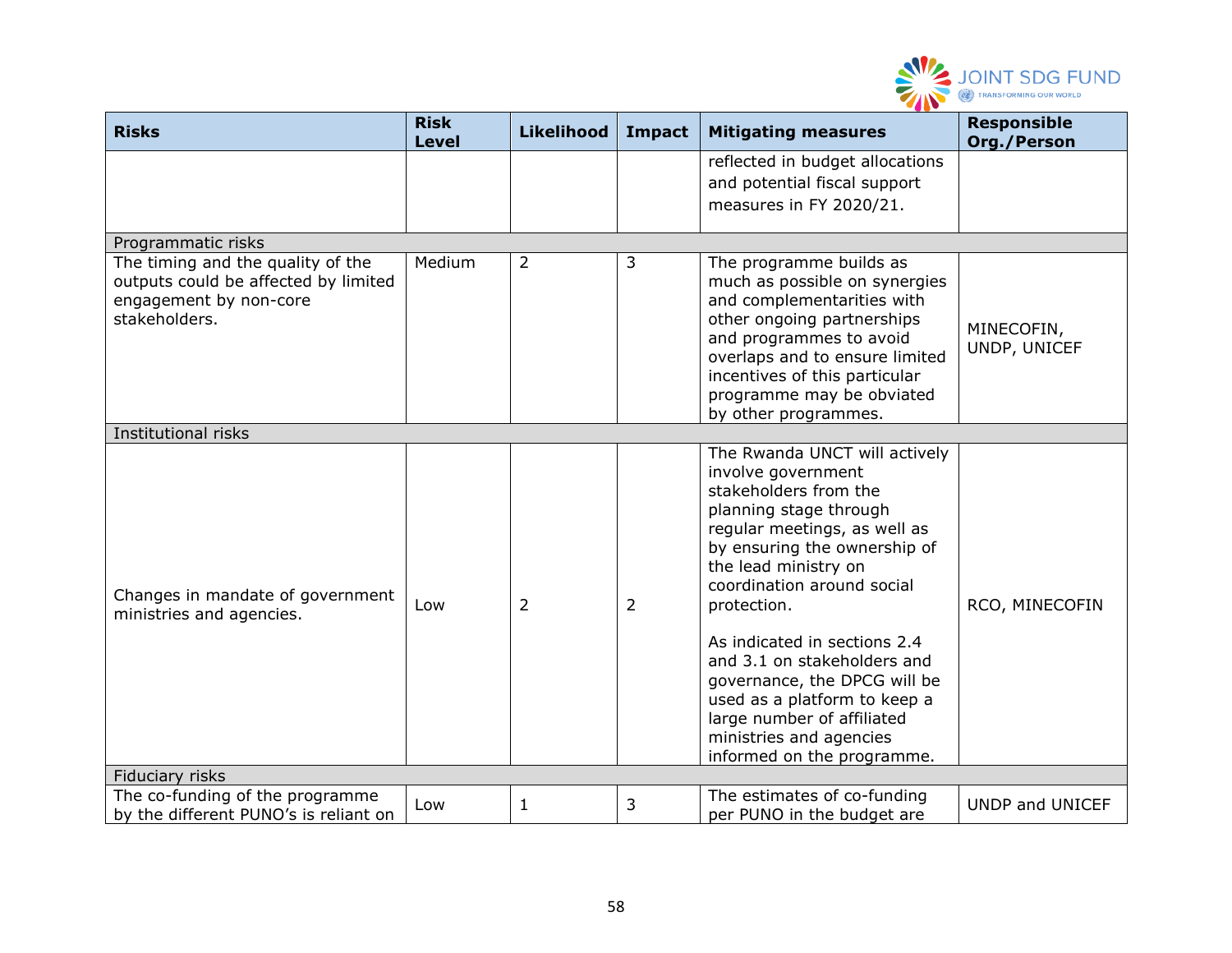

| <b>Risks</b>                                                                                                         | <b>Risk</b><br><b>Level</b> | <b>Likelihood</b> | Impact         | <b>Mitigating measures</b>                                                                                                                                                                                                                                                                                                                                                                                                                                        | <b>Responsible</b><br>Org./Person |
|----------------------------------------------------------------------------------------------------------------------|-----------------------------|-------------------|----------------|-------------------------------------------------------------------------------------------------------------------------------------------------------------------------------------------------------------------------------------------------------------------------------------------------------------------------------------------------------------------------------------------------------------------------------------------------------------------|-----------------------------------|
|                                                                                                                      |                             |                   |                | reflected in budget allocations<br>and potential fiscal support<br>measures in FY 2020/21.                                                                                                                                                                                                                                                                                                                                                                        |                                   |
| Programmatic risks                                                                                                   |                             |                   |                |                                                                                                                                                                                                                                                                                                                                                                                                                                                                   |                                   |
| The timing and the quality of the<br>outputs could be affected by limited<br>engagement by non-core<br>stakeholders. | Medium                      | $\overline{2}$    | 3              | The programme builds as<br>much as possible on synergies<br>and complementarities with<br>other ongoing partnerships<br>and programmes to avoid<br>overlaps and to ensure limited<br>incentives of this particular<br>programme may be obviated<br>by other programmes.                                                                                                                                                                                           | MINECOFIN,<br>UNDP, UNICEF        |
| Institutional risks                                                                                                  |                             |                   |                |                                                                                                                                                                                                                                                                                                                                                                                                                                                                   |                                   |
| Changes in mandate of government<br>ministries and agencies.                                                         | Low                         | 2                 | $\overline{2}$ | The Rwanda UNCT will actively<br>involve government<br>stakeholders from the<br>planning stage through<br>regular meetings, as well as<br>by ensuring the ownership of<br>the lead ministry on<br>coordination around social<br>protection.<br>As indicated in sections 2.4<br>and 3.1 on stakeholders and<br>governance, the DPCG will be<br>used as a platform to keep a<br>large number of affiliated<br>ministries and agencies<br>informed on the programme. | RCO, MINECOFIN                    |
| Fiduciary risks                                                                                                      |                             |                   |                |                                                                                                                                                                                                                                                                                                                                                                                                                                                                   |                                   |
| The co-funding of the programme<br>by the different PUNO's is reliant on                                             | Low                         | $\mathbf{1}$      | 3              | The estimates of co-funding<br>per PUNO in the budget are                                                                                                                                                                                                                                                                                                                                                                                                         | UNDP and UNICEF                   |